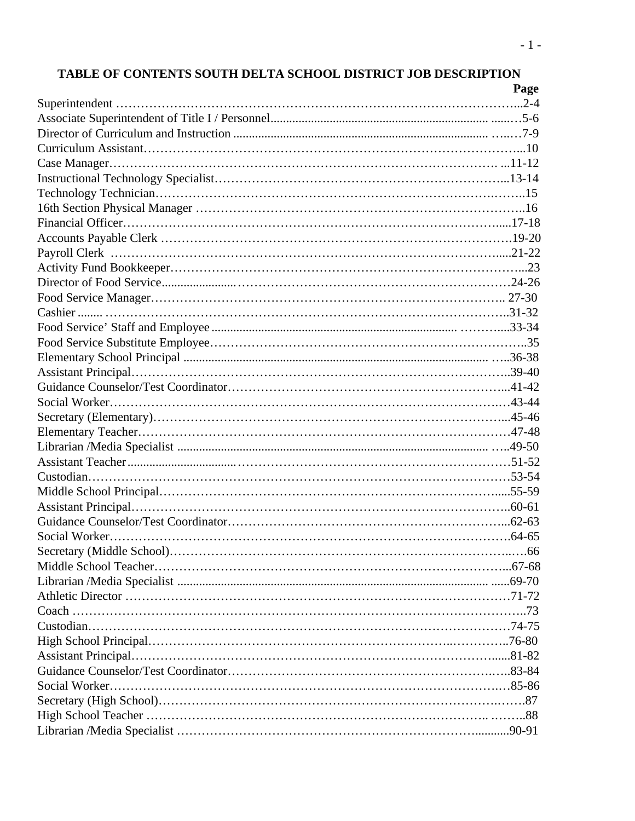# **TABLE OF CONTENTS SOUTH DELTA SCHOOL DISTRICT JOB DESCRIPTION**

| Page |
|------|
|      |
|      |
|      |
|      |
|      |
|      |
|      |
|      |
|      |
|      |
|      |
|      |
|      |
|      |
|      |
|      |
|      |
|      |
|      |
|      |
|      |
|      |
|      |
|      |
|      |
|      |
|      |
|      |
|      |
|      |
|      |
|      |
|      |
|      |
|      |
|      |
|      |
|      |
|      |
|      |
|      |
|      |
|      |
|      |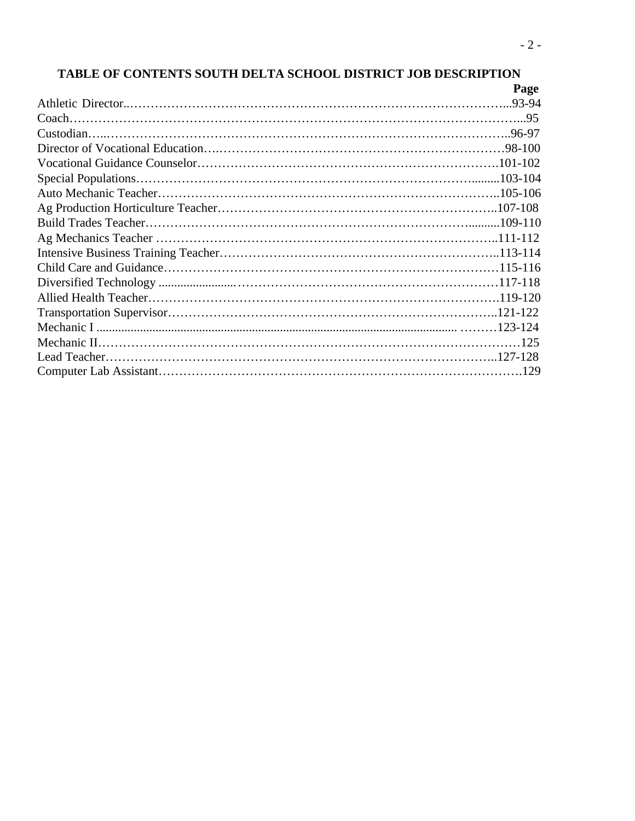# **TABLE OF CONTENTS SOUTH DELTA SCHOOL DISTRICT JOB DESCRIPTION**

| Page |
|------|
|      |
|      |
|      |
|      |
|      |
|      |
|      |
|      |
|      |
|      |
|      |
|      |
|      |
|      |
|      |
|      |
|      |
|      |
|      |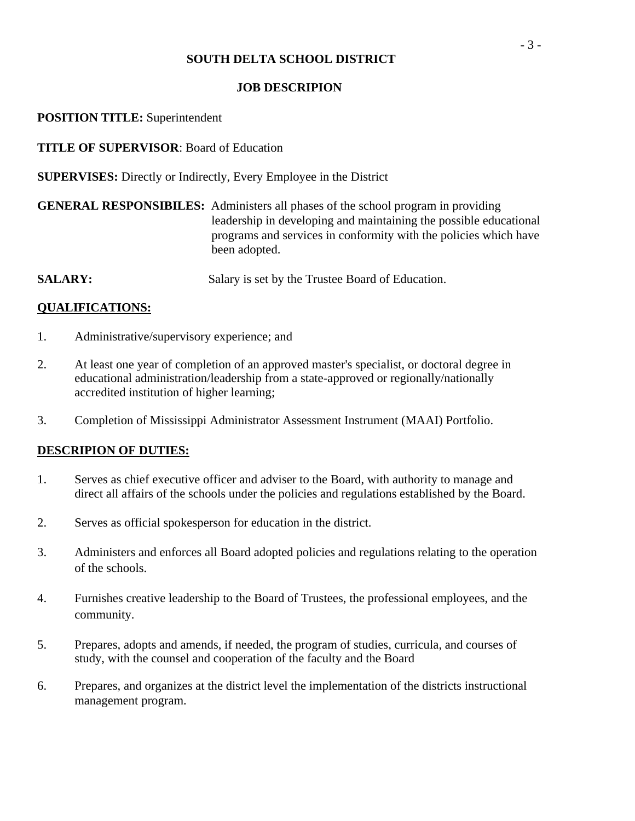## **JOB DESCRIPION**

## **POSITION TITLE:** Superintendent

**TITLE OF SUPERVISOR**: Board of Education

**SUPERVISES:** Directly or Indirectly, Every Employee in the District

| <b>GENERAL RESPONSIBILES:</b> Administers all phases of the school program in providing |
|-----------------------------------------------------------------------------------------|
| leadership in developing and maintaining the possible educational                       |
| programs and services in conformity with the policies which have                        |
| been adopted.                                                                           |

**SALARY:** Salary is set by the Trustee Board of Education.

## **QUALIFICATIONS:**

- 1. Administrative/supervisory experience; and
- 2. At least one year of completion of an approved master's specialist, or doctoral degree in educational administration/leadership from a state-approved or regionally/nationally accredited institution of higher learning;
- 3. Completion of Mississippi Administrator Assessment Instrument (MAAI) Portfolio.

- 1. Serves as chief executive officer and adviser to the Board, with authority to manage and direct all affairs of the schools under the policies and regulations established by the Board.
- 2. Serves as official spokesperson for education in the district.
- 3. Administers and enforces all Board adopted policies and regulations relating to the operation of the schools.
- 4. Furnishes creative leadership to the Board of Trustees, the professional employees, and the community.
- 5. Prepares, adopts and amends, if needed, the program of studies, curricula, and courses of study, with the counsel and cooperation of the faculty and the Board
- 6. Prepares, and organizes at the district level the implementation of the districts instructional management program.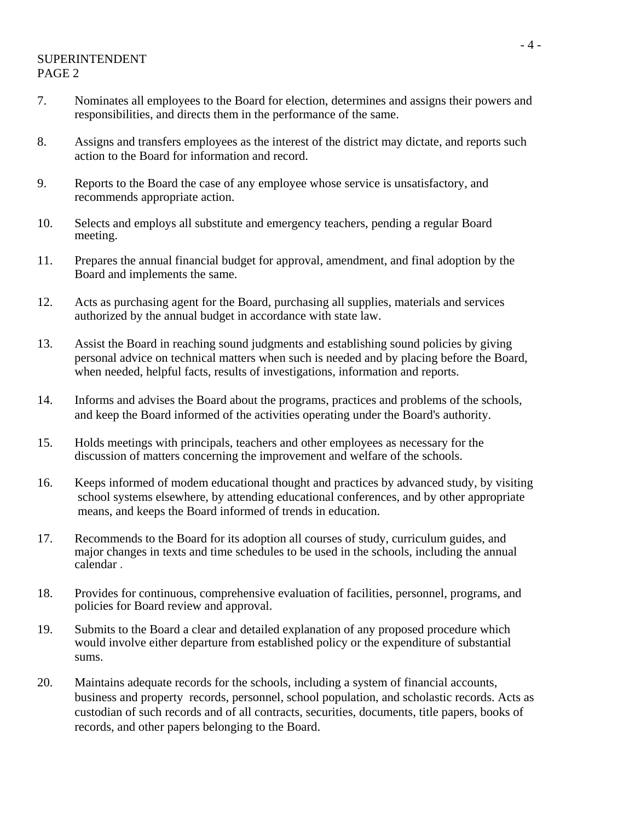## SUPERINTENDENT PAGE 2

- 7. Nominates all employees to the Board for election, determines and assigns their powers and responsibilities, and directs them in the performance of the same.
- 8. Assigns and transfers employees as the interest of the district may dictate, and reports such action to the Board for information and record.
- 9. Reports to the Board the case of any employee whose service is unsatisfactory, and recommends appropriate action.
- 10. Selects and employs all substitute and emergency teachers, pending a regular Board meeting.
- 11. Prepares the annual financial budget for approval, amendment, and final adoption by the Board and implements the same.
- 12. Acts as purchasing agent for the Board, purchasing all supplies, materials and services authorized by the annual budget in accordance with state law.
- 13. Assist the Board in reaching sound judgments and establishing sound policies by giving personal advice on technical matters when such is needed and by placing before the Board, when needed, helpful facts, results of investigations, information and reports.
- 14. Informs and advises the Board about the programs, practices and problems of the schools, and keep the Board informed of the activities operating under the Board's authority.
- 15. Holds meetings with principals, teachers and other employees as necessary for the discussion of matters concerning the improvement and welfare of the schools.
- 16. Keeps informed of modem educational thought and practices by advanced study, by visiting school systems elsewhere, by attending educational conferences, and by other appropriate means, and keeps the Board informed of trends in education.
- 17. Recommends to the Board for its adoption all courses of study, curriculum guides, and major changes in texts and time schedules to be used in the schools, including the annual calendar .
- 18. Provides for continuous, comprehensive evaluation of facilities, personnel, programs, and policies for Board review and approval.
- 19. Submits to the Board a clear and detailed explanation of any proposed procedure which would involve either departure from established policy or the expenditure of substantial sums.
- 20. Maintains adequate records for the schools, including a system of financial accounts, business and property records, personnel, school population, and scholastic records. Acts as custodian of such records and of all contracts, securities, documents, title papers, books of records, and other papers belonging to the Board.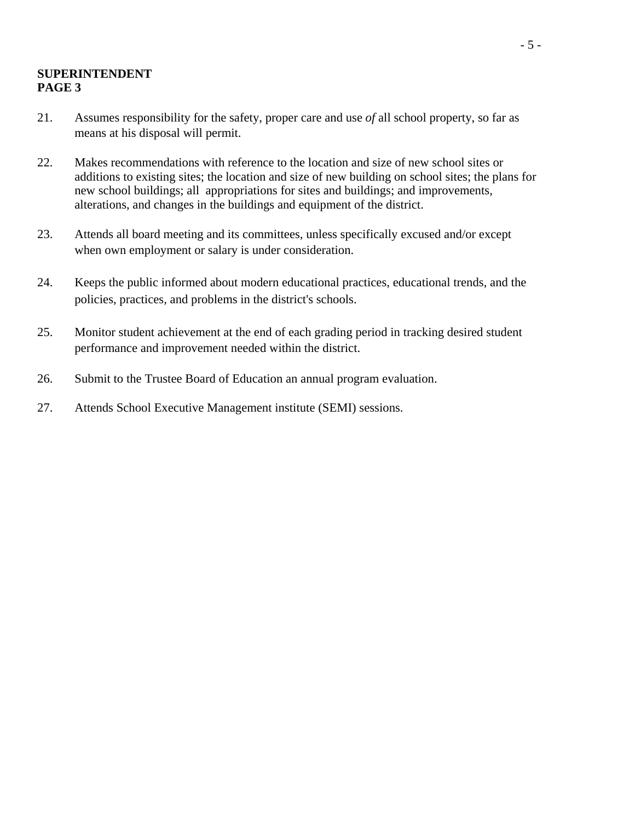## **SUPERINTENDENT PAGE 3**

- 21. Assumes responsibility for the safety, proper care and use *of* all school property, so far as means at his disposal will permit.
- 22. Makes recommendations with reference to the location and size of new school sites or additions to existing sites; the location and size of new building on school sites; the plans for new school buildings; all appropriations for sites and buildings; and improvements, alterations, and changes in the buildings and equipment of the district.
- 23. Attends all board meeting and its committees, unless specifically excused and/or except when own employment or salary is under consideration.
- 24. Keeps the public informed about modern educational practices, educational trends, and the policies, practices, and problems in the district's schools.
- 25. Monitor student achievement at the end of each grading period in tracking desired student performance and improvement needed within the district.
- 26. Submit to the Trustee Board of Education an annual program evaluation.
- 27. Attends School Executive Management institute (SEMI) sessions.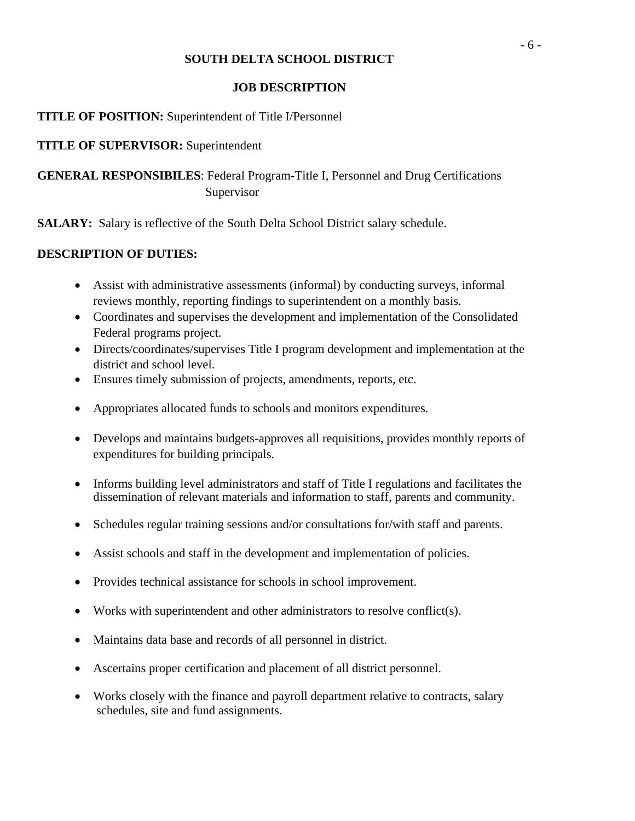## **JOB DESCRIPTION**

## **TITLE OF POSITION:** Superintendent of Title I/Personnel

## **TITLE OF SUPERVISOR:** Superintendent

**GENERAL RESPONSIBILES**: Federal Program-Title I, Personnel and Drug Certifications Supervisor

**SALARY:** Salary is reflective of the South Delta School District salary schedule.

- Assist with administrative assessments (informal) by conducting surveys, informal reviews monthly, reporting findings to superintendent on a monthly basis.
- Coordinates and supervises the development and implementation of the Consolidated Federal programs project.
- Directs/coordinates/supervises Title I program development and implementation at the district and school level.
- Ensures timely submission of projects, amendments, reports, etc.
- Appropriates allocated funds to schools and monitors expenditures.
- Develops and maintains budgets-approves all requisitions, provides monthly reports of expenditures for building principals.
- Informs building level administrators and staff of Title I regulations and facilitates the dissemination of relevant materials and information to staff, parents and community.
- Schedules regular training sessions and/or consultations for/with staff and parents.
- Assist schools and staff in the development and implementation of policies.
- Provides technical assistance for schools in school improvement.
- Works with superintendent and other administrators to resolve conflict(s).
- Maintains data base and records of all personnel in district.
- Ascertains proper certification and placement of all district personnel.
- Works closely with the finance and payroll department relative to contracts, salary schedules, site and fund assignments.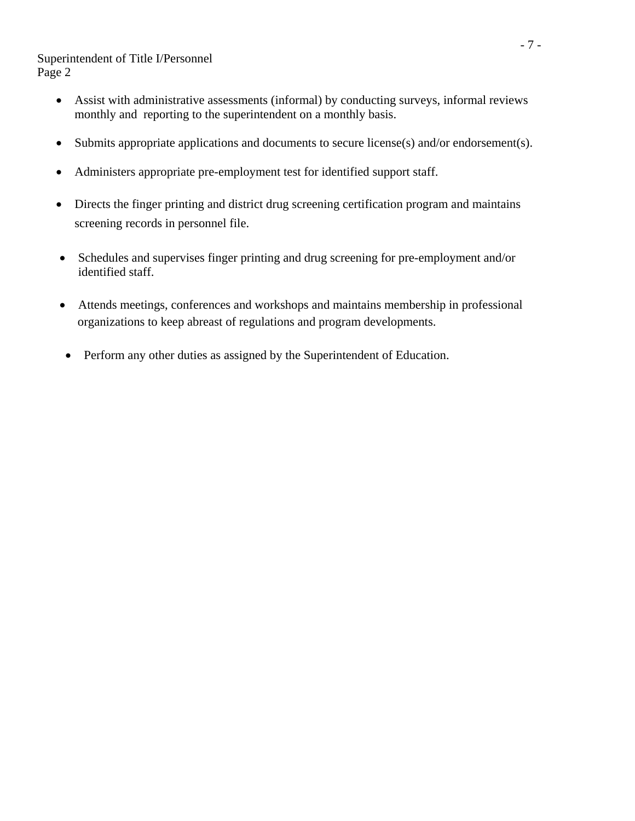Superintendent of Title I/Personnel Page 2

- Assist with administrative assessments (informal) by conducting surveys, informal reviews monthly and reporting to the superintendent on a monthly basis.
- Submits appropriate applications and documents to secure license(s) and/or endorsement(s).
- Administers appropriate pre-employment test for identified support staff.
- Directs the finger printing and district drug screening certification program and maintains screening records in personnel file.
- Schedules and supervises finger printing and drug screening for pre-employment and/or identified staff.
- Attends meetings, conferences and workshops and maintains membership in professional organizations to keep abreast of regulations and program developments.
- Perform any other duties as assigned by the Superintendent of Education.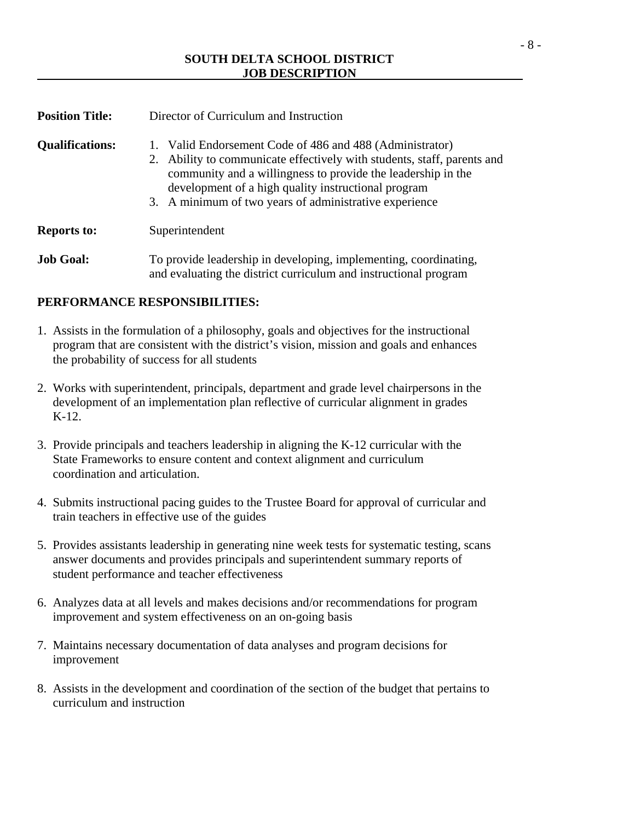| <b>Position Title:</b> | Director of Curriculum and Instruction                                                                                                                                                                                                                                                                                  |
|------------------------|-------------------------------------------------------------------------------------------------------------------------------------------------------------------------------------------------------------------------------------------------------------------------------------------------------------------------|
| <b>Qualifications:</b> | 1. Valid Endorsement Code of 486 and 488 (Administrator)<br>Ability to communicate effectively with students, staff, parents and<br>2.<br>community and a willingness to provide the leadership in the<br>development of a high quality instructional program<br>3. A minimum of two years of administrative experience |
| <b>Reports to:</b>     | Superintendent                                                                                                                                                                                                                                                                                                          |
| <b>Job Goal:</b>       | To provide leadership in developing, implementing, coordinating,<br>and evaluating the district curriculum and instructional program                                                                                                                                                                                    |

## **PERFORMANCE RESPONSIBILITIES:**

- 1. Assists in the formulation of a philosophy, goals and objectives for the instructional program that are consistent with the district's vision, mission and goals and enhances the probability of success for all students
- 2. Works with superintendent, principals, department and grade level chairpersons in the development of an implementation plan reflective of curricular alignment in grades K-12.
- 3. Provide principals and teachers leadership in aligning the K-12 curricular with the State Frameworks to ensure content and context alignment and curriculum coordination and articulation.
- 4. Submits instructional pacing guides to the Trustee Board for approval of curricular and train teachers in effective use of the guides
- 5. Provides assistants leadership in generating nine week tests for systematic testing, scans answer documents and provides principals and superintendent summary reports of student performance and teacher effectiveness
- 6. Analyzes data at all levels and makes decisions and/or recommendations for program improvement and system effectiveness on an on-going basis
- 7. Maintains necessary documentation of data analyses and program decisions for improvement
- 8. Assists in the development and coordination of the section of the budget that pertains to curriculum and instruction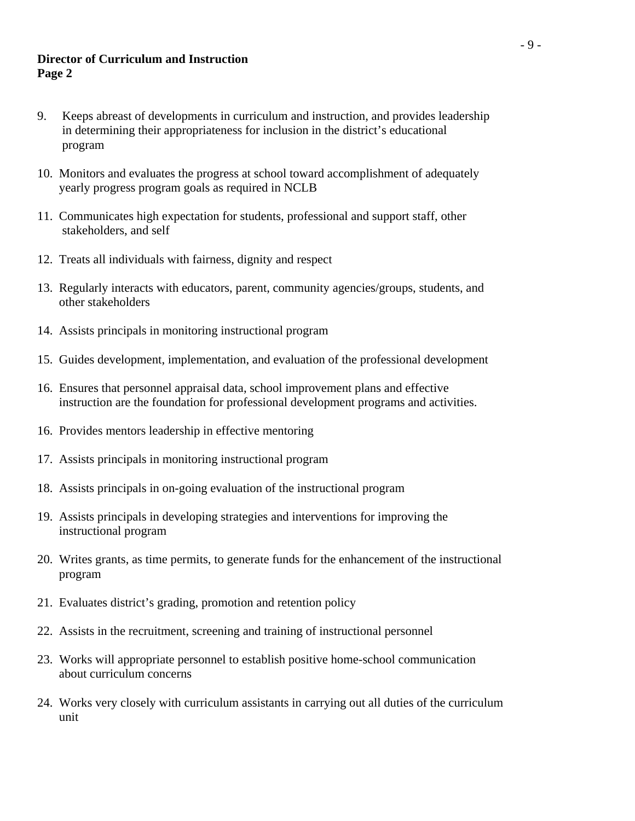## **Director of Curriculum and Instruction Page 2**

- 9. Keeps abreast of developments in curriculum and instruction, and provides leadership in determining their appropriateness for inclusion in the district's educational program
- 10. Monitors and evaluates the progress at school toward accomplishment of adequately yearly progress program goals as required in NCLB
- 11. Communicates high expectation for students, professional and support staff, other stakeholders, and self
- 12. Treats all individuals with fairness, dignity and respect
- 13. Regularly interacts with educators, parent, community agencies/groups, students, and other stakeholders
- 14. Assists principals in monitoring instructional program
- 15. Guides development, implementation, and evaluation of the professional development
- 16. Ensures that personnel appraisal data, school improvement plans and effective instruction are the foundation for professional development programs and activities.
- 16. Provides mentors leadership in effective mentoring
- 17. Assists principals in monitoring instructional program
- 18. Assists principals in on-going evaluation of the instructional program
- 19. Assists principals in developing strategies and interventions for improving the instructional program
- 20. Writes grants, as time permits, to generate funds for the enhancement of the instructional program
- 21. Evaluates district's grading, promotion and retention policy
- 22. Assists in the recruitment, screening and training of instructional personnel
- 23. Works will appropriate personnel to establish positive home-school communication about curriculum concerns
- 24. Works very closely with curriculum assistants in carrying out all duties of the curriculum unit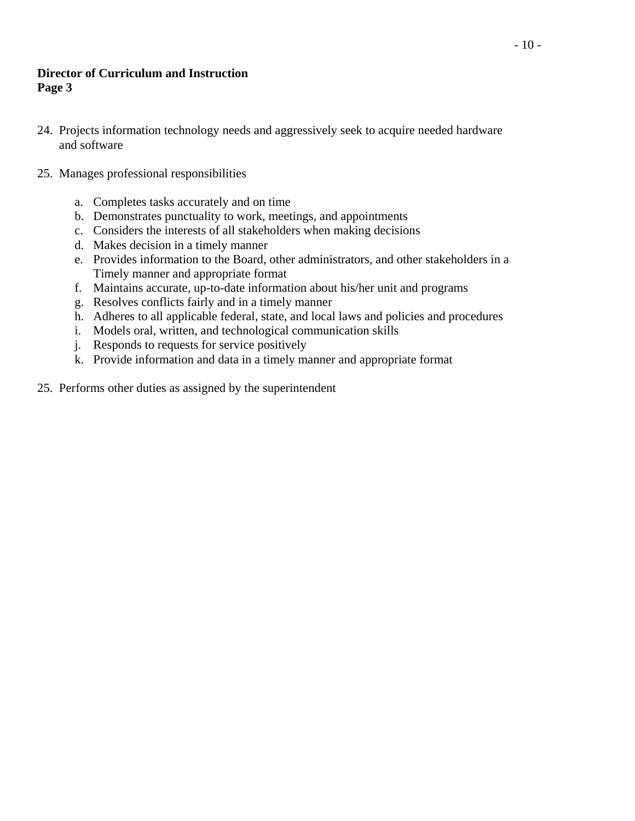## **Director of Curriculum and Instruction Page 3**

- 24. Projects information technology needs and aggressively seek to acquire needed hardware and software
- 25. Manages professional responsibilities
	- a. Completes tasks accurately and on time
	- b. Demonstrates punctuality to work, meetings, and appointments
	- c. Considers the interests of all stakeholders when making decisions
	- d. Makes decision in a timely manner
	- e. Provides information to the Board, other administrators, and other stakeholders in a Timely manner and appropriate format
	- f. Maintains accurate, up-to-date information about his/her unit and programs
	- g. Resolves conflicts fairly and in a timely manner
	- h. Adheres to all applicable federal, state, and local laws and policies and procedures
	- i. Models oral, written, and technological communication skills
	- j. Responds to requests for service positively
	- k. Provide information and data in a timely manner and appropriate format
- 25. Performs other duties as assigned by the superintendent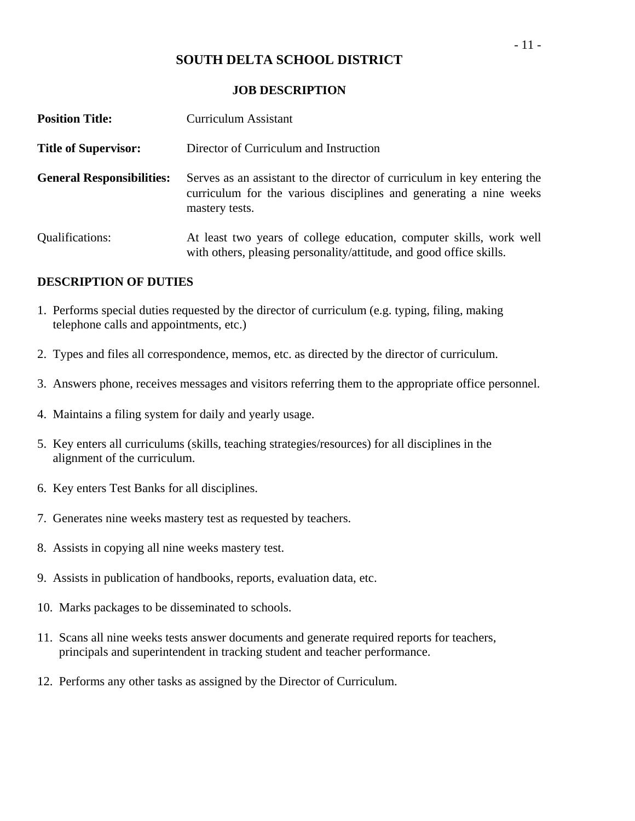#### **JOB DESCRIPTION**

| <b>Position Title:</b>           | <b>Curriculum Assistant</b>                                                                                                                                      |
|----------------------------------|------------------------------------------------------------------------------------------------------------------------------------------------------------------|
| <b>Title of Supervisor:</b>      | Director of Curriculum and Instruction                                                                                                                           |
| <b>General Responsibilities:</b> | Serves as an assistant to the director of curriculum in key entering the<br>curriculum for the various disciplines and generating a nine weeks<br>mastery tests. |
| <b>Qualifications:</b>           | At least two years of college education, computer skills, work well<br>with others, pleasing personality/attitude, and good office skills.                       |

- 1. Performs special duties requested by the director of curriculum (e.g. typing, filing, making telephone calls and appointments, etc.)
- 2. Types and files all correspondence, memos, etc. as directed by the director of curriculum.
- 3. Answers phone, receives messages and visitors referring them to the appropriate office personnel.
- 4. Maintains a filing system for daily and yearly usage.
- 5. Key enters all curriculums (skills, teaching strategies/resources) for all disciplines in the alignment of the curriculum.
- 6. Key enters Test Banks for all disciplines.
- 7. Generates nine weeks mastery test as requested by teachers.
- 8. Assists in copying all nine weeks mastery test.
- 9. Assists in publication of handbooks, reports, evaluation data, etc.
- 10. Marks packages to be disseminated to schools.
- 11. Scans all nine weeks tests answer documents and generate required reports for teachers, principals and superintendent in tracking student and teacher performance.
- 12. Performs any other tasks as assigned by the Director of Curriculum.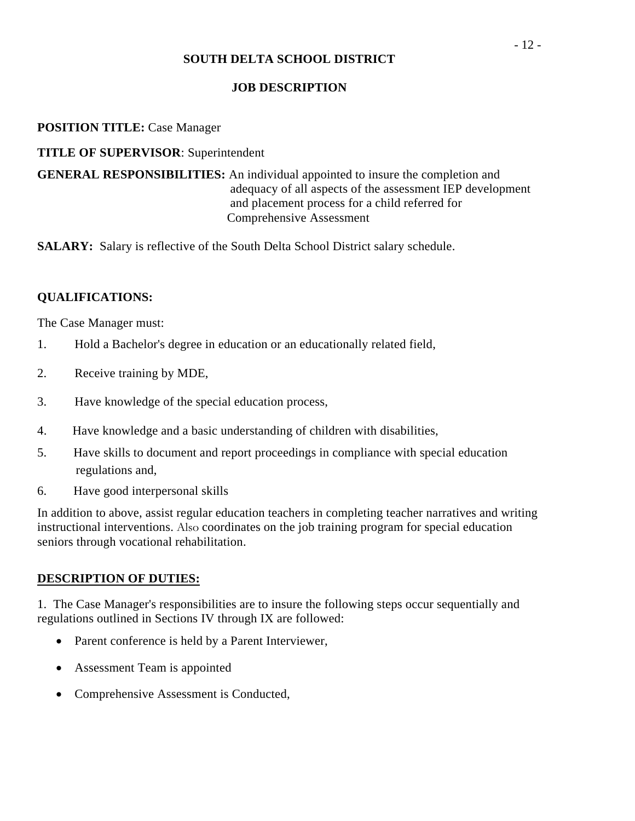## **JOB DESCRIPTION**

## **POSITION TITLE:** Case Manager

## **TITLE OF SUPERVISOR**: Superintendent

**GENERAL RESPONSIBILITIES:** An individual appointed to insure the completion and adequacy of all aspects of the assessment IEP development and placement process for a child referred for Comprehensive Assessment

**SALARY:** Salary is reflective of the South Delta School District salary schedule.

## **QUALIFICATIONS:**

The Case Manager must:

- 1. Hold a Bachelor's degree in education or an educationally related field,
- 2. Receive training by MDE,
- 3. Have knowledge of the special education process,
- 4. Have knowledge and a basic understanding of children with disabilities,
- 5. Have skills to document and report proceedings in compliance with special education regulations and,
- 6. Have good interpersonal skills

In addition to above, assist regular education teachers in completing teacher narratives and writing instructional interventions. Also coordinates on the job training program for special education seniors through vocational rehabilitation.

#### **DESCRIPTION OF DUTIES:**

1. The Case Manager's responsibilities are to insure the following steps occur sequentially and regulations outlined in Sections IV through IX are followed:

- Parent conference is held by a Parent Interviewer,
- Assessment Team is appointed
- Comprehensive Assessment is Conducted,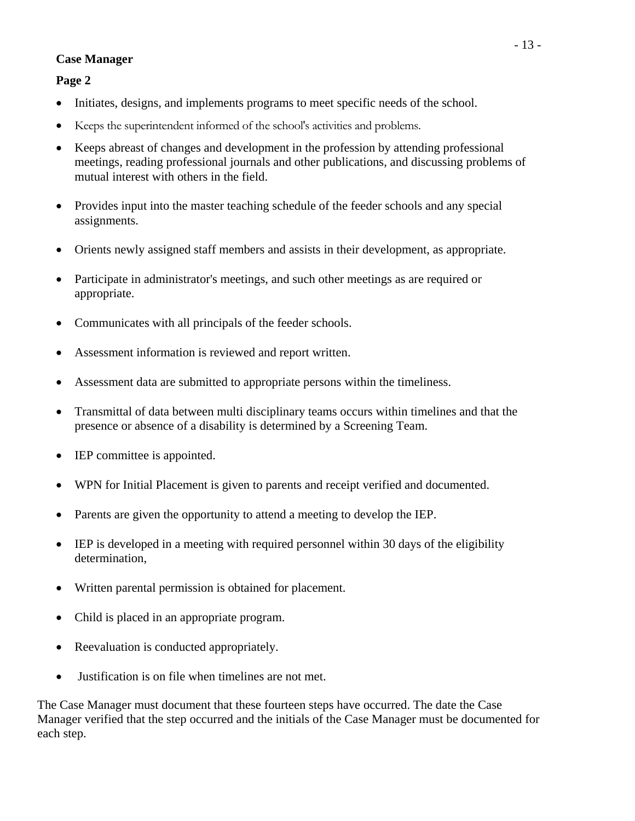## **Case Manager**

**Page 2** 

- Initiates, designs, and implements programs to meet specific needs of the school.
- Keeps the superintendent informed of the school's activities and problems.
- Keeps abreast of changes and development in the profession by attending professional meetings, reading professional journals and other publications, and discussing problems of mutual interest with others in the field.
- Provides input into the master teaching schedule of the feeder schools and any special assignments.
- Orients newly assigned staff members and assists in their development, as appropriate.
- Participate in administrator's meetings, and such other meetings as are required or appropriate.
- Communicates with all principals of the feeder schools.
- Assessment information is reviewed and report written.
- Assessment data are submitted to appropriate persons within the timeliness.
- Transmittal of data between multi disciplinary teams occurs within timelines and that the presence or absence of a disability is determined by a Screening Team.
- IEP committee is appointed.
- WPN for Initial Placement is given to parents and receipt verified and documented.
- Parents are given the opportunity to attend a meeting to develop the IEP.
- IEP is developed in a meeting with required personnel within 30 days of the eligibility determination,
- Written parental permission is obtained for placement.
- Child is placed in an appropriate program.
- Reevaluation is conducted appropriately.
- Justification is on file when timelines are not met.

The Case Manager must document that these fourteen steps have occurred. The date the Case Manager verified that the step occurred and the initials of the Case Manager must be documented for each step.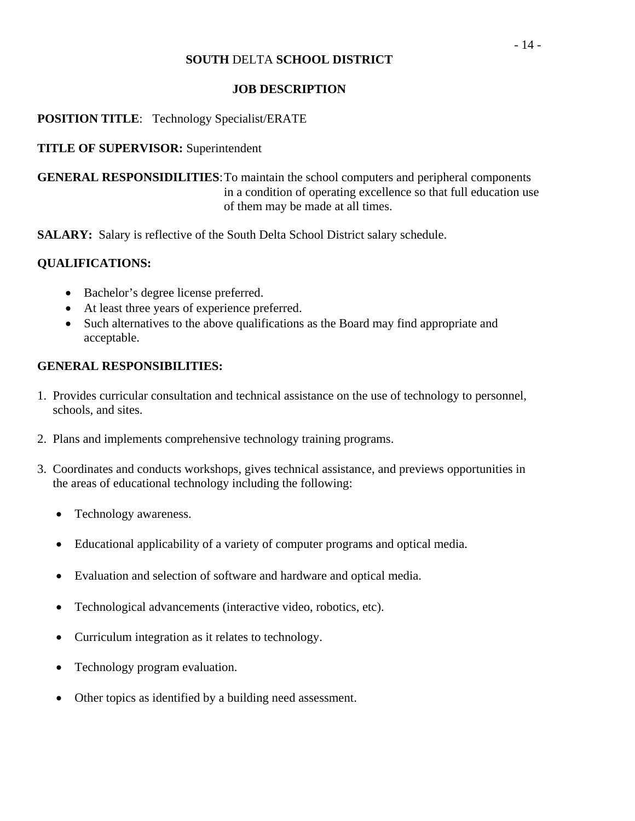## **JOB DESCRIPTION**

## **POSITION TITLE**: Technology Specialist/ERATE

## **TITLE OF SUPERVISOR:** Superintendent

**GENERAL RESPONSIDILITIES**: To maintain the school computers and peripheral components in a condition of operating excellence so that full education use of them may be made at all times.

**SALARY:** Salary is reflective of the South Delta School District salary schedule.

## **QUALIFICATIONS:**

- Bachelor's degree license preferred.
- At least three years of experience preferred.
- Such alternatives to the above qualifications as the Board may find appropriate and acceptable.

## **GENERAL RESPONSIBILITIES:**

- 1. Provides curricular consultation and technical assistance on the use of technology to personnel, schools, and sites.
- 2. Plans and implements comprehensive technology training programs.
- 3. Coordinates and conducts workshops, gives technical assistance, and previews opportunities in the areas of educational technology including the following:
	- Technology awareness.
	- Educational applicability of a variety of computer programs and optical media.
	- Evaluation and selection of software and hardware and optical media.
	- Technological advancements (interactive video, robotics, etc).
	- Curriculum integration as it relates to technology.
	- Technology program evaluation.
	- Other topics as identified by a building need assessment.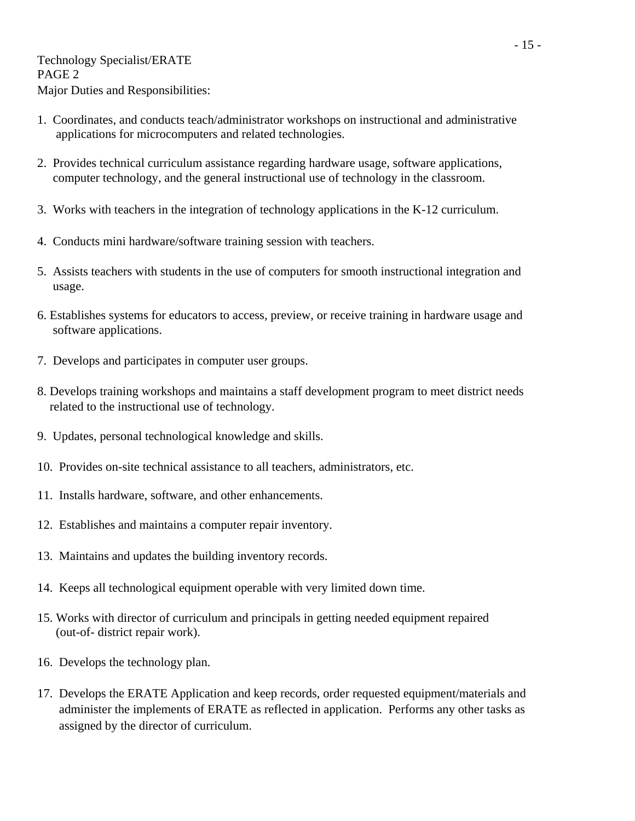- 1. Coordinates, and conducts teach/administrator workshops on instructional and administrative applications for microcomputers and related technologies.
- 2. Provides technical curriculum assistance regarding hardware usage, software applications, computer technology, and the general instructional use of technology in the classroom.
- 3. Works with teachers in the integration of technology applications in the K-12 curriculum.
- 4. Conducts mini hardware/software training session with teachers.
- 5. Assists teachers with students in the use of computers for smooth instructional integration and usage.
- 6. Establishes systems for educators to access, preview, or receive training in hardware usage and software applications.
- 7. Develops and participates in computer user groups.
- 8. Develops training workshops and maintains a staff development program to meet district needs related to the instructional use of technology.
- 9. Updates, personal technological knowledge and skills.
- 10. Provides on-site technical assistance to all teachers, administrators, etc.
- 11. Installs hardware, software, and other enhancements.
- 12. Establishes and maintains a computer repair inventory.
- 13. Maintains and updates the building inventory records.
- 14. Keeps all technological equipment operable with very limited down time.
- 15. Works with director of curriculum and principals in getting needed equipment repaired (out-of- district repair work).
- 16. Develops the technology plan.
- 17. Develops the ERATE Application and keep records, order requested equipment/materials and administer the implements of ERATE as reflected in application. Performs any other tasks as assigned by the director of curriculum.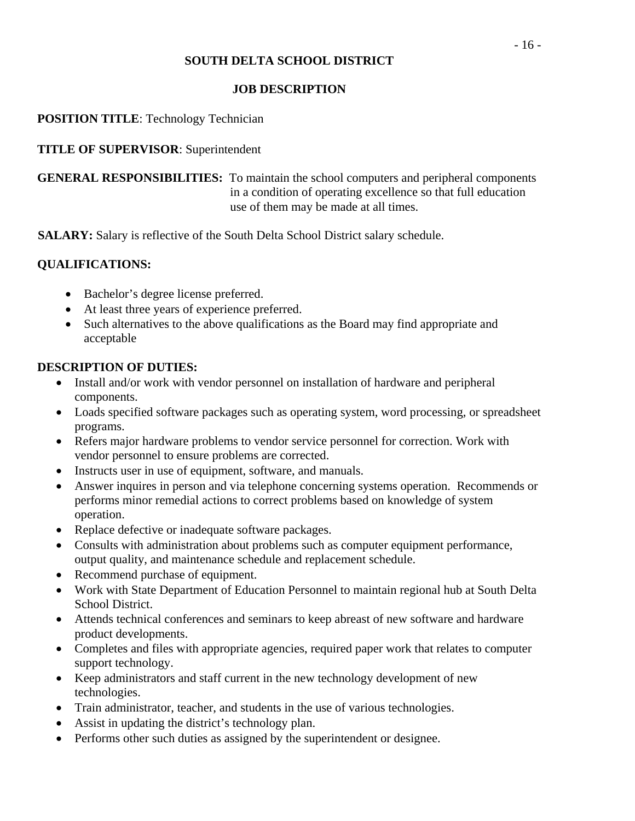## **JOB DESCRIPTION**

## **POSITION TITLE**: Technology Technician

#### **TITLE OF SUPERVISOR**: Superintendent

**GENERAL RESPONSIBILITIES:** To maintain the school computers and peripheral components in a condition of operating excellence so that full education use of them may be made at all times.

**SALARY:** Salary is reflective of the South Delta School District salary schedule.

## **QUALIFICATIONS:**

- Bachelor's degree license preferred.
- At least three years of experience preferred.
- Such alternatives to the above qualifications as the Board may find appropriate and acceptable

- Install and/or work with vendor personnel on installation of hardware and peripheral components.
- Loads specified software packages such as operating system, word processing, or spreadsheet programs.
- Refers major hardware problems to vendor service personnel for correction. Work with vendor personnel to ensure problems are corrected.
- Instructs user in use of equipment, software, and manuals.
- Answer inquires in person and via telephone concerning systems operation. Recommends or performs minor remedial actions to correct problems based on knowledge of system operation.
- Replace defective or inadequate software packages.
- Consults with administration about problems such as computer equipment performance, output quality, and maintenance schedule and replacement schedule.
- Recommend purchase of equipment.
- Work with State Department of Education Personnel to maintain regional hub at South Delta School District.
- Attends technical conferences and seminars to keep abreast of new software and hardware product developments.
- Completes and files with appropriate agencies, required paper work that relates to computer support technology.
- Keep administrators and staff current in the new technology development of new technologies.
- Train administrator, teacher, and students in the use of various technologies.
- Assist in updating the district's technology plan.
- Performs other such duties as assigned by the superintendent or designee.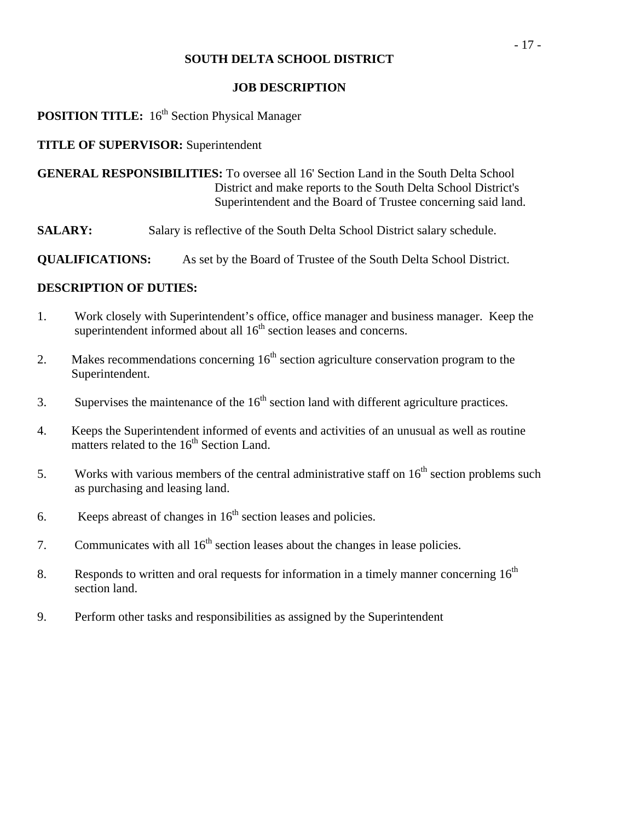#### **JOB DESCRIPTION**

# **POSITION TITLE:** 16<sup>th</sup> Section Physical Manager

#### **TITLE OF SUPERVISOR:** Superintendent

**GENERAL RESPONSIBILITIES:** To oversee all 16' Section Land in the South Delta School District and make reports to the South Delta School District's Superintendent and the Board of Trustee concerning said land.

**SALARY:** Salary is reflective of the South Delta School District salary schedule.

**QUALIFICATIONS:** As set by the Board of Trustee of the South Delta School District.

- 1. Work closely with Superintendent's office, office manager and business manager. Keep the superintendent informed about all  $16<sup>th</sup>$  section leases and concerns.
- 2. Makes recommendations concerning  $16<sup>th</sup>$  section agriculture conservation program to the Superintendent.
- 3. Supervises the maintenance of the  $16<sup>th</sup>$  section land with different agriculture practices.
- 4. Keeps the Superintendent informed of events and activities of an unusual as well as routine matters related to the  $16<sup>th</sup>$  Section Land.
- 5. Works with various members of the central administrative staff on  $16<sup>th</sup>$  section problems such as purchasing and leasing land.
- 6. Keeps abreast of changes in  $16<sup>th</sup>$  section leases and policies.
- 7. Communicates with all  $16<sup>th</sup>$  section leases about the changes in lease policies.
- 8. Responds to written and oral requests for information in a timely manner concerning  $16<sup>th</sup>$ section land.
- 9. Perform other tasks and responsibilities as assigned by the Superintendent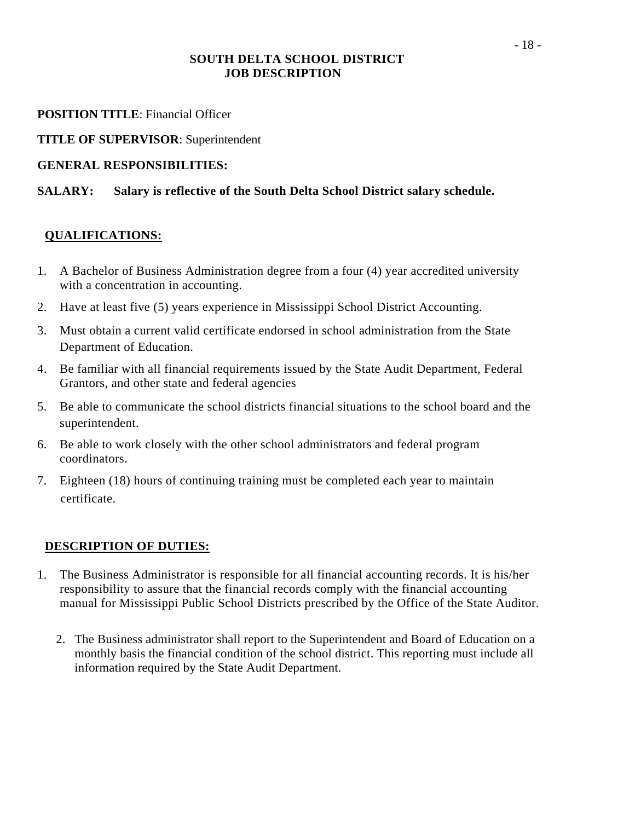## **SOUTH DELTA SCHOOL DISTRICT JOB DESCRIPTION**

## **POSITION TITLE:** Financial Officer

**TITLE OF SUPERVISOR**: Superintendent

## **GENERAL RESPONSIBILITIES:**

# **SALARY: Salary is reflective of the South Delta School District salary schedule.**

# **QUALIFICATIONS:**

- 1. A Bachelor of Business Administration degree from a four (4) year accredited university with a concentration in accounting.
- 2. Have at least five (5) years experience in Mississippi School District Accounting.
- 3. Must obtain a current valid certificate endorsed in school administration from the State Department of Education.
- 4. Be familiar with all financial requirements issued by the State Audit Department, Federal Grantors, and other state and federal agencies
- 5. Be able to communicate the school districts financial situations to the school board and the superintendent.
- 6. Be able to work closely with the other school administrators and federal program coordinators.
- 7. Eighteen (18) hours of continuing training must be completed each year to maintain certificate.

- 1. The Business Administrator is responsible for all financial accounting records. It is his/her responsibility to assure that the financial records comply with the financial accounting manual for Mississippi Public School Districts prescribed by the Office of the State Auditor.
	- 2. The Business administrator shall report to the Superintendent and Board of Education on a monthly basis the financial condition of the school district. This reporting must include all information required by the State Audit Department.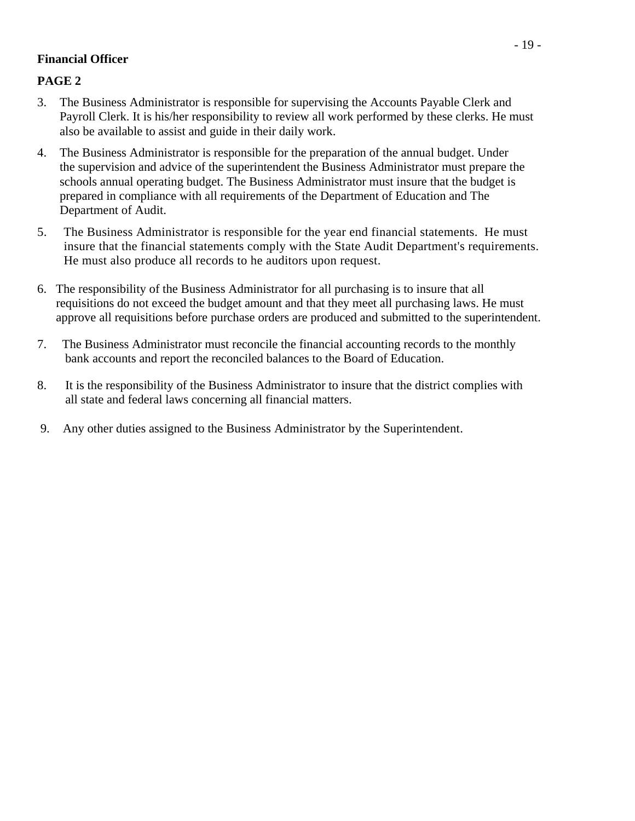## **Financial Officer**

## **PAGE 2**

- 3. The Business Administrator is responsible for supervising the Accounts Payable Clerk and Payroll Clerk. It is his/her responsibility to review all work performed by these clerks. He must also be available to assist and guide in their daily work.
- 4. The Business Administrator is responsible for the preparation of the annual budget. Under the supervision and advice of the superintendent the Business Administrator must prepare the schools annual operating budget. The Business Administrator must insure that the budget is prepared in compliance with all requirements of the Department of Education and The Department of Audit.
- 5. The Business Administrator is responsible for the year end financial statements. He must insure that the financial statements comply with the State Audit Department's requirements. He must also produce all records to he auditors upon request.
- 6. The responsibility of the Business Administrator for all purchasing is to insure that all requisitions do not exceed the budget amount and that they meet all purchasing laws. He must approve all requisitions before purchase orders are produced and submitted to the superintendent.
- 7. The Business Administrator must reconcile the financial accounting records to the monthly bank accounts and report the reconciled balances to the Board of Education.
- 8. It is the responsibility of the Business Administrator to insure that the district complies with all state and federal laws concerning all financial matters.
- 9. Any other duties assigned to the Business Administrator by the Superintendent.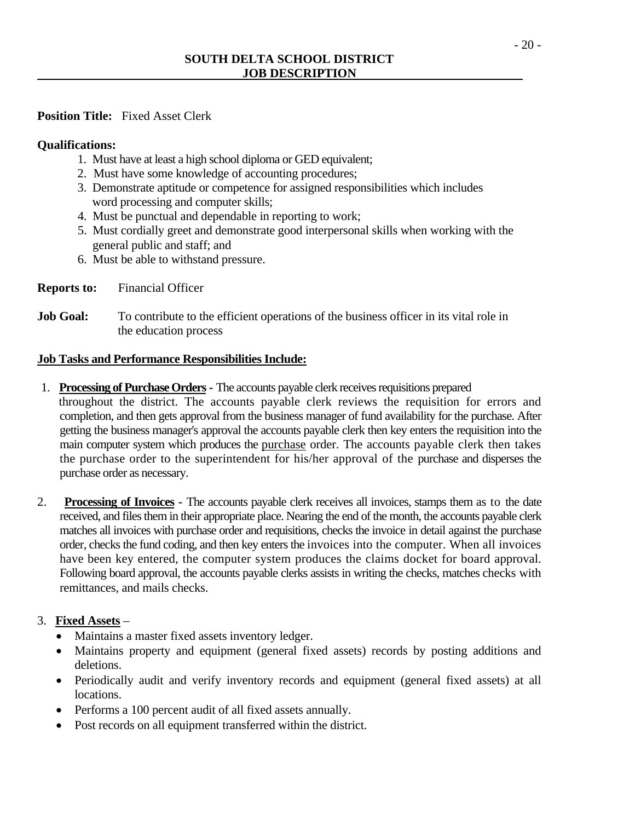## **Position Title:** Fixed Asset Clerk

## **Qualifications:**

- 1. Must have at least a high school diploma or GED equivalent;
- 2. Must have some knowledge of accounting procedures;
- 3. Demonstrate aptitude or competence for assigned responsibilities which includes word processing and computer skills;
- 4. Must be punctual and dependable in reporting to work;
- 5. Must cordially greet and demonstrate good interpersonal skills when working with the general public and staff; and
- 6. Must be able to withstand pressure.
- **Reports to:** Financial Officer
- **Job Goal:** To contribute to the efficient operations of the business officer in its vital role in the education process

## **Job Tasks and Performance Responsibilities Include:**

- 1. **Processing of Purchase Orders** The accounts payable clerk receives requisitions prepared throughout the district. The accounts payable clerk reviews the requisition for errors and completion, and then gets approval from the business manager of fund availability for the purchase. After getting the business manager's approval the accounts payable clerk then key enters the requisition into the main computer system which produces the purchase order. The accounts payable clerk then takes the purchase order to the superintendent for his/her approval of the purchase and disperses the purchase order as necessary.
- 2. **Processing of Invoices** The accounts payable clerk receives all invoices, stamps them as to the date received, and files them in their appropriate place. Nearing the end of the month, the accounts payable clerk matches all invoices with purchase order and requisitions, checks the invoice in detail against the purchase order, checks the fund coding, and then key enters the invoices into the computer. When all invoices have been key entered, the computer system produces the claims docket for board approval. Following board approval, the accounts payable clerks assists in writing the checks, matches checks with remittances, and mails checks.

## 3. **Fixed Assets** –

- Maintains a master fixed assets inventory ledger.
- Maintains property and equipment (general fixed assets) records by posting additions and deletions.
- Periodically audit and verify inventory records and equipment (general fixed assets) at all locations.
- Performs a 100 percent audit of all fixed assets annually.
- Post records on all equipment transferred within the district.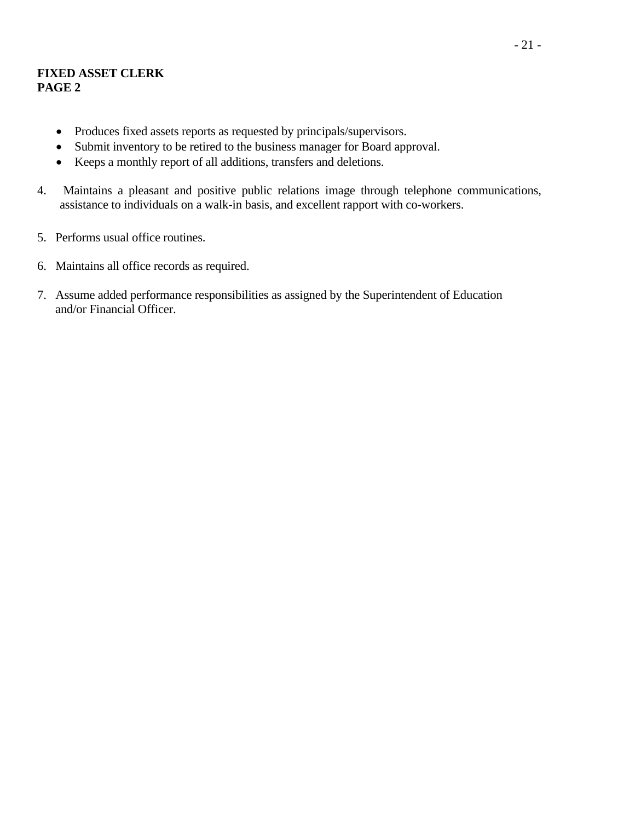## **FIXED ASSET CLERK PAGE 2**

- Produces fixed assets reports as requested by principals/supervisors.
- Submit inventory to be retired to the business manager for Board approval.
- Keeps a monthly report of all additions, transfers and deletions.
- 4. Maintains a pleasant and positive public relations image through telephone communications, assistance to individuals on a walk-in basis, and excellent rapport with co-workers.
- 5. Performs usual office routines.
- 6. Maintains all office records as required.
- 7. Assume added performance responsibilities as assigned by the Superintendent of Education and/or Financial Officer.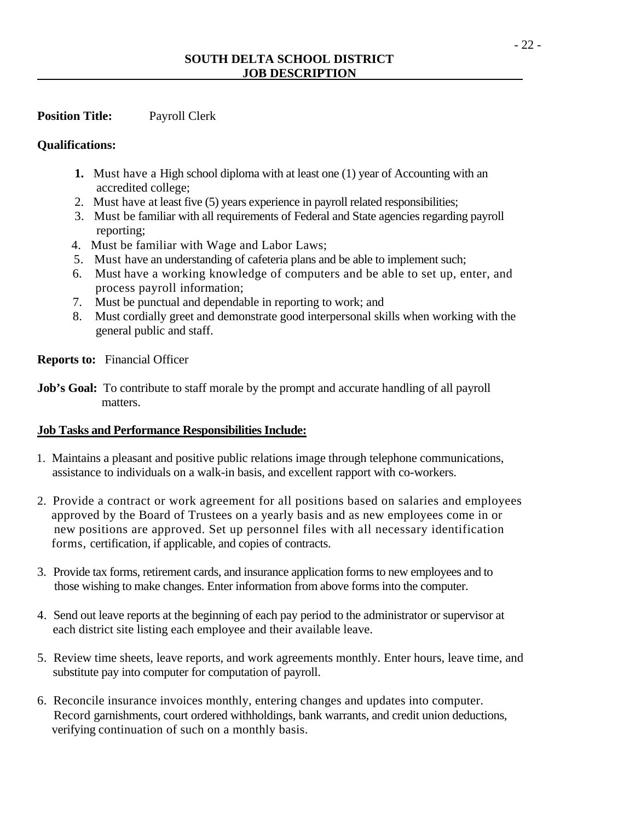## **Position Title:** Payroll Clerk

#### **Qualifications:**

- **1.** Must have a High school diploma with at least one (1) year of Accounting with an accredited college;
- 2. Must have at least five (5) years experience in payroll related responsibilities;
- 3. Must be familiar with all requirements of Federal and State agencies regarding payroll reporting;
- 4. Must be familiar with Wage and Labor Laws;
- 5. Must have an understanding of cafeteria plans and be able to implement such;
- 6. Must have a working knowledge of computers and be able to set up, enter, and process payroll information;
- 7. Must be punctual and dependable in reporting to work; and
- 8. Must cordially greet and demonstrate good interpersonal skills when working with the general public and staff.

**Reports to:** Financial Officer

**Job's Goal:** To contribute to staff morale by the prompt and accurate handling of all payroll matters.

## **Job Tasks and Performance Responsibilities Include:**

- 1. Maintains a pleasant and positive public relations image through telephone communications, assistance to individuals on a walk-in basis, and excellent rapport with co-workers.
- 2. Provide a contract or work agreement for all positions based on salaries and employees approved by the Board of Trustees on a yearly basis and as new employees come in or new positions are approved. Set up personnel files with all necessary identification forms, certification, if applicable, and copies of contracts.
- 3. Provide tax forms, retirement cards, and insurance application forms to new employees and to those wishing to make changes. Enter information from above forms into the computer.
- 4. Send out leave reports at the beginning of each pay period to the administrator or supervisor at each district site listing each employee and their available leave.
- 5. Review time sheets, leave reports, and work agreements monthly. Enter hours, leave time, and substitute pay into computer for computation of payroll.
- 6. Reconcile insurance invoices monthly, entering changes and updates into computer. Record garnishments, court ordered withholdings, bank warrants, and credit union deductions, verifying continuation of such on a monthly basis.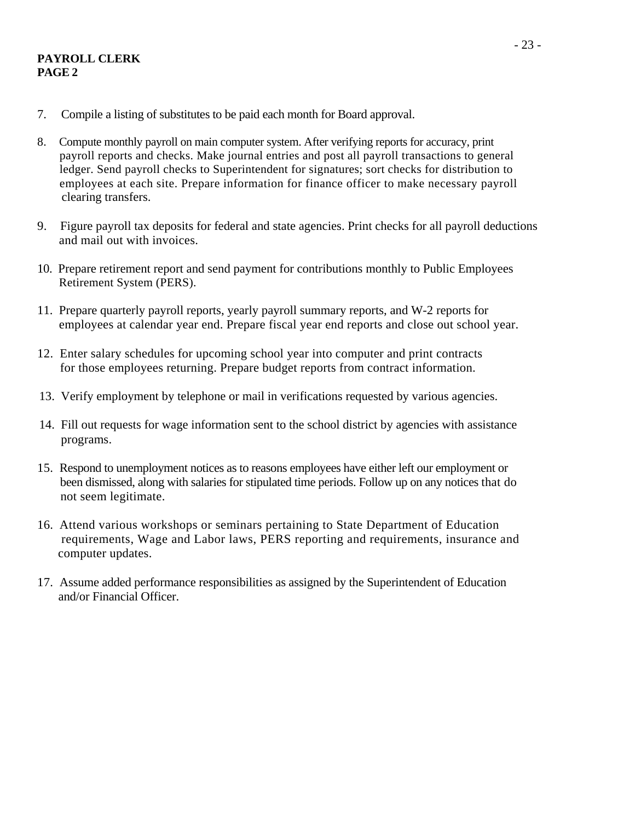#### **PAYROLL CLERK PAGE 2**

- 7. Compile a listing of substitutes to be paid each month for Board approval.
- 8. Compute monthly payroll on main computer system. After verifying reports for accuracy, print payroll reports and checks. Make journal entries and post all payroll transactions to general ledger. Send payroll checks to Superintendent for signatures; sort checks for distribution to employees at each site. Prepare information for finance officer to make necessary payroll clearing transfers.
- 9. Figure payroll tax deposits for federal and state agencies. Print checks for all payroll deductions and mail out with invoices.
- 10. Prepare retirement report and send payment for contributions monthly to Public Employees Retirement System (PERS).
- 11. Prepare quarterly payroll reports, yearly payroll summary reports, and W-2 reports for employees at calendar year end. Prepare fiscal year end reports and close out school year.
- 12. Enter salary schedules for upcoming school year into computer and print contracts for those employees returning. Prepare budget reports from contract information.
- 13. Verify employment by telephone or mail in verifications requested by various agencies.
- 14. Fill out requests for wage information sent to the school district by agencies with assistance programs.
- 15. Respond to unemployment notices as to reasons employees have either left our employment or been dismissed, along with salaries for stipulated time periods. Follow up on any notices that do not seem legitimate.
- 16. Attend various workshops or seminars pertaining to State Department of Education requirements, Wage and Labor laws, PERS reporting and requirements, insurance and computer updates.
- 17. Assume added performance responsibilities as assigned by the Superintendent of Education and/or Financial Officer.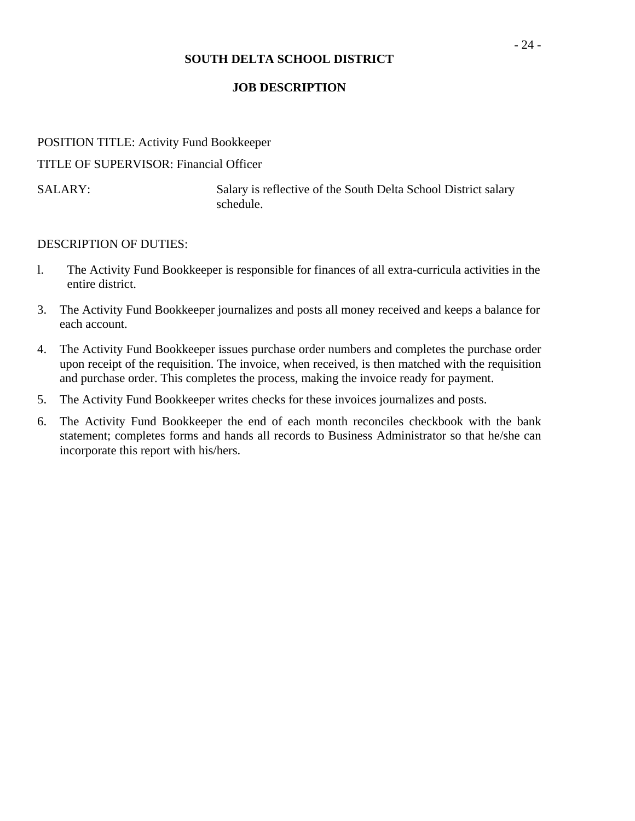## **JOB DESCRIPTION**

# POSITION TITLE: Activity Fund Bookkeeper

TITLE OF SUPERVISOR: Financial Officer

SALARY: Salary is reflective of the South Delta School District salary schedule.

- l. The Activity Fund Bookkeeper is responsible for finances of all extra-curricula activities in the entire district.
- 3. The Activity Fund Bookkeeper journalizes and posts all money received and keeps a balance for each account.
- 4. The Activity Fund Bookkeeper issues purchase order numbers and completes the purchase order upon receipt of the requisition. The invoice, when received, is then matched with the requisition and purchase order. This completes the process, making the invoice ready for payment.
- 5. The Activity Fund Bookkeeper writes checks for these invoices journalizes and posts.
- 6. The Activity Fund Bookkeeper the end of each month reconciles checkbook with the bank statement; completes forms and hands all records to Business Administrator so that he/she can incorporate this report with his/hers.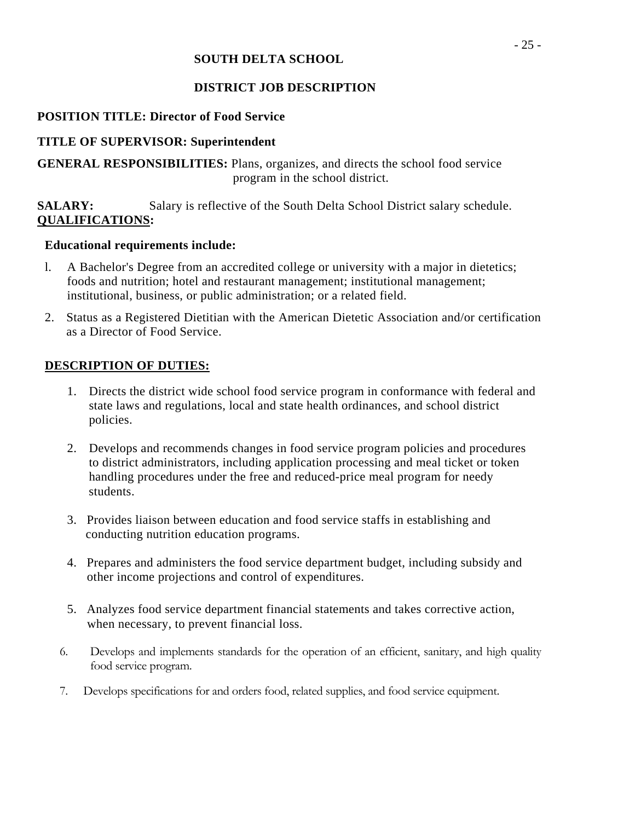## **SOUTH DELTA SCHOOL**

## **DISTRICT JOB DESCRIPTION**

## **POSITION TITLE: Director of Food Service**

## **TITLE OF SUPERVISOR: Superintendent**

**GENERAL RESPONSIBILITIES:** Plans, organizes, and directs the school food service program in the school district.

**SALARY:** Salary is reflective of the South Delta School District salary schedule. **QUALIFICATIONS:** 

## **Educational requirements include:**

- l. A Bachelor's Degree from an accredited college or university with a major in dietetics; foods and nutrition; hotel and restaurant management; institutional management; institutional, business, or public administration; or a related field.
- 2. Status as a Registered Dietitian with the American Dietetic Association and/or certification as a Director of Food Service.

- 1. Directs the district wide school food service program in conformance with federal and state laws and regulations, local and state health ordinances, and school district policies.
- 2. Develops and recommends changes in food service program policies and procedures to district administrators, including application processing and meal ticket or token handling procedures under the free and reduced-price meal program for needy students.
- 3. Provides liaison between education and food service staffs in establishing and conducting nutrition education programs.
- 4. Prepares and administers the food service department budget, including subsidy and other income projections and control of expenditures.
- 5. Analyzes food service department financial statements and takes corrective action, when necessary, to prevent financial loss.
- 6. Develops and implements standards for the operation of an efficient, sanitary, and high quality food service program.
- 7. Develops specifications for and orders food, related supplies, and food service equipment.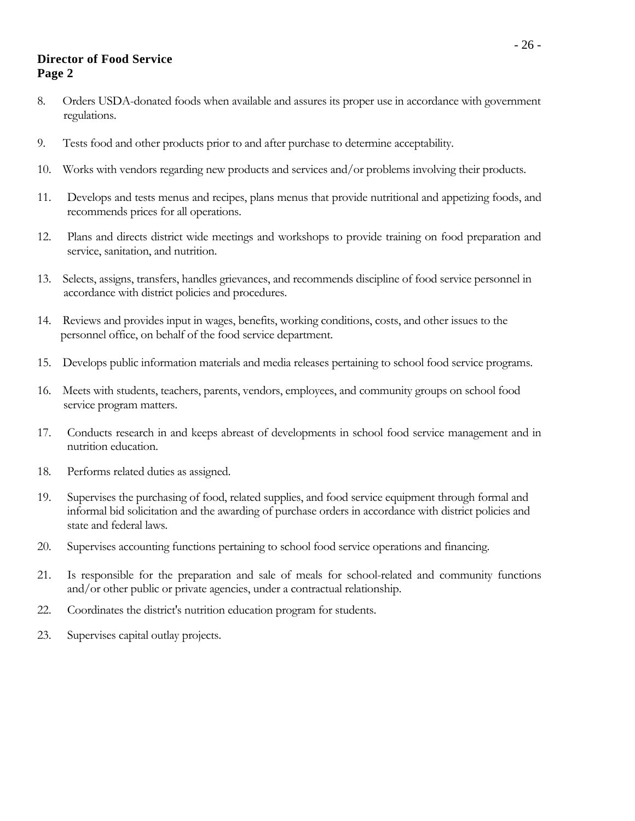## **Director of Food Service Page 2**

- 8. Orders USDA-donated foods when available and assures its proper use in accordance with government regulations.
- 9. Tests food and other products prior to and after purchase to determine acceptability.
- 10. Works with vendors regarding new products and services and/or problems involving their products.
- 11. Develops and tests menus and recipes, plans menus that provide nutritional and appetizing foods, and recommends prices for all operations.
- 12. Plans and directs district wide meetings and workshops to provide training on food preparation and service, sanitation, and nutrition.
- 13. Selects, assigns, transfers, handles grievances, and recommends discipline of food service personnel in accordance with district policies and procedures.
- 14. Reviews and provides input in wages, benefits, working conditions, costs, and other issues to the personnel office, on behalf of the food service department.
- 15. Develops public information materials and media releases pertaining to school food service programs.
- 16. Meets with students, teachers, parents, vendors, employees, and community groups on school food service program matters.
- 17. Conducts research in and keeps abreast of developments in school food service management and in nutrition education.
- 18. Performs related duties as assigned.
- 19. Supervises the purchasing of food, related supplies, and food service equipment through formal and informal bid solicitation and the awarding of purchase orders in accordance with district policies and state and federal laws.
- 20. Supervises accounting functions pertaining to school food service operations and financing.
- 21. Is responsible for the preparation and sale of meals for school-related and community functions and/or other public or private agencies, under a contractual relationship.
- 22. Coordinates the district's nutrition education program for students.
- 23. Supervises capital outlay projects.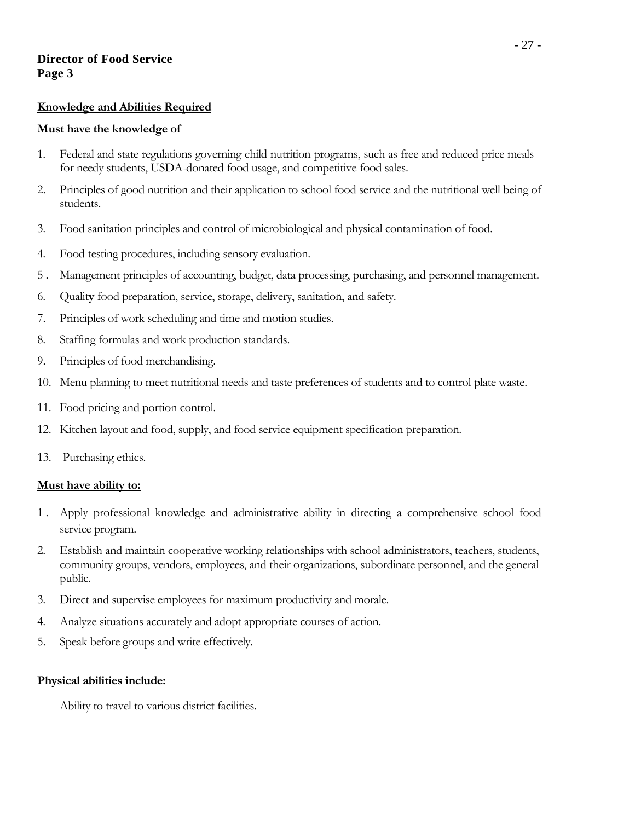## **Director of Food Service Page 3**

#### **Knowledge and Abilities Required**

#### **Must have the knowledge of**

- 1. Federal and state regulations governing child nutrition programs, such as free and reduced price meals for needy students, USDA-donated food usage, and competitive food sales.
- 2. Principles of good nutrition and their application to school food service and the nutritional well being of students.
- 3. Food sanitation principles and control of microbiological and physical contamination of food.
- 4. Food testing procedures, including sensory evaluation.
- 5 . Management principles of accounting, budget, data processing, purchasing, and personnel management.
- 6. Qualit**y** food preparation, service, storage, delivery, sanitation, and safety.
- 7. Principles of work scheduling and time and motion studies.
- 8. Staffing formulas and work production standards.
- 9. Principles of food merchandising.
- 10. Menu planning to meet nutritional needs and taste preferences of students and to control plate waste.
- 11. Food pricing and portion control.
- 12. Kitchen layout and food, supply, and food service equipment specification preparation.
- 13. Purchasing ethics.

#### **Must have ability to:**

- 1 . Apply professional knowledge and administrative ability in directing a comprehensive school food service program.
- 2. Establish and maintain cooperative working relationships with school administrators, teachers, students, community groups, vendors, employees, and their organizations, subordinate personnel, and the general public.
- 3. Direct and supervise employees for maximum productivity and morale.
- 4. Analyze situations accurately and adopt appropriate courses of action.
- 5. Speak before groups and write effectively.

#### **Physical abilities include:**

Ability to travel to various district facilities.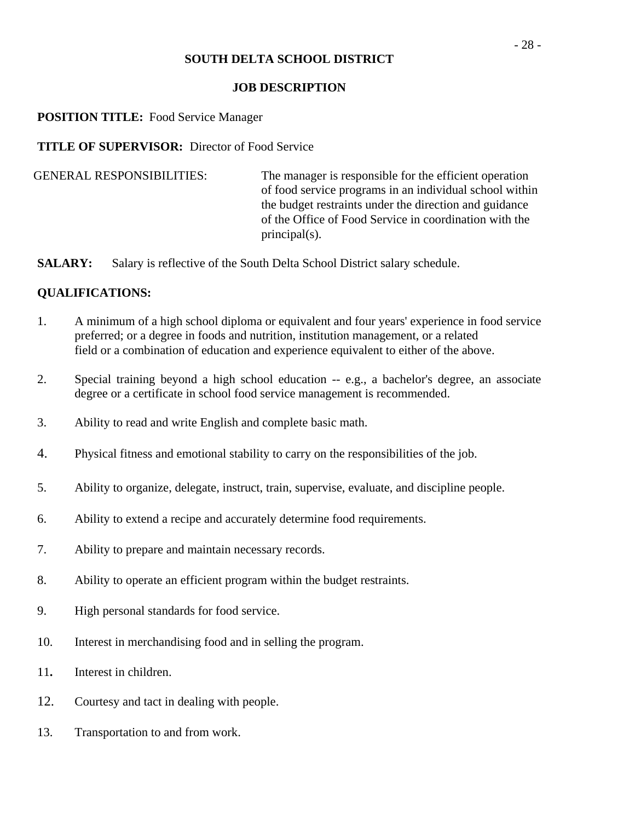#### **JOB DESCRIPTION**

#### **POSITION TITLE:** Food Service Manager

**TITLE OF SUPERVISOR:** Director of Food Service

GENERAL RESPONSIBILITIES: The manager is responsible for the efficient operation of food service programs in an individual school within the budget restraints under the direction and guidance of the Office of Food Service in coordination with the principal(s).

**SALARY:** Salary is reflective of the South Delta School District salary schedule.

#### **QUALIFICATIONS:**

- 1. A minimum of a high school diploma or equivalent and four years' experience in food service preferred; or a degree in foods and nutrition, institution management, or a related field or a combination of education and experience equivalent to either of the above.
- 2. Special training beyond a high school education -- e.g., a bachelor's degree, an associate degree or a certificate in school food service management is recommended.
- 3. Ability to read and write English and complete basic math.
- 4. Physical fitness and emotional stability to carry on the responsibilities of the job.
- 5. Ability to organize, delegate, instruct, train, supervise, evaluate, and discipline people.
- 6. Ability to extend a recipe and accurately determine food requirements.
- 7. Ability to prepare and maintain necessary records.
- 8. Ability to operate an efficient program within the budget restraints.
- 9. High personal standards for food service.
- 10. Interest in merchandising food and in selling the program.
- 11**.** Interest in children.
- 12. Courtesy and tact in dealing with people.
- 13. Transportation to and from work.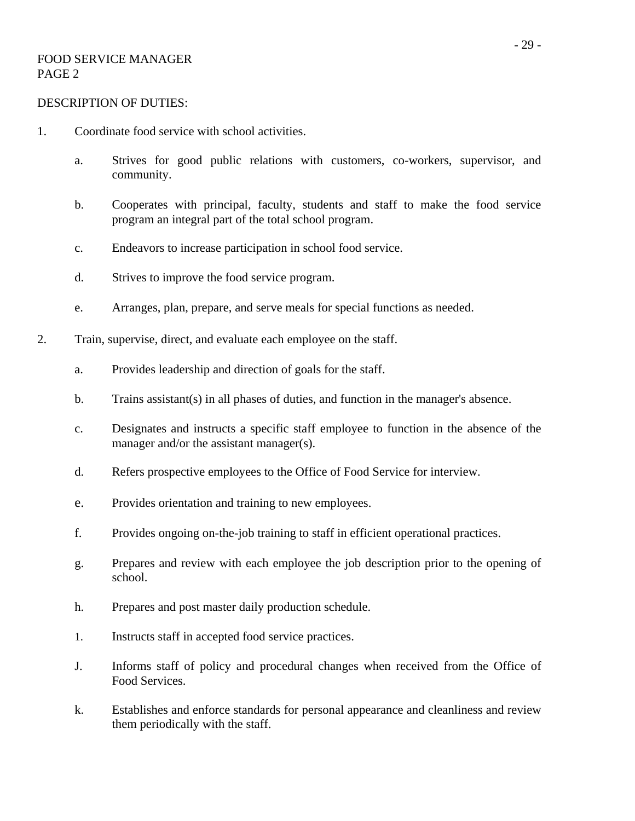#### FOOD SERVICE MANAGER PAGE 2

- 1. Coordinate food service with school activities.
	- a. Strives for good public relations with customers, co-workers, supervisor, and community.
	- b. Cooperates with principal, faculty, students and staff to make the food service program an integral part of the total school program.
	- c. Endeavors to increase participation in school food service.
	- d. Strives to improve the food service program.
	- e. Arranges, plan, prepare, and serve meals for special functions as needed.
- 2. Train, supervise, direct, and evaluate each employee on the staff.
	- a. Provides leadership and direction of goals for the staff.
	- b. Trains assistant(s) in all phases of duties, and function in the manager's absence.
	- c. Designates and instructs a specific staff employee to function in the absence of the manager and/or the assistant manager(s).
	- d. Refers prospective employees to the Office of Food Service for interview.
	- e. Provides orientation and training to new employees.
	- f. Provides ongoing on-the-job training to staff in efficient operational practices.
	- g. Prepares and review with each employee the job description prior to the opening of school.
	- h. Prepares and post master daily production schedule.
	- 1. Instructs staff in accepted food service practices.
	- J. Informs staff of policy and procedural changes when received from the Office of Food Services.
	- k. Establishes and enforce standards for personal appearance and cleanliness and review them periodically with the staff.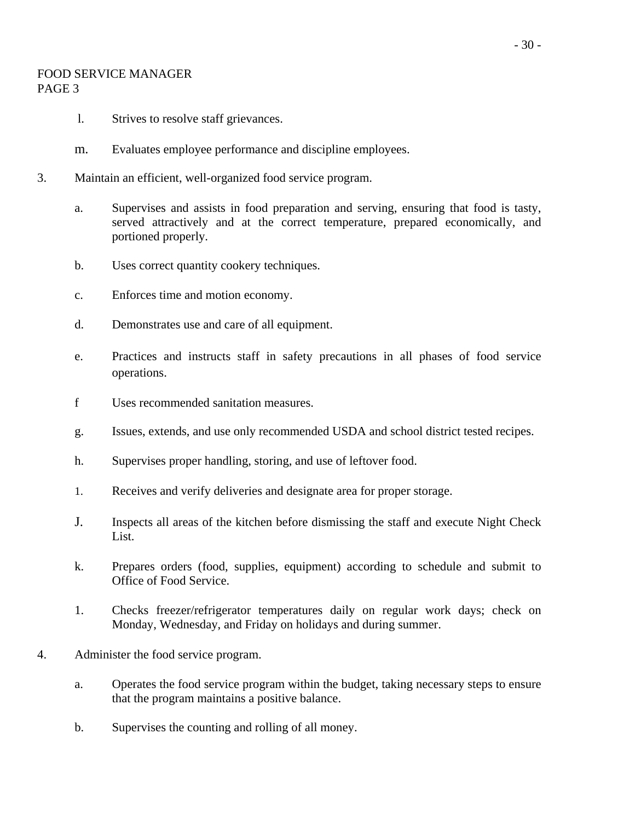## FOOD SERVICE MANAGER PAGE 3

- l. Strives to resolve staff grievances.
- m. Evaluates employee performance and discipline employees.
- 3. Maintain an efficient, well-organized food service program.
	- a. Supervises and assists in food preparation and serving, ensuring that food is tasty, served attractively and at the correct temperature, prepared economically, and portioned properly.
	- b. Uses correct quantity cookery techniques.
	- c. Enforces time and motion economy.
	- d. Demonstrates use and care of all equipment.
	- e. Practices and instructs staff in safety precautions in all phases of food service operations.
	- f Uses recommended sanitation measures.
	- g. Issues, extends, and use only recommended USDA and school district tested recipes.
	- h. Supervises proper handling, storing, and use of leftover food.
	- 1. Receives and verify deliveries and designate area for proper storage.
	- J. Inspects all areas of the kitchen before dismissing the staff and execute Night Check List.
	- k. Prepares orders (food, supplies, equipment) according to schedule and submit to Office of Food Service.
	- 1. Checks freezer/refrigerator temperatures daily on regular work days; check on Monday, Wednesday, and Friday on holidays and during summer.
- 4. Administer the food service program.
	- a. Operates the food service program within the budget, taking necessary steps to ensure that the program maintains a positive balance.
	- b. Supervises the counting and rolling of all money.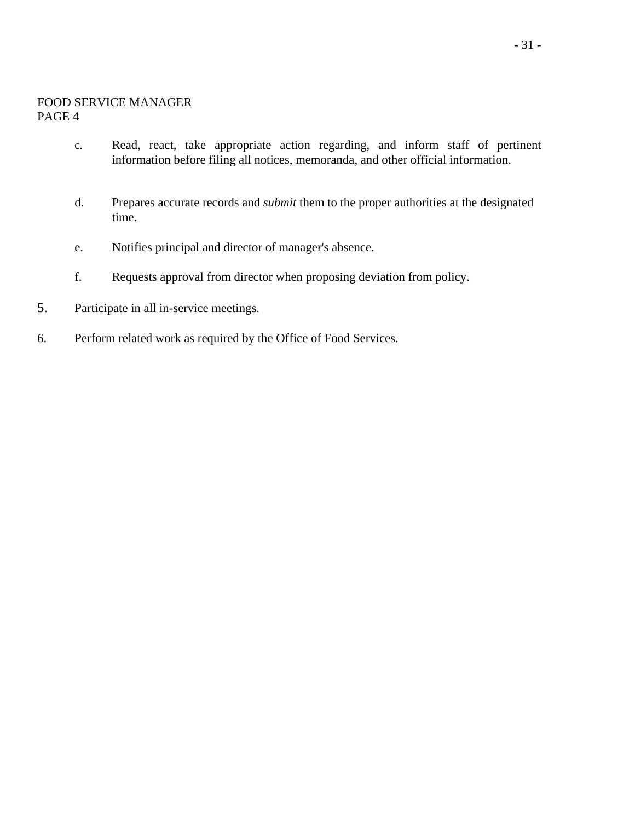#### FOOD SERVICE MANAGER PAGE 4

- c. Read, react, take appropriate action regarding, and inform staff of pertinent information before filing all notices, memoranda, and other official information.
- d. Prepares accurate records and *submit* them to the proper authorities at the designated time.
- e. Notifies principal and director of manager's absence.
- f. Requests approval from director when proposing deviation from policy.
- 5. Participate in all in-service meetings.
- 6. Perform related work as required by the Office of Food Services.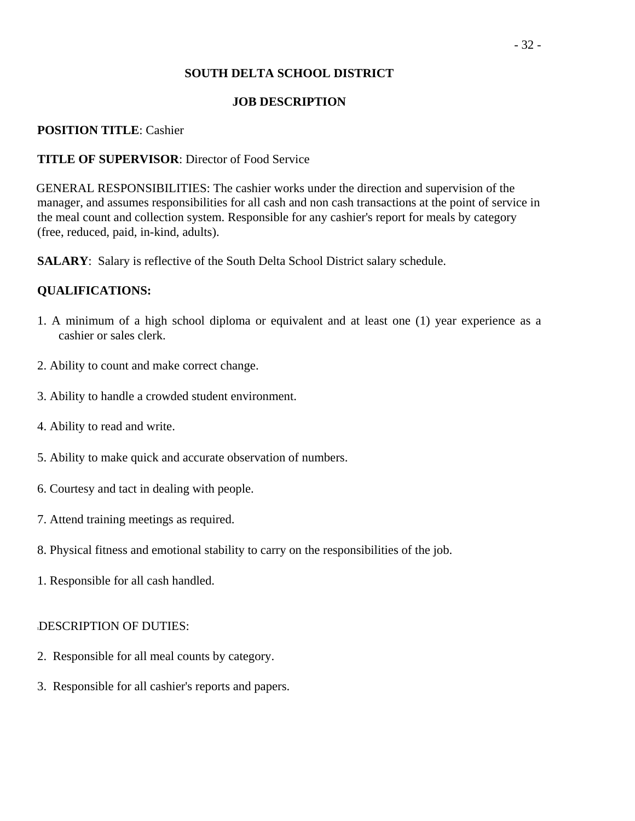## **JOB DESCRIPTION**

## **POSITION TITLE**: Cashier

## **TITLE OF SUPERVISOR**: Director of Food Service

 GENERAL RESPONSIBILITIES: The cashier works under the direction and supervision of the manager, and assumes responsibilities for all cash and non cash transactions at the point of service in the meal count and collection system. Responsible for any cashier's report for meals by category (free, reduced, paid, in-kind, adults).

**SALARY**: Salary is reflective of the South Delta School District salary schedule.

## **QUALIFICATIONS:**

- 1. A minimum of a high school diploma or equivalent and at least one (1) year experience as a cashier or sales clerk.
- 2. Ability to count and make correct change.
- 3. Ability to handle a crowded student environment.
- 4. Ability to read and write.
- 5. Ability to make quick and accurate observation of numbers.
- 6. Courtesy and tact in dealing with people.
- 7. Attend training meetings as required.
- 8. Physical fitness and emotional stability to carry on the responsibilities of the job.
- 1. Responsible for all cash handled.

- 2. Responsible for all meal counts by category.
- 3. Responsible for all cashier's reports and papers.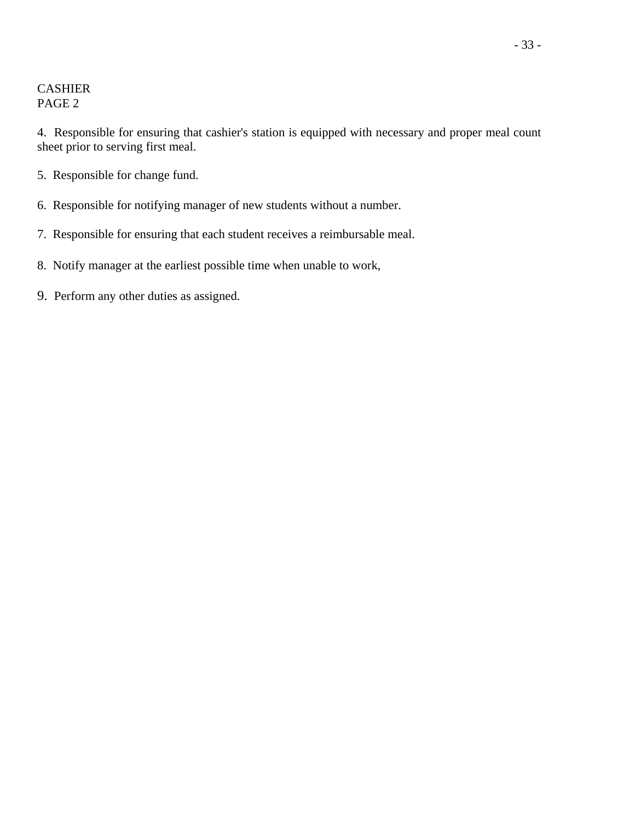## CASHIER PAGE 2

4. Responsible for ensuring that cashier's station is equipped with necessary and proper meal count sheet prior to serving first meal.

- 5. Responsible for change fund.
- 6. Responsible for notifying manager of new students without a number.
- 7. Responsible for ensuring that each student receives a reimbursable meal.
- 8. Notify manager at the earliest possible time when unable to work,
- 9. Perform any other duties as assigned.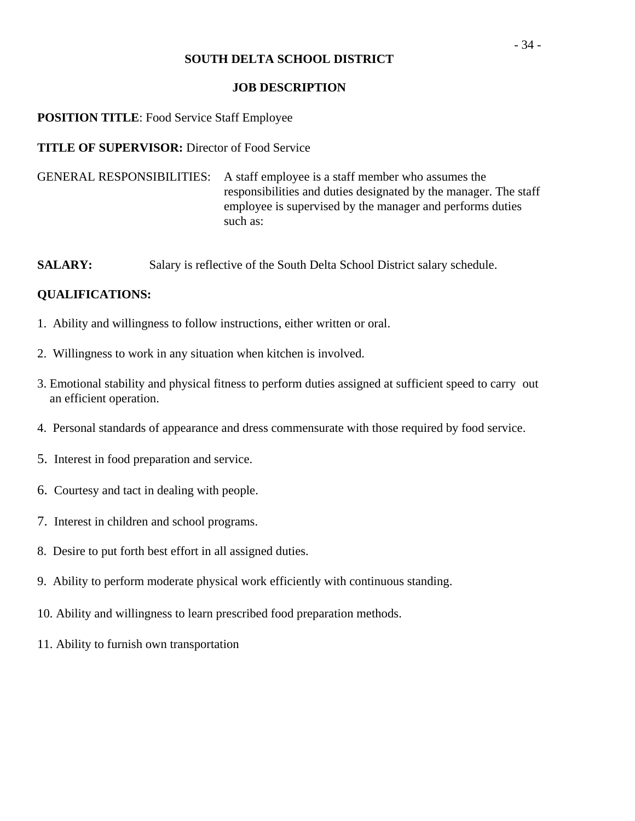#### **JOB DESCRIPTION**

# **POSITION TITLE**: Food Service Staff Employee

**TITLE OF SUPERVISOR:** Director of Food Service

GENERAL RESPONSIBILITIES: A staff employee is a staff member who assumes the responsibilities and duties designated by the manager. The staff employee is supervised by the manager and performs duties such as:

**SALARY:** Salary is reflective of the South Delta School District salary schedule.

# **QUALIFICATIONS:**

- 1. Ability and willingness to follow instructions, either written or oral.
- 2. Willingness to work in any situation when kitchen is involved.
- 3. Emotional stability and physical fitness to perform duties assigned at sufficient speed to carry out an efficient operation.
- 4. Personal standards of appearance and dress commensurate with those required by food service.
- 5. Interest in food preparation and service.
- 6. Courtesy and tact in dealing with people.
- 7. Interest in children and school programs.
- 8. Desire to put forth best effort in all assigned duties.
- 9. Ability to perform moderate physical work efficiently with continuous standing.
- 10. Ability and willingness to learn prescribed food preparation methods.
- 11. Ability to furnish own transportation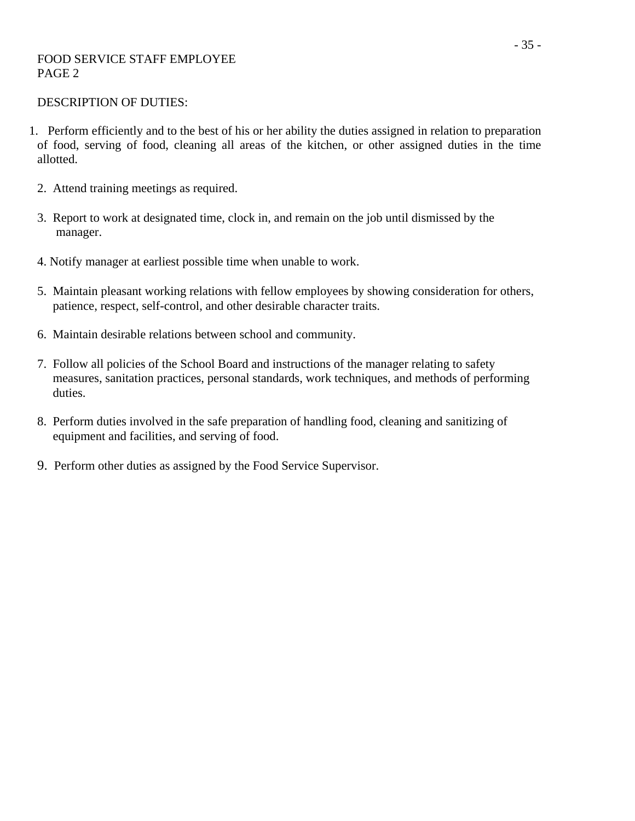#### FOOD SERVICE STAFF EMPLOYEE PAGE 2

- 1. Perform efficiently and to the best of his or her ability the duties assigned in relation to preparation of food, serving of food, cleaning all areas of the kitchen, or other assigned duties in the time allotted.
	- 2. Attend training meetings as required.
	- 3. Report to work at designated time, clock in, and remain on the job until dismissed by the manager.
	- 4. Notify manager at earliest possible time when unable to work.
	- 5. Maintain pleasant working relations with fellow employees by showing consideration for others, patience, respect, self-control, and other desirable character traits.
	- 6. Maintain desirable relations between school and community.
	- 7. Follow all policies of the School Board and instructions of the manager relating to safety measures, sanitation practices, personal standards, work techniques, and methods of performing duties.
	- 8. Perform duties involved in the safe preparation of handling food, cleaning and sanitizing of equipment and facilities, and serving of food.
	- 9. Perform other duties as assigned by the Food Service Supervisor.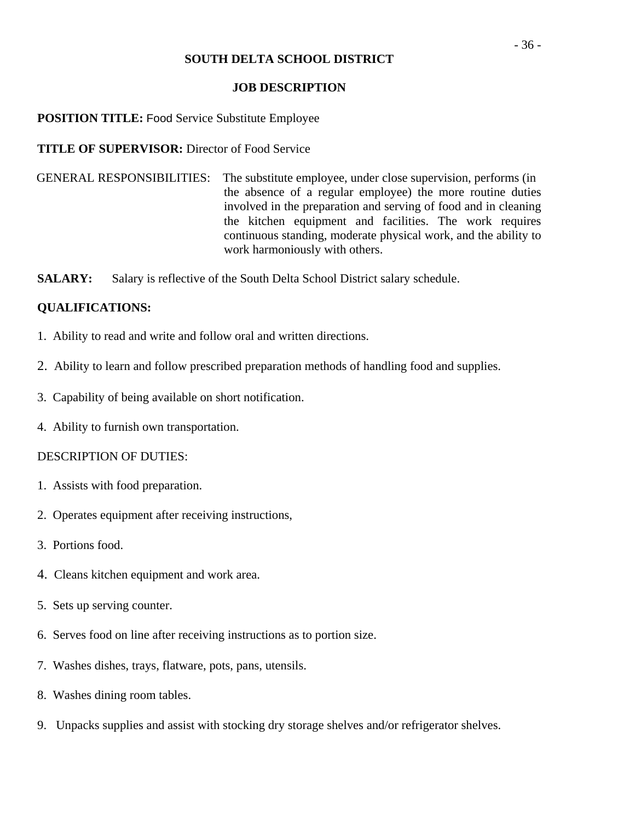#### **JOB DESCRIPTION**

#### **POSITION TITLE:** Food Service Substitute Employee

**TITLE OF SUPERVISOR:** Director of Food Service

 GENERAL RESPONSIBILITIES: The substitute employee, under close supervision, performs (in the absence of a regular employee) the more routine duties involved in the preparation and serving of food and in cleaning the kitchen equipment and facilities. The work requires continuous standing, moderate physical work, and the ability to work harmoniously with others.

**SALARY:** Salary is reflective of the South Delta School District salary schedule.

## **QUALIFICATIONS:**

- 1. Ability to read and write and follow oral and written directions.
- 2. Ability to learn and follow prescribed preparation methods of handling food and supplies.
- 3. Capability of being available on short notification.
- 4. Ability to furnish own transportation.

- 1. Assists with food preparation.
- 2. Operates equipment after receiving instructions,
- 3. Portions food.
- 4. Cleans kitchen equipment and work area.
- 5. Sets up serving counter.
- 6. Serves food on line after receiving instructions as to portion size.
- 7. Washes dishes, trays, flatware, pots, pans, utensils.
- 8. Washes dining room tables.
- 9. Unpacks supplies and assist with stocking dry storage shelves and/or refrigerator shelves.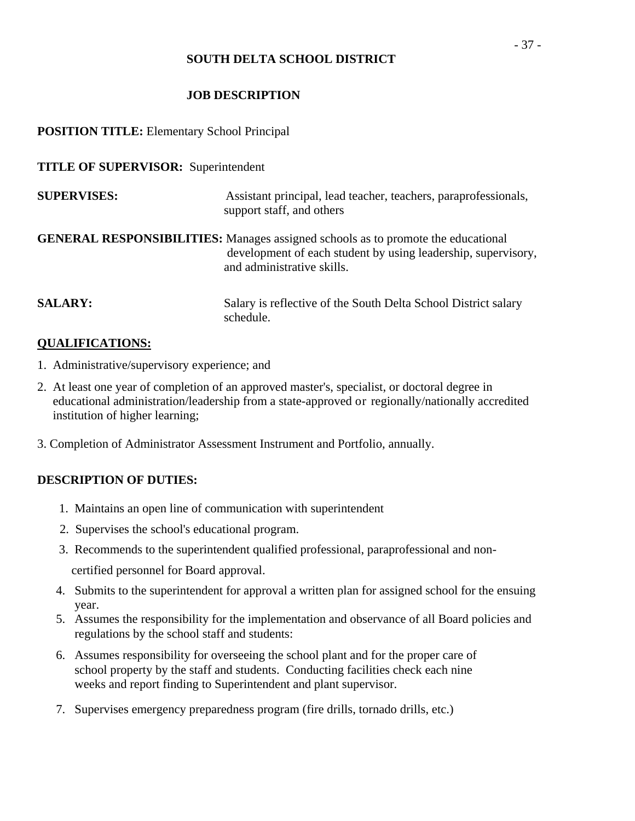# **JOB DESCRIPTION**

# **POSITION TITLE:** Elementary School Principal

### **TITLE OF SUPERVISOR:** Superintendent

| <b>SUPERVISES:</b> | Assistant principal, lead teacher, teachers, paraprofessionals,<br>support staff, and others                                                                                           |
|--------------------|----------------------------------------------------------------------------------------------------------------------------------------------------------------------------------------|
|                    | <b>GENERAL RESPONSIBILITIES:</b> Manages assigned schools as to promote the educational<br>development of each student by using leadership, supervisory,<br>and administrative skills. |
| <b>SALARY:</b>     | Salary is reflective of the South Delta School District salary<br>schedule.                                                                                                            |

### **QUALIFICATIONS:**

- 1. Administrative/supervisory experience; and
- 2. At least one year of completion of an approved master's, specialist, or doctoral degree in educational administration/leadership from a state-approved or regionally/nationally accredited institution of higher learning;
- 3. Completion of Administrator Assessment Instrument and Portfolio, annually.

# **DESCRIPTION OF DUTIES:**

- 1. Maintains an open line of communication with superintendent
- 2. Supervises the school's educational program.
- 3. Recommends to the superintendent qualified professional, paraprofessional and non-

certified personnel for Board approval.

- 4. Submits to the superintendent for approval a written plan for assigned school for the ensuing year.
- 5. Assumes the responsibility for the implementation and observance of all Board policies and regulations by the school staff and students:
- 6. Assumes responsibility for overseeing the school plant and for the proper care of school property by the staff and students. Conducting facilities check each nine weeks and report finding to Superintendent and plant supervisor.
- 7. Supervises emergency preparedness program (fire drills, tornado drills, etc.)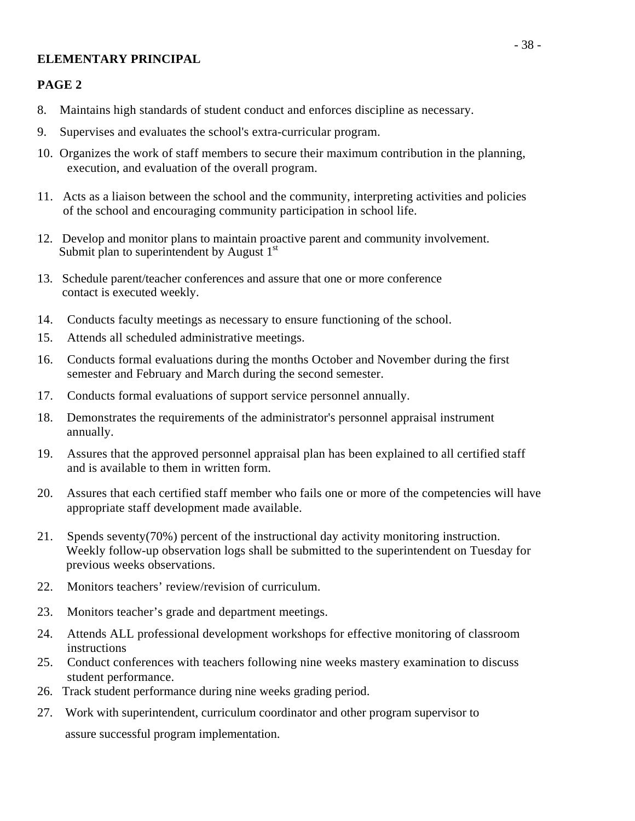### **ELEMENTARY PRINCIPAL**

### **PAGE 2**

- 8. Maintains high standards of student conduct and enforces discipline as necessary.
- 9. Supervises and evaluates the school's extra-curricular program.
- 10. Organizes the work of staff members to secure their maximum contribution in the planning, execution, and evaluation of the overall program.
- 11. Acts as a liaison between the school and the community, interpreting activities and policies of the school and encouraging community participation in school life.
- 12. Develop and monitor plans to maintain proactive parent and community involvement. Submit plan to superintendent by August 1<sup>st</sup>
- 13. Schedule parent/teacher conferences and assure that one or more conference contact is executed weekly.
- 14. Conducts faculty meetings as necessary to ensure functioning of the school.
- 15. Attends all scheduled administrative meetings.
- 16. Conducts formal evaluations during the months October and November during the first semester and February and March during the second semester.
- 17. Conducts formal evaluations of support service personnel annually.
- 18. Demonstrates the requirements of the administrator's personnel appraisal instrument annually.
- 19. Assures that the approved personnel appraisal plan has been explained to all certified staff and is available to them in written form.
- 20. Assures that each certified staff member who fails one or more of the competencies will have appropriate staff development made available.
- 21. Spends seventy(70%) percent of the instructional day activity monitoring instruction. Weekly follow-up observation logs shall be submitted to the superintendent on Tuesday for previous weeks observations.
- 22. Monitors teachers' review/revision of curriculum.
- 23. Monitors teacher's grade and department meetings.
- 24. Attends ALL professional development workshops for effective monitoring of classroom instructions
- 25. Conduct conferences with teachers following nine weeks mastery examination to discuss student performance.
- 26. Track student performance during nine weeks grading period.
- 27. Work with superintendent, curriculum coordinator and other program supervisor to assure successful program implementation.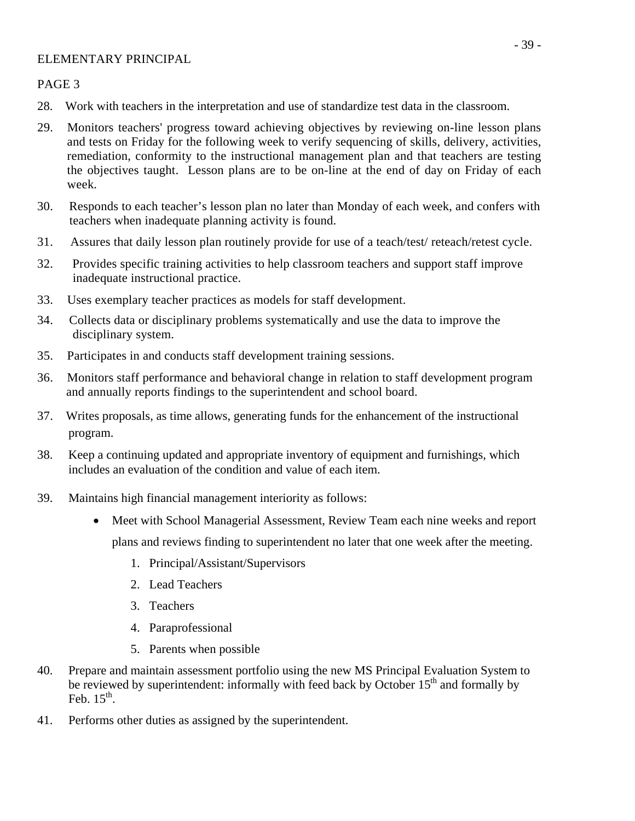### ELEMENTARY PRINCIPAL

PAGE 3

- 28. Work with teachers in the interpretation and use of standardize test data in the classroom.
- 29. Monitors teachers' progress toward achieving objectives by reviewing on-line lesson plans and tests on Friday for the following week to verify sequencing of skills, delivery, activities, remediation, conformity to the instructional management plan and that teachers are testing the objectives taught. Lesson plans are to be on-line at the end of day on Friday of each week.
- 30. Responds to each teacher's lesson plan no later than Monday of each week, and confers with teachers when inadequate planning activity is found.
- 31. Assures that daily lesson plan routinely provide for use of a teach/test/ reteach/retest cycle.
- 32. Provides specific training activities to help classroom teachers and support staff improve inadequate instructional practice.
- 33. Uses exemplary teacher practices as models for staff development.
- 34. Collects data or disciplinary problems systematically and use the data to improve the disciplinary system.
- 35. Participates in and conducts staff development training sessions.
- 36. Monitors staff performance and behavioral change in relation to staff development program and annually reports findings to the superintendent and school board.
- 37. Writes proposals, as time allows, generating funds for the enhancement of the instructional program.
- 38. Keep a continuing updated and appropriate inventory of equipment and furnishings, which includes an evaluation of the condition and value of each item.
- 39. Maintains high financial management interiority as follows:
	- Meet with School Managerial Assessment, Review Team each nine weeks and report plans and reviews finding to superintendent no later that one week after the meeting.
		- 1. Principal/Assistant/Supervisors
		- 2. Lead Teachers
		- 3. Teachers
		- 4. Paraprofessional
		- 5. Parents when possible
- 40. Prepare and maintain assessment portfolio using the new MS Principal Evaluation System to be reviewed by superintendent: informally with feed back by October  $15<sup>th</sup>$  and formally by  $Feh$  15<sup>th</sup>.
- 41. Performs other duties as assigned by the superintendent.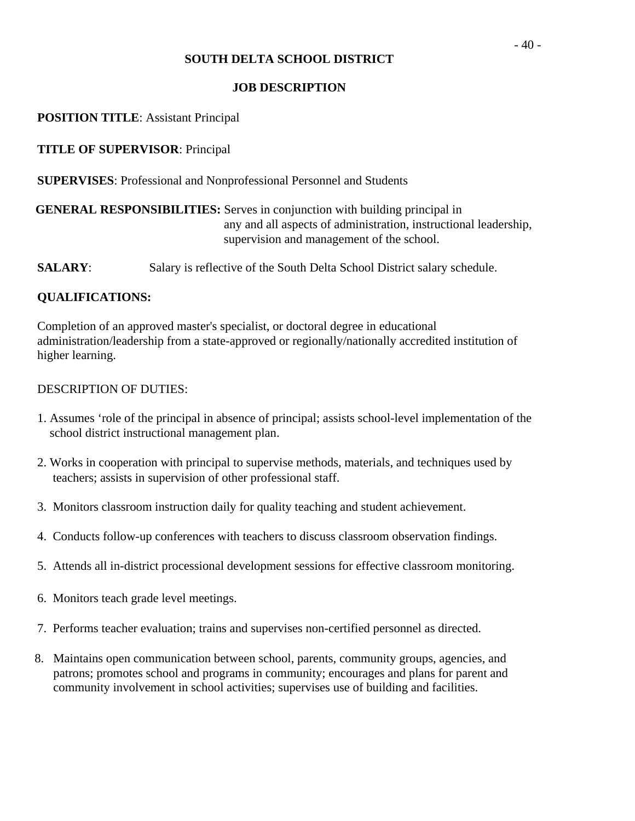### **JOB DESCRIPTION**

### **POSITION TITLE**: Assistant Principal

### **TITLE OF SUPERVISOR**: Principal

**SUPERVISES**: Professional and Nonprofessional Personnel and Students

# **GENERAL RESPONSIBILITIES:** Serves in conjunction with building principal in any and all aspects of administration, instructional leadership, supervision and management of the school.

**SALARY:** Salary is reflective of the South Delta School District salary schedule.

### **QUALIFICATIONS:**

Completion of an approved master's specialist, or doctoral degree in educational administration/leadership from a state-approved or regionally/nationally accredited institution of higher learning.

- 1. Assumes 'role of the principal in absence of principal; assists school-level implementation of the school district instructional management plan.
- 2. Works in cooperation with principal to supervise methods, materials, and techniques used by teachers; assists in supervision of other professional staff.
- 3. Monitors classroom instruction daily for quality teaching and student achievement.
- 4. Conducts follow-up conferences with teachers to discuss classroom observation findings.
- 5. Attends all in-district processional development sessions for effective classroom monitoring.
- 6. Monitors teach grade level meetings.
- 7. Performs teacher evaluation; trains and supervises non-certified personnel as directed.
- 8. Maintains open communication between school, parents, community groups, agencies, and patrons; promotes school and programs in community; encourages and plans for parent and community involvement in school activities; supervises use of building and facilities.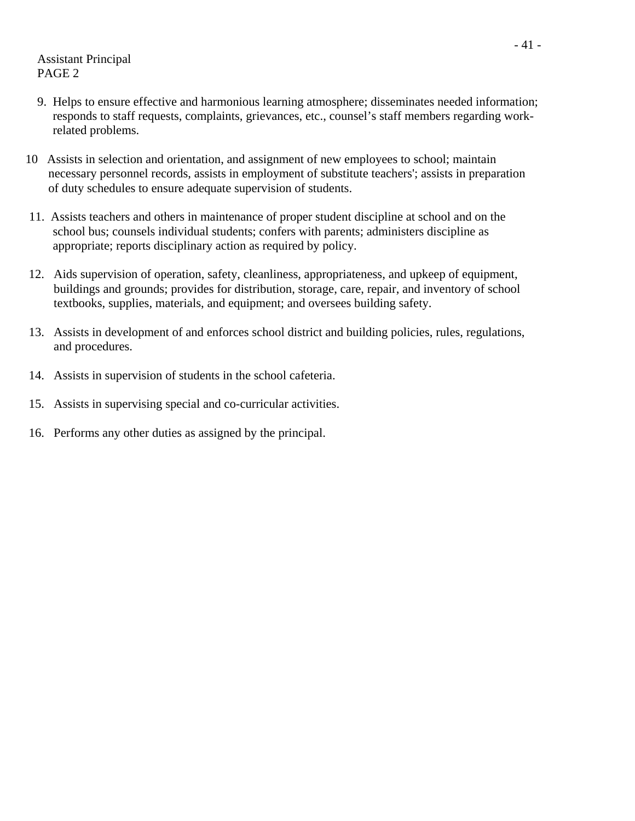Assistant Principal PAGE 2

- 9. Helps to ensure effective and harmonious learning atmosphere; disseminates needed information; responds to staff requests, complaints, grievances, etc., counsel's staff members regarding work related problems.
- 10 Assists in selection and orientation, and assignment of new employees to school; maintain necessary personnel records, assists in employment of substitute teachers'; assists in preparation of duty schedules to ensure adequate supervision of students.
- 11. Assists teachers and others in maintenance of proper student discipline at school and on the school bus; counsels individual students; confers with parents; administers discipline as appropriate; reports disciplinary action as required by policy.
- 12. Aids supervision of operation, safety, cleanliness, appropriateness, and upkeep of equipment, buildings and grounds; provides for distribution, storage, care, repair, and inventory of school textbooks, supplies, materials, and equipment; and oversees building safety.
- 13. Assists in development of and enforces school district and building policies, rules, regulations, and procedures.
- 14. Assists in supervision of students in the school cafeteria.
- 15. Assists in supervising special and co-curricular activities.
- 16. Performs any other duties as assigned by the principal.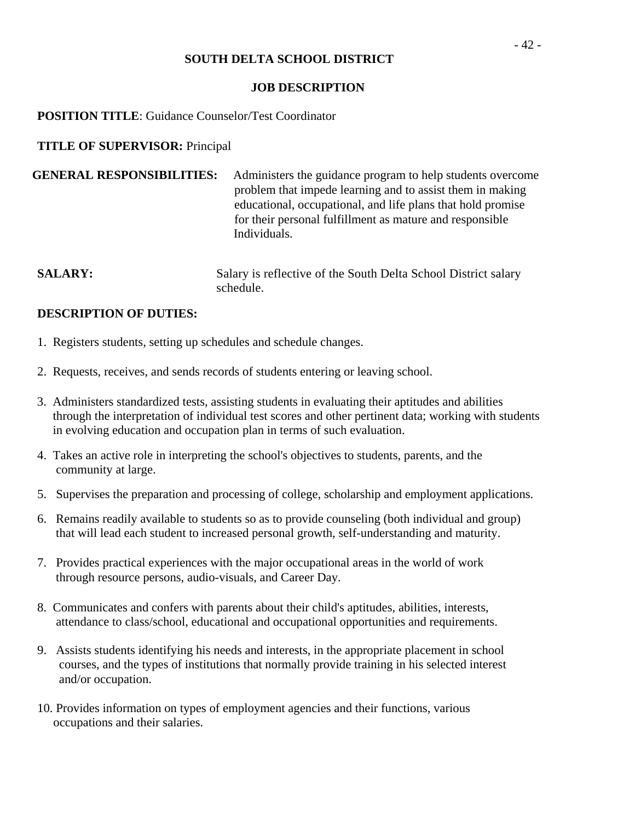#### **JOB DESCRIPTION**

### **POSITION TITLE**: Guidance Counselor/Test Coordinator

### **TITLE OF SUPERVISOR:** Principal

| <b>GENERAL RESPONSIBILITIES:</b> | Administers the guidance program to help students overcome  |
|----------------------------------|-------------------------------------------------------------|
|                                  | problem that impede learning and to assist them in making   |
|                                  | educational, occupational, and life plans that hold promise |
|                                  | for their personal fulfillment as mature and responsible    |
|                                  | Individuals.                                                |

**SALARY:** Salary is reflective of the South Delta School District salary schedule.

- 1. Registers students, setting up schedules and schedule changes.
- 2. Requests, receives, and sends records of students entering or leaving school.
- 3. Administers standardized tests, assisting students in evaluating their aptitudes and abilities through the interpretation of individual test scores and other pertinent data; working with students in evolving education and occupation plan in terms of such evaluation.
- 4. Takes an active role in interpreting the school's objectives to students, parents, and the community at large.
- 5. Supervises the preparation and processing of college, scholarship and employment applications.
- 6. Remains readily available to students so as to provide counseling (both individual and group) that will lead each student to increased personal growth, self-understanding and maturity.
- 7. Provides practical experiences with the major occupational areas in the world of work through resource persons, audio-visuals, and Career Day.
- 8. Communicates and confers with parents about their child's aptitudes, abilities, interests, attendance to class/school, educational and occupational opportunities and requirements.
- 9. Assists students identifying his needs and interests, in the appropriate placement in school courses, and the types of institutions that normally provide training in his selected interest and/or occupation.
- 10. Provides information on types of employment agencies and their functions, various occupations and their salaries.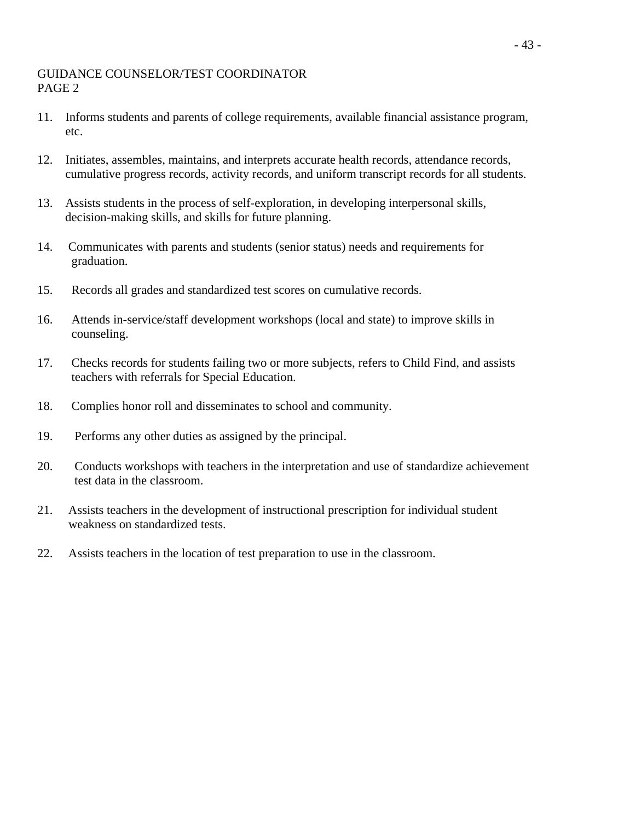### GUIDANCE COUNSELOR/TEST COORDINATOR PAGE 2

- 11. Informs students and parents of college requirements, available financial assistance program, etc.
- 12. Initiates, assembles, maintains, and interprets accurate health records, attendance records, cumulative progress records, activity records, and uniform transcript records for all students.
- 13. Assists students in the process of self-exploration, in developing interpersonal skills, decision-making skills, and skills for future planning.
- 14. Communicates with parents and students (senior status) needs and requirements for graduation.
- 15. Records all grades and standardized test scores on cumulative records.
- 16. Attends in-service/staff development workshops (local and state) to improve skills in counseling.
- 17. Checks records for students failing two or more subjects, refers to Child Find, and assists teachers with referrals for Special Education.
- 18. Complies honor roll and disseminates to school and community.
- 19. Performs any other duties as assigned by the principal.
- 20. Conducts workshops with teachers in the interpretation and use of standardize achievement test data in the classroom.
- 21. Assists teachers in the development of instructional prescription for individual student weakness on standardized tests.
- 22. Assists teachers in the location of test preparation to use in the classroom.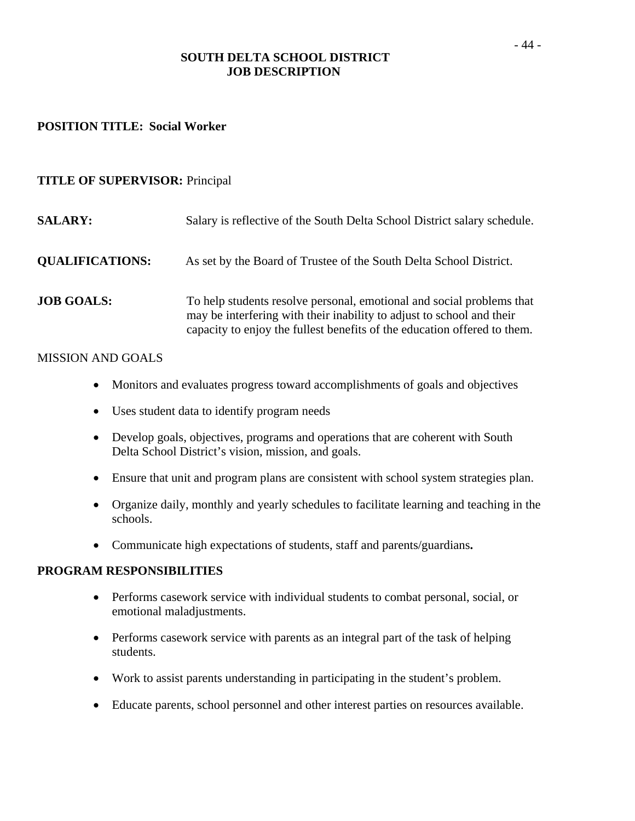### **SOUTH DELTA SCHOOL DISTRICT JOB DESCRIPTION**

#### **POSITION TITLE: Social Worker**

#### **TITLE OF SUPERVISOR:** Principal

| <b>SALARY:</b>         | Salary is reflective of the South Delta School District salary schedule.                                                                                                                                                   |
|------------------------|----------------------------------------------------------------------------------------------------------------------------------------------------------------------------------------------------------------------------|
| <b>QUALIFICATIONS:</b> | As set by the Board of Trustee of the South Delta School District.                                                                                                                                                         |
| <b>JOB GOALS:</b>      | To help students resolve personal, emotional and social problems that<br>may be interfering with their inability to adjust to school and their<br>capacity to enjoy the fullest benefits of the education offered to them. |

#### MISSION AND GOALS

- Monitors and evaluates progress toward accomplishments of goals and objectives
- Uses student data to identify program needs
- Develop goals, objectives, programs and operations that are coherent with South Delta School District's vision, mission, and goals.
- Ensure that unit and program plans are consistent with school system strategies plan.
- Organize daily, monthly and yearly schedules to facilitate learning and teaching in the schools.
- Communicate high expectations of students, staff and parents/guardians**.**

#### **PROGRAM RESPONSIBILITIES**

- Performs casework service with individual students to combat personal, social, or emotional maladjustments.
- Performs casework service with parents as an integral part of the task of helping students.
- Work to assist parents understanding in participating in the student's problem.
- Educate parents, school personnel and other interest parties on resources available.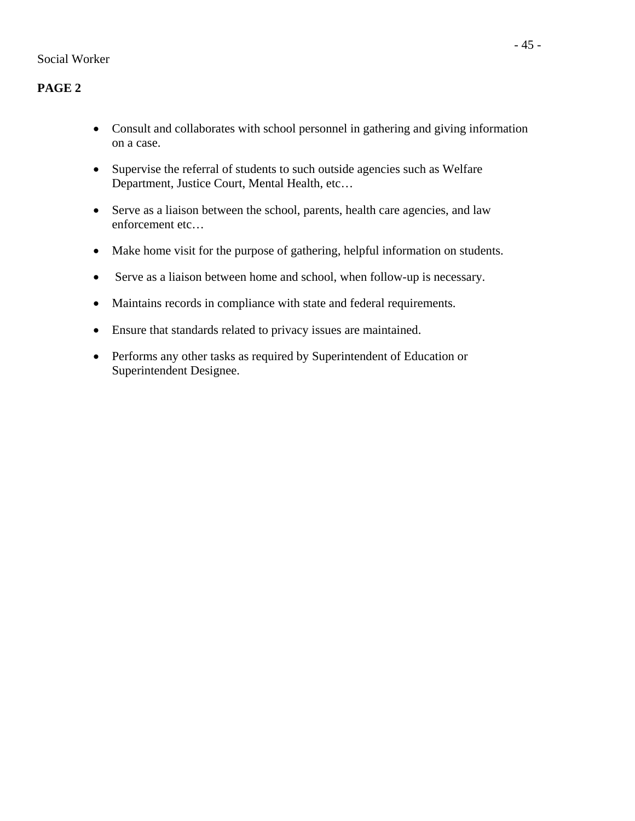# **PAGE 2**

- Consult and collaborates with school personnel in gathering and giving information on a case.
- Supervise the referral of students to such outside agencies such as Welfare Department, Justice Court, Mental Health, etc…
- Serve as a liaison between the school, parents, health care agencies, and law enforcement etc…
- Make home visit for the purpose of gathering, helpful information on students.
- Serve as a liaison between home and school, when follow-up is necessary.
- Maintains records in compliance with state and federal requirements.
- Ensure that standards related to privacy issues are maintained.
- Performs any other tasks as required by Superintendent of Education or Superintendent Designee.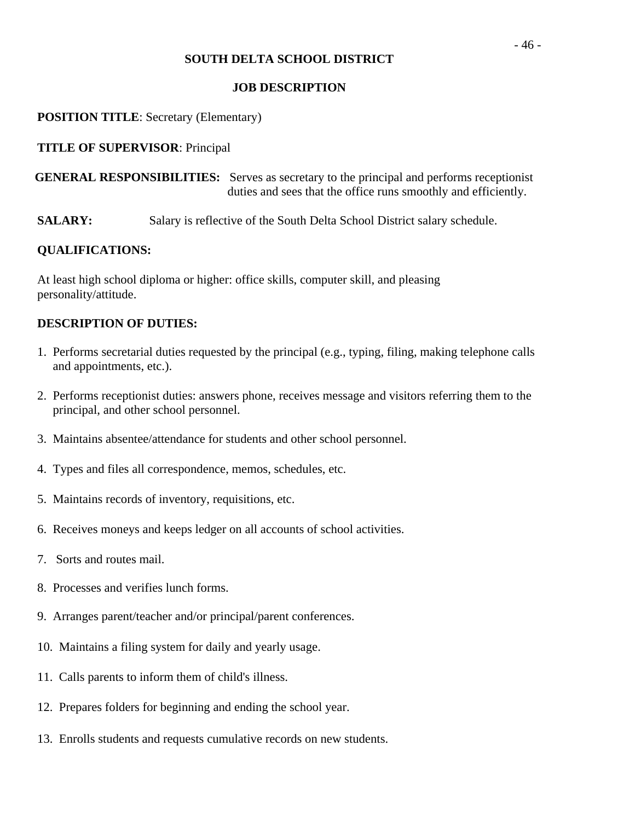### **JOB DESCRIPTION**

### **POSITION TITLE**: Secretary (Elementary)

### **TITLE OF SUPERVISOR**: Principal

 **GENERAL RESPONSIBILITIES:** Serves as secretary to the principal and performs receptionist duties and sees that the office runs smoothly and efficiently.

**SALARY:** Salary is reflective of the South Delta School District salary schedule.

### **QUALIFICATIONS:**

At least high school diploma or higher: office skills, computer skill, and pleasing personality/attitude.

- 1. Performs secretarial duties requested by the principal (e.g., typing, filing, making telephone calls and appointments, etc.).
- 2. Performs receptionist duties: answers phone, receives message and visitors referring them to the principal, and other school personnel.
- 3. Maintains absentee/attendance for students and other school personnel.
- 4. Types and files all correspondence, memos, schedules, etc.
- 5. Maintains records of inventory, requisitions, etc.
- 6. Receives moneys and keeps ledger on all accounts of school activities.
- 7. Sorts and routes mail.
- 8. Processes and verifies lunch forms.
- 9. Arranges parent/teacher and/or principal/parent conferences.
- 10. Maintains a filing system for daily and yearly usage.
- 11. Calls parents to inform them of child's illness.
- 12. Prepares folders for beginning and ending the school year.
- 13. Enrolls students and requests cumulative records on new students.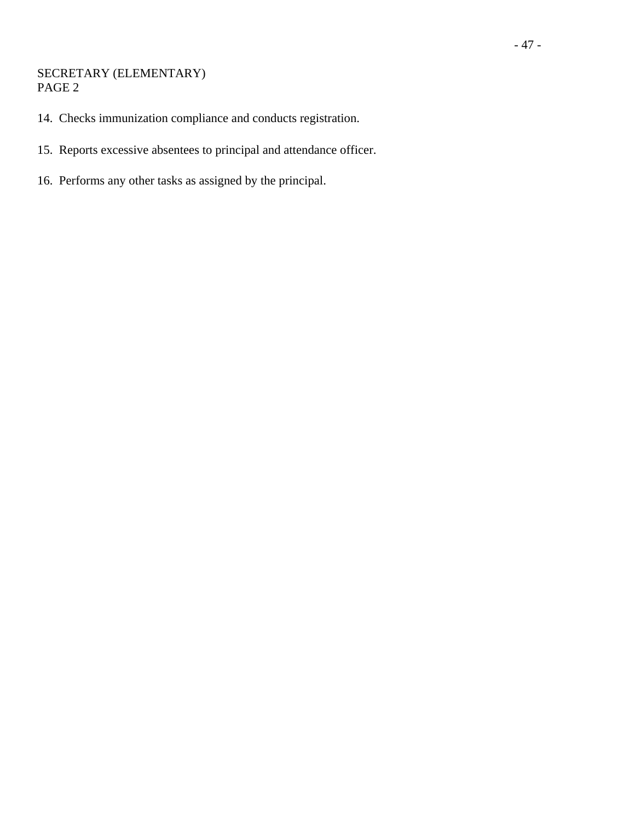### SECRETARY (ELEMENTARY) PAGE 2

- 14. Checks immunization compliance and conducts registration.
- 15. Reports excessive absentees to principal and attendance officer.
- 16. Performs any other tasks as assigned by the principal.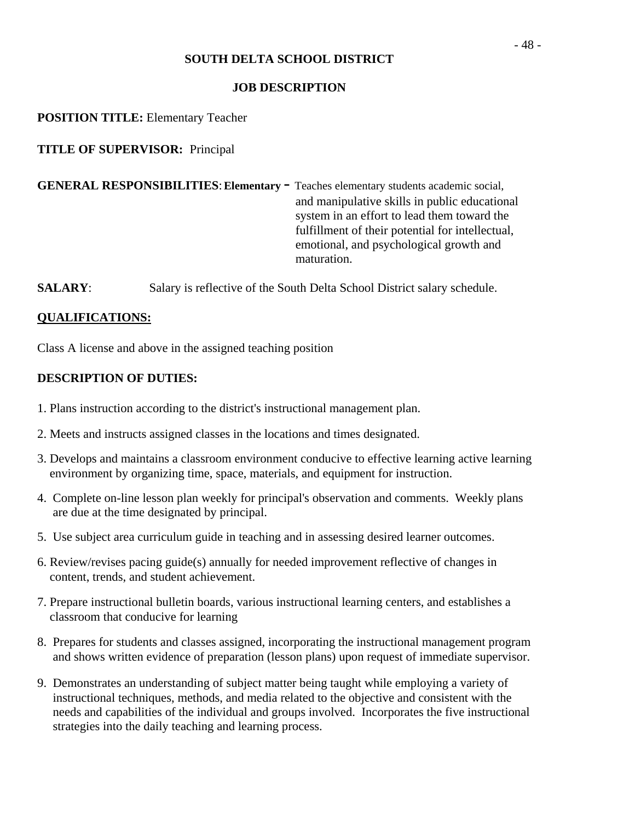### **JOB DESCRIPTION**

**POSITION TITLE:** Elementary Teacher

**TITLE OF SUPERVISOR:** Principal

**GENERAL RESPONSIBILITIES**: **Elementary** - Teaches elementary students academic social, and manipulative skills in public educational system in an effort to lead them toward the fulfillment of their potential for intellectual, emotional, and psychological growth and maturation.

**SALARY:** Salary is reflective of the South Delta School District salary schedule.

# **QUALIFICATIONS:**

Class A license and above in the assigned teaching position

- 1. Plans instruction according to the district's instructional management plan.
- 2. Meets and instructs assigned classes in the locations and times designated.
- 3. Develops and maintains a classroom environment conducive to effective learning active learning environment by organizing time, space, materials, and equipment for instruction.
- 4. Complete on-line lesson plan weekly for principal's observation and comments. Weekly plans are due at the time designated by principal.
- 5. Use subject area curriculum guide in teaching and in assessing desired learner outcomes.
- 6. Review/revises pacing guide(s) annually for needed improvement reflective of changes in content, trends, and student achievement.
- 7. Prepare instructional bulletin boards, various instructional learning centers, and establishes a classroom that conducive for learning
- 8. Prepares for students and classes assigned, incorporating the instructional management program and shows written evidence of preparation (lesson plans) upon request of immediate supervisor.
- 9. Demonstrates an understanding of subject matter being taught while employing a variety of instructional techniques, methods, and media related to the objective and consistent with the needs and capabilities of the individual and groups involved. Incorporates the five instructional strategies into the daily teaching and learning process.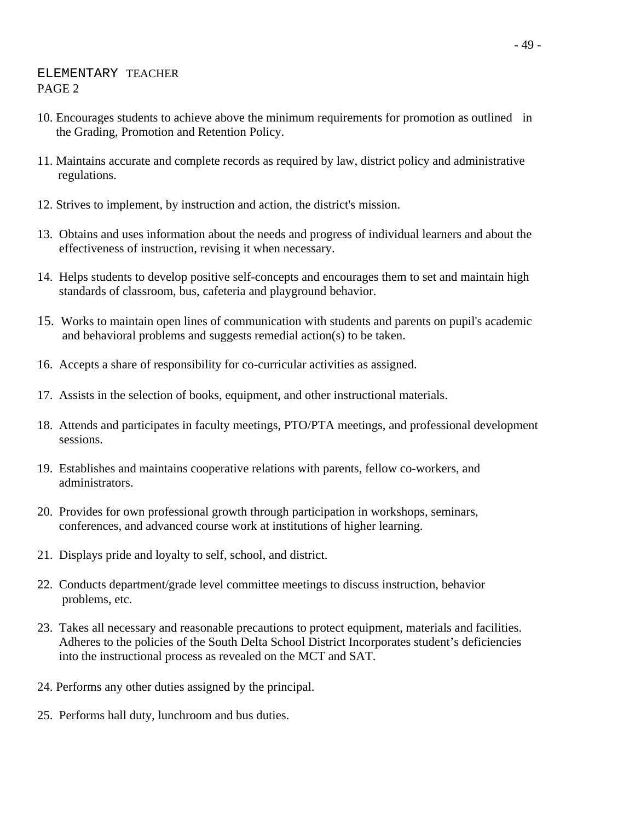### ELEMENTARY TEACHER PAGE 2

- 10. Encourages students to achieve above the minimum requirements for promotion as outlined in the Grading, Promotion and Retention Policy.
- 11. Maintains accurate and complete records as required by law, district policy and administrative regulations.
- 12. Strives to implement, by instruction and action, the district's mission.
- 13. Obtains and uses information about the needs and progress of individual learners and about the effectiveness of instruction, revising it when necessary.
- 14. Helps students to develop positive self-concepts and encourages them to set and maintain high standards of classroom, bus, cafeteria and playground behavior.
- 15. Works to maintain open lines of communication with students and parents on pupil's academic and behavioral problems and suggests remedial action(s) to be taken.
- 16. Accepts a share of responsibility for co-curricular activities as assigned.
- 17. Assists in the selection of books, equipment, and other instructional materials.
- 18. Attends and participates in faculty meetings, PTO/PTA meetings, and professional development sessions.
- 19. Establishes and maintains cooperative relations with parents, fellow co-workers, and administrators.
- 20. Provides for own professional growth through participation in workshops, seminars, conferences, and advanced course work at institutions of higher learning.
- 21. Displays pride and loyalty to self, school, and district.
- 22. Conducts department/grade level committee meetings to discuss instruction, behavior problems, etc.
- 23. Takes all necessary and reasonable precautions to protect equipment, materials and facilities. Adheres to the policies of the South Delta School District Incorporates student's deficiencies into the instructional process as revealed on the MCT and SAT.
- 24. Performs any other duties assigned by the principal.
- 25. Performs hall duty, lunchroom and bus duties.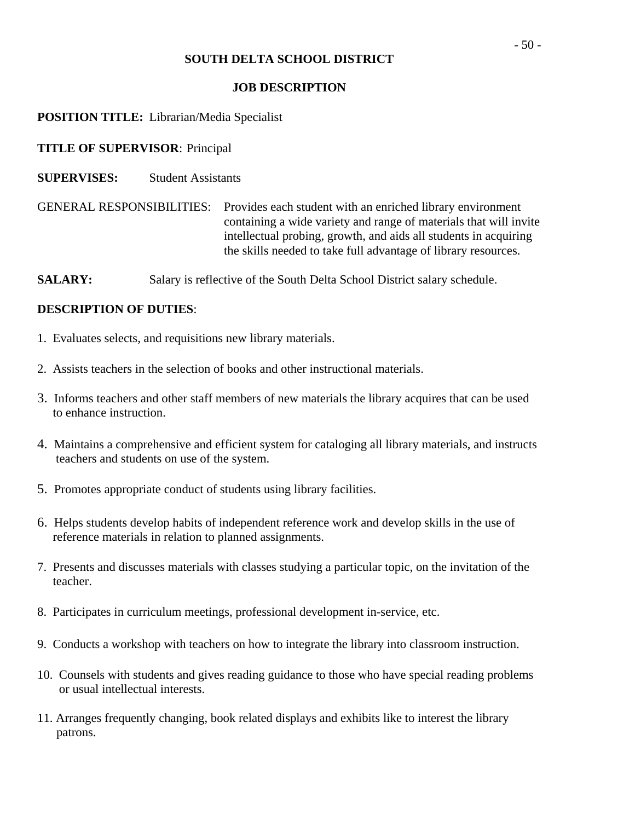### **JOB DESCRIPTION**

### **POSITION TITLE:** Librarian/Media Specialist

### **TITLE OF SUPERVISOR**: Principal

**SUPERVISES:** Student Assistants

GENERAL RESPONSIBILITIES: Provides each student with an enriched library environment containing a wide variety and range of materials that will invite intellectual probing, growth, and aids all students in acquiring the skills needed to take full advantage of library resources.

**SALARY:** Salary is reflective of the South Delta School District salary schedule.

- 1. Evaluates selects, and requisitions new library materials.
- 2. Assists teachers in the selection of books and other instructional materials.
- 3. Informs teachers and other staff members of new materials the library acquires that can be used to enhance instruction.
- 4. Maintains a comprehensive and efficient system for cataloging all library materials, and instructs teachers and students on use of the system.
- 5. Promotes appropriate conduct of students using library facilities.
- 6. Helps students develop habits of independent reference work and develop skills in the use of reference materials in relation to planned assignments.
- 7. Presents and discusses materials with classes studying a particular topic, on the invitation of the teacher.
- 8. Participates in curriculum meetings, professional development in-service, etc.
- 9. Conducts a workshop with teachers on how to integrate the library into classroom instruction.
- 10. Counsels with students and gives reading guidance to those who have special reading problems or usual intellectual interests.
- 11. Arranges frequently changing, book related displays and exhibits like to interest the library patrons.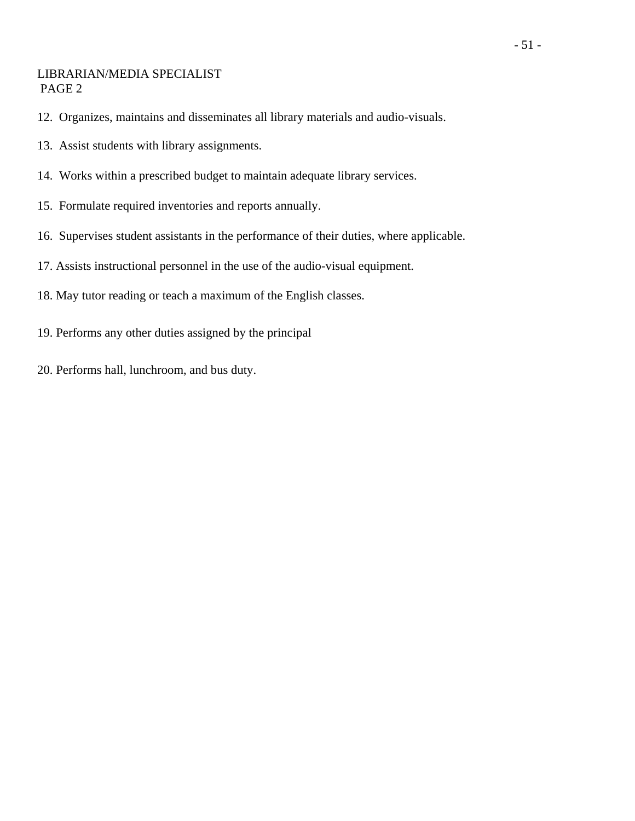### LIBRARIAN/MEDIA SPECIALIST PAGE 2

- 12. Organizes, maintains and disseminates all library materials and audio-visuals.
- 13. Assist students with library assignments.
- 14. Works within a prescribed budget to maintain adequate library services.
- 15. Formulate required inventories and reports annually.
- 16. Supervises student assistants in the performance of their duties, where applicable.
- 17. Assists instructional personnel in the use of the audio-visual equipment.
- 18. May tutor reading or teach a maximum of the English classes.
- 19. Performs any other duties assigned by the principal
- 20. Performs hall, lunchroom, and bus duty.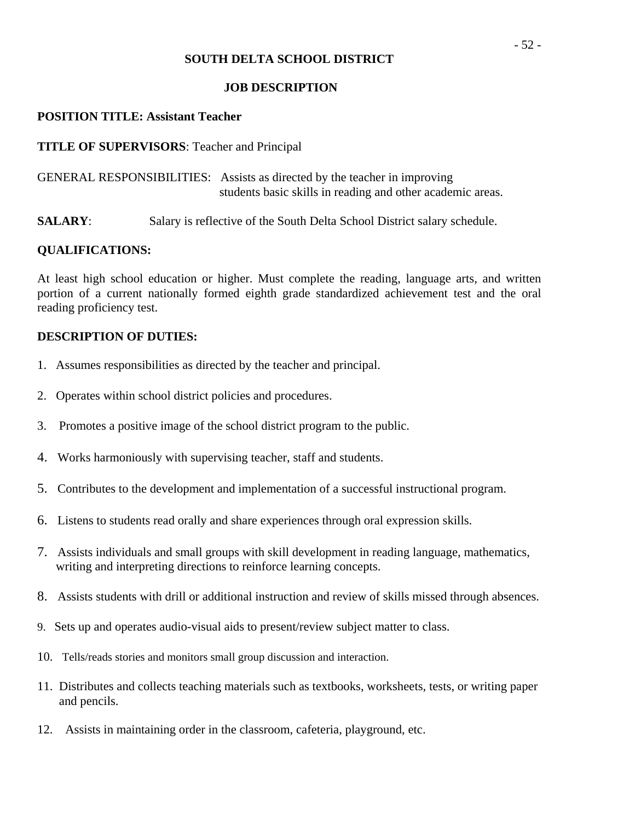#### **JOB DESCRIPTION**

### **POSITION TITLE: Assistant Teacher**

### **TITLE OF SUPERVISORS**: Teacher and Principal

GENERAL RESPONSIBILITIES: Assists as directed by the teacher in improving students basic skills in reading and other academic areas.

**SALARY:** Salary is reflective of the South Delta School District salary schedule.

### **QUALIFICATIONS:**

At least high school education or higher. Must complete the reading, language arts, and written portion of a current nationally formed eighth grade standardized achievement test and the oral reading proficiency test.

- 1. Assumes responsibilities as directed by the teacher and principal.
- 2. Operates within school district policies and procedures.
- 3. Promotes a positive image of the school district program to the public.
- 4. Works harmoniously with supervising teacher, staff and students.
- 5. Contributes to the development and implementation of a successful instructional program.
- 6. Listens to students read orally and share experiences through oral expression skills.
- 7. Assists individuals and small groups with skill development in reading language, mathematics, writing and interpreting directions to reinforce learning concepts.
- 8. Assists students with drill or additional instruction and review of skills missed through absences.
- 9. Sets up and operates audio-visual aids to present/review subject matter to class.
- 10. Tells/reads stories and monitors small group discussion and interaction.
- 11. Distributes and collects teaching materials such as textbooks, worksheets, tests, or writing paper and pencils.
- 12. Assists in maintaining order in the classroom, cafeteria, playground, etc.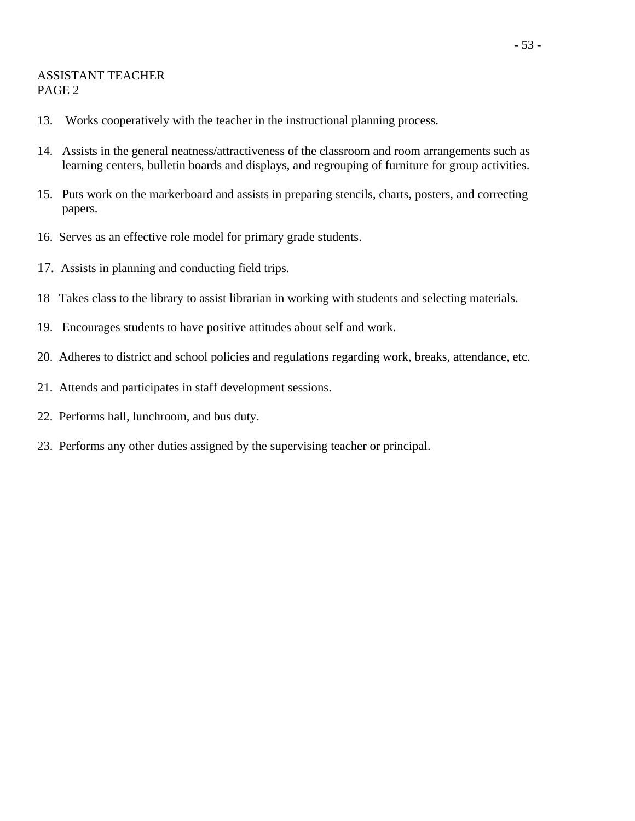### ASSISTANT TEACHER PAGE 2

- 13. Works cooperatively with the teacher in the instructional planning process.
- 14. Assists in the general neatness/attractiveness of the classroom and room arrangements such as learning centers, bulletin boards and displays, and regrouping of furniture for group activities.
- 15. Puts work on the markerboard and assists in preparing stencils, charts, posters, and correcting papers.
- 16. Serves as an effective role model for primary grade students.
- 17. Assists in planning and conducting field trips.
- 18 Takes class to the library to assist librarian in working with students and selecting materials.
- 19. Encourages students to have positive attitudes about self and work.
- 20. Adheres to district and school policies and regulations regarding work, breaks, attendance, etc.
- 21. Attends and participates in staff development sessions.
- 22. Performs hall, lunchroom, and bus duty.
- 23. Performs any other duties assigned by the supervising teacher or principal.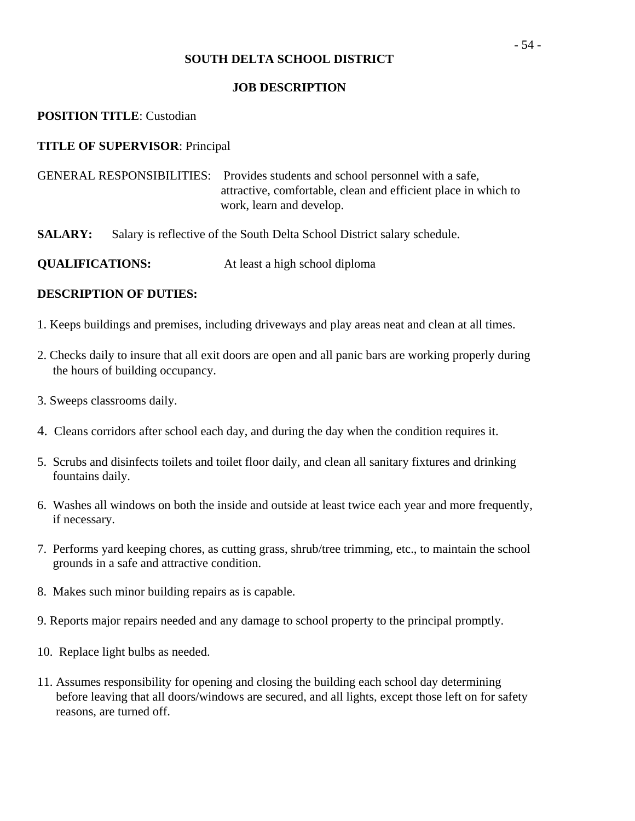#### **JOB DESCRIPTION**

#### **POSITION TITLE**: Custodian

#### **TITLE OF SUPERVISOR**: Principal

| GENERAL RESPONSIBILITIES: Provides students and school personnel with a safe, |
|-------------------------------------------------------------------------------|
| attractive, comfortable, clean and efficient place in which to                |
| work, learn and develop.                                                      |

**SALARY:** Salary is reflective of the South Delta School District salary schedule.

**QUALIFICATIONS:** At least a high school diploma

- 1. Keeps buildings and premises, including driveways and play areas neat and clean at all times.
- 2. Checks daily to insure that all exit doors are open and all panic bars are working properly during the hours of building occupancy.
- 3. Sweeps classrooms daily.
- 4. Cleans corridors after school each day, and during the day when the condition requires it.
- 5. Scrubs and disinfects toilets and toilet floor daily, and clean all sanitary fixtures and drinking fountains daily.
- 6. Washes all windows on both the inside and outside at least twice each year and more frequently, if necessary.
- 7. Performs yard keeping chores, as cutting grass, shrub/tree trimming, etc., to maintain the school grounds in a safe and attractive condition.
- 8. Makes such minor building repairs as is capable.
- 9. Reports major repairs needed and any damage to school property to the principal promptly.
- 10. Replace light bulbs as needed.
- 11. Assumes responsibility for opening and closing the building each school day determining before leaving that all doors/windows are secured, and all lights, except those left on for safety reasons, are turned off.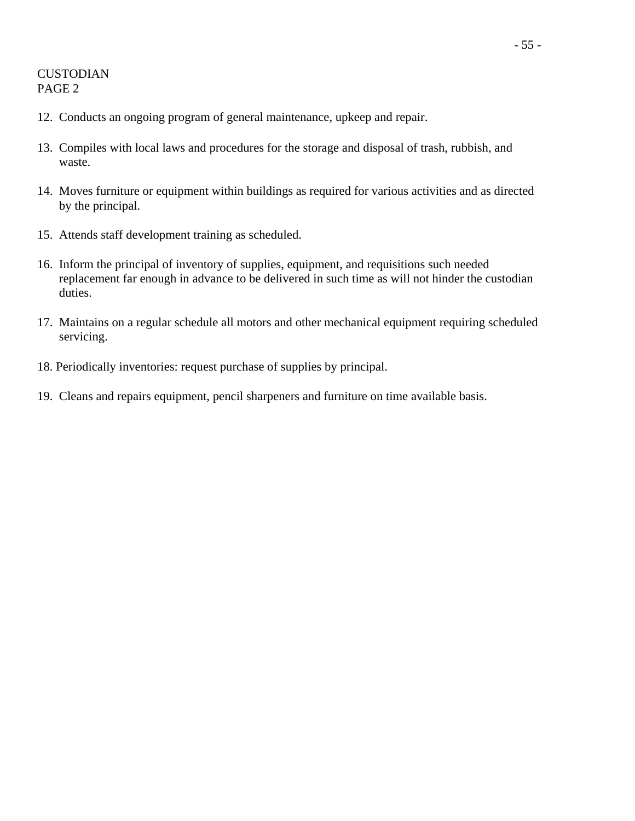# CUSTODIAN PAGE 2

- 12. Conducts an ongoing program of general maintenance, upkeep and repair.
- 13. Compiles with local laws and procedures for the storage and disposal of trash, rubbish, and waste.
- 14. Moves furniture or equipment within buildings as required for various activities and as directed by the principal.
- 15. Attends staff development training as scheduled.
- 16. Inform the principal of inventory of supplies, equipment, and requisitions such needed replacement far enough in advance to be delivered in such time as will not hinder the custodian duties.
- 17. Maintains on a regular schedule all motors and other mechanical equipment requiring scheduled servicing.
- 18. Periodically inventories: request purchase of supplies by principal.
- 19. Cleans and repairs equipment, pencil sharpeners and furniture on time available basis.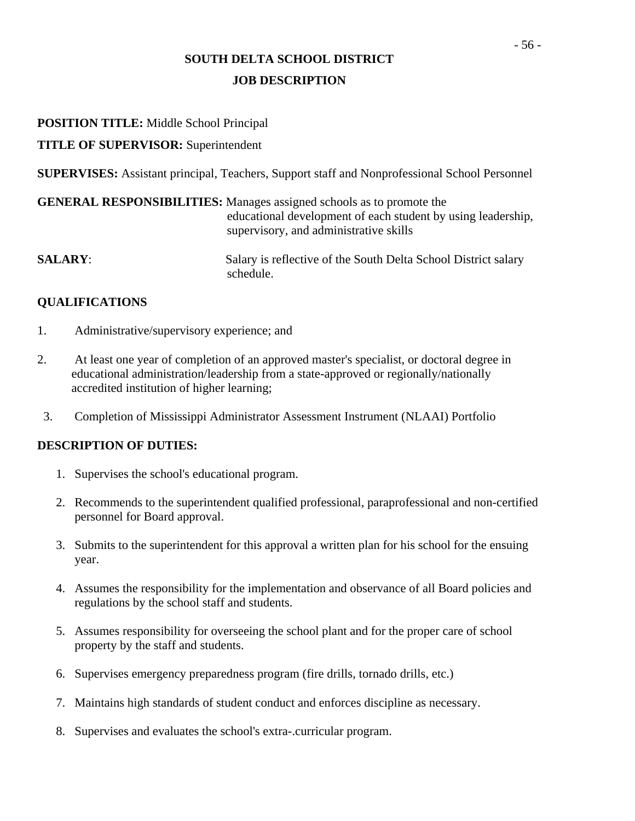# **SOUTH DELTA SCHOOL DISTRICT JOB DESCRIPTION**

### **POSITION TITLE:** Middle School Principal

### **TITLE OF SUPERVISOR:** Superintendent

**SUPERVISES:** Assistant principal, Teachers, Support staff and Nonprofessional School Personnel

|                | <b>GENERAL RESPONSIBILITIES:</b> Manages assigned schools as to promote the<br>educational development of each student by using leadership,<br>supervisory, and administrative skills |
|----------------|---------------------------------------------------------------------------------------------------------------------------------------------------------------------------------------|
| <b>SALARY:</b> | Salary is reflective of the South Delta School District salary<br>schedule.                                                                                                           |

### **QUALIFICATIONS**

- 1. Administrative/supervisory experience; and
- 2. At least one year of completion of an approved master's specialist, or doctoral degree in educational administration/leadership from a state-approved or regionally/nationally accredited institution of higher learning;
- 3. Completion of Mississippi Administrator Assessment Instrument (NLAAI) Portfolio

- 1. Supervises the school's educational program.
- 2. Recommends to the superintendent qualified professional, paraprofessional and non-certified personnel for Board approval.
- 3. Submits to the superintendent for this approval a written plan for his school for the ensuing year.
- 4. Assumes the responsibility for the implementation and observance of all Board policies and regulations by the school staff and students.
- 5. Assumes responsibility for overseeing the school plant and for the proper care of school property by the staff and students.
- 6. Supervises emergency preparedness program (fire drills, tornado drills, etc.)
- 7. Maintains high standards of student conduct and enforces discipline as necessary.
- 8. Supervises and evaluates the school's extra-.curricular program.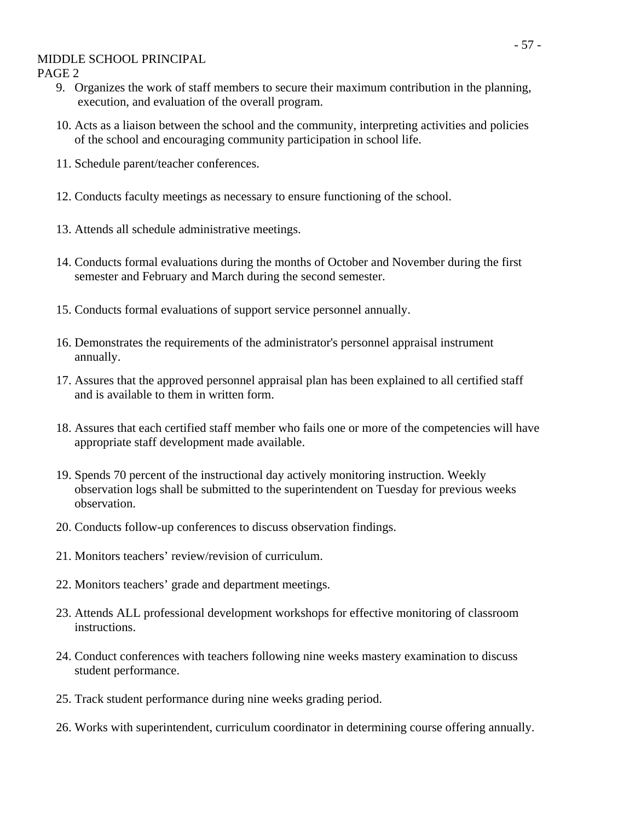#### MIDDLE SCHOOL PRINCIPAL

PAGE 2

- 9. Organizes the work of staff members to secure their maximum contribution in the planning, execution, and evaluation of the overall program.
- 10. Acts as a liaison between the school and the community, interpreting activities and policies of the school and encouraging community participation in school life.
- 11. Schedule parent/teacher conferences.
- 12. Conducts faculty meetings as necessary to ensure functioning of the school.
- 13. Attends all schedule administrative meetings.
- 14. Conducts formal evaluations during the months of October and November during the first semester and February and March during the second semester.
- 15. Conducts formal evaluations of support service personnel annually.
- 16. Demonstrates the requirements of the administrator's personnel appraisal instrument annually.
- 17. Assures that the approved personnel appraisal plan has been explained to all certified staff and is available to them in written form.
- 18. Assures that each certified staff member who fails one or more of the competencies will have appropriate staff development made available.
- 19. Spends 70 percent of the instructional day actively monitoring instruction. Weekly observation logs shall be submitted to the superintendent on Tuesday for previous weeks observation.
- 20. Conducts follow-up conferences to discuss observation findings.
- 21. Monitors teachers' review/revision of curriculum.
- 22. Monitors teachers' grade and department meetings.
- 23. Attends ALL professional development workshops for effective monitoring of classroom instructions.
- 24. Conduct conferences with teachers following nine weeks mastery examination to discuss student performance.
- 25. Track student performance during nine weeks grading period.
- 26. Works with superintendent, curriculum coordinator in determining course offering annually.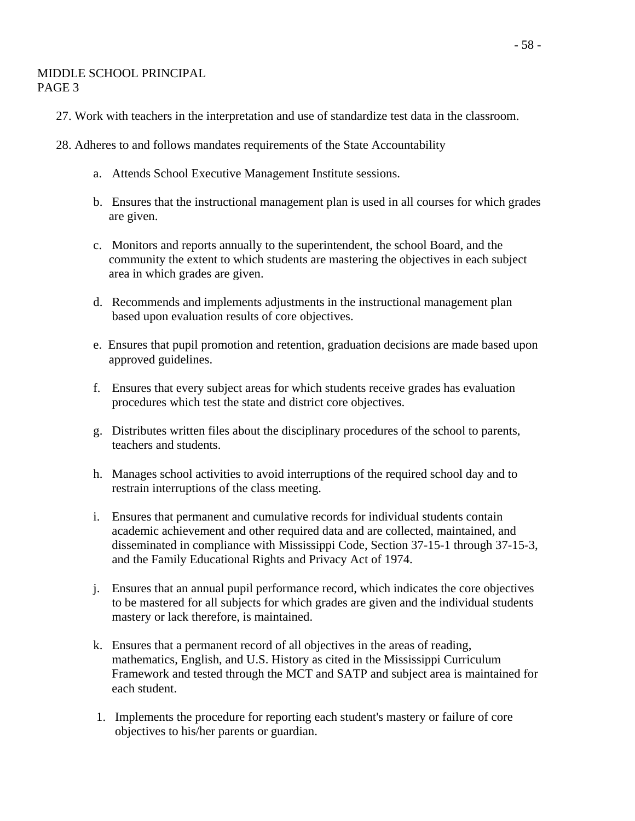#### MIDDLE SCHOOL PRINCIPAL PAGE 3

- 27. Work with teachers in the interpretation and use of standardize test data in the classroom.
- 28. Adheres to and follows mandates requirements of the State Accountability
	- a. Attends School Executive Management Institute sessions.
	- b. Ensures that the instructional management plan is used in all courses for which grades are given.
	- c. Monitors and reports annually to the superintendent, the school Board, and the community the extent to which students are mastering the objectives in each subject area in which grades are given.
	- d. Recommends and implements adjustments in the instructional management plan based upon evaluation results of core objectives.
	- e. Ensures that pupil promotion and retention, graduation decisions are made based upon approved guidelines.
	- f. Ensures that every subject areas for which students receive grades has evaluation procedures which test the state and district core objectives.
	- g. Distributes written files about the disciplinary procedures of the school to parents, teachers and students.
	- h. Manages school activities to avoid interruptions of the required school day and to restrain interruptions of the class meeting.
	- i. Ensures that permanent and cumulative records for individual students contain academic achievement and other required data and are collected, maintained, and disseminated in compliance with Mississippi Code, Section 37-15-1 through 37-15-3, and the Family Educational Rights and Privacy Act of 1974.
	- j. Ensures that an annual pupil performance record, which indicates the core objectives to be mastered for all subjects for which grades are given and the individual students mastery or lack therefore, is maintained.
	- k. Ensures that a permanent record of all objectives in the areas of reading, mathematics, English, and U.S. History as cited in the Mississippi Curriculum Framework and tested through the MCT and SATP and subject area is maintained for each student.
	- 1. Implements the procedure for reporting each student's mastery or failure of core objectives to his/her parents or guardian.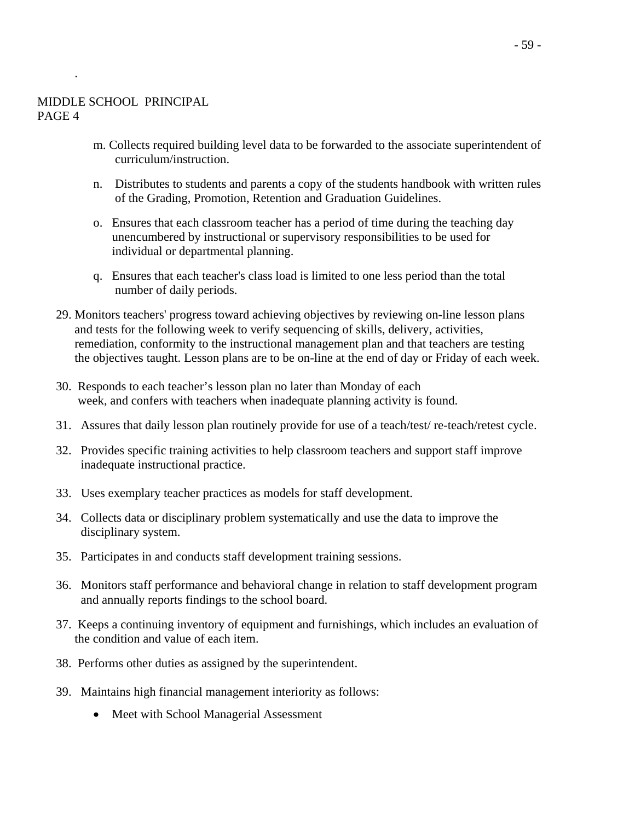.

- m. Collects required building level data to be forwarded to the associate superintendent of curriculum/instruction.
- n. Distributes to students and parents a copy of the students handbook with written rules of the Grading, Promotion, Retention and Graduation Guidelines.
- o. Ensures that each classroom teacher has a period of time during the teaching day unencumbered by instructional or supervisory responsibilities to be used for individual or departmental planning.
- q. Ensures that each teacher's class load is limited to one less period than the total number of daily periods.
- 29. Monitors teachers' progress toward achieving objectives by reviewing on-line lesson plans and tests for the following week to verify sequencing of skills, delivery, activities, remediation, conformity to the instructional management plan and that teachers are testing the objectives taught. Lesson plans are to be on-line at the end of day or Friday of each week.
- 30. Responds to each teacher's lesson plan no later than Monday of each week, and confers with teachers when inadequate planning activity is found.
- 31. Assures that daily lesson plan routinely provide for use of a teach/test/ re-teach/retest cycle.
- 32. Provides specific training activities to help classroom teachers and support staff improve inadequate instructional practice.
- 33. Uses exemplary teacher practices as models for staff development.
- 34. Collects data or disciplinary problem systematically and use the data to improve the disciplinary system.
- 35. Participates in and conducts staff development training sessions.
- 36. Monitors staff performance and behavioral change in relation to staff development program and annually reports findings to the school board.
- 37. Keeps a continuing inventory of equipment and furnishings, which includes an evaluation of the condition and value of each item.
- 38. Performs other duties as assigned by the superintendent.
- 39. Maintains high financial management interiority as follows:
	- Meet with School Managerial Assessment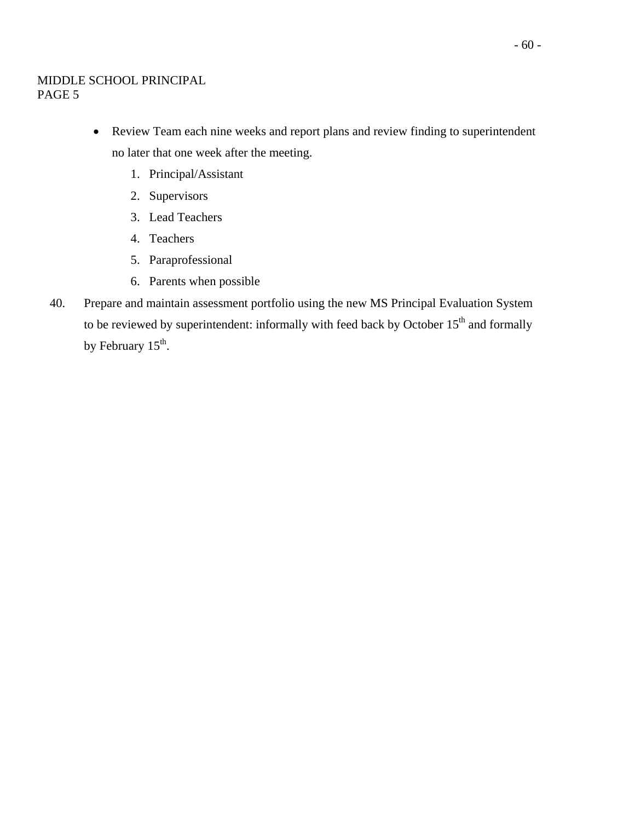### MIDDLE SCHOOL PRINCIPAL PAGE 5

- Review Team each nine weeks and report plans and review finding to superintendent no later that one week after the meeting.
	- 1. Principal/Assistant
	- 2. Supervisors
	- 3. Lead Teachers
	- 4. Teachers
	- 5. Paraprofessional
	- 6. Parents when possible
- 40. Prepare and maintain assessment portfolio using the new MS Principal Evaluation System to be reviewed by superintendent: informally with feed back by October  $15<sup>th</sup>$  and formally by February 15<sup>th</sup>.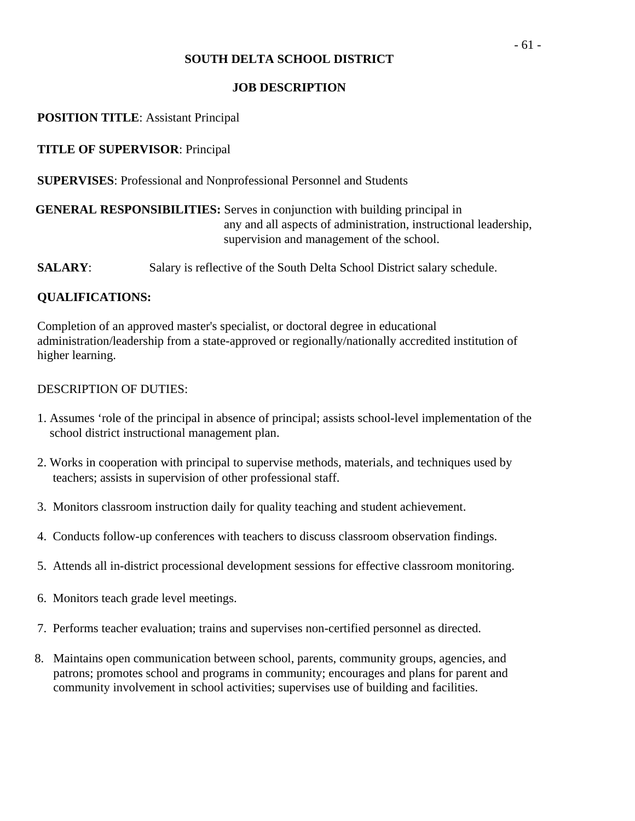### **JOB DESCRIPTION**

### **POSITION TITLE**: Assistant Principal

### **TITLE OF SUPERVISOR**: Principal

**SUPERVISES**: Professional and Nonprofessional Personnel and Students

# **GENERAL RESPONSIBILITIES:** Serves in conjunction with building principal in any and all aspects of administration, instructional leadership, supervision and management of the school.

**SALARY:** Salary is reflective of the South Delta School District salary schedule.

### **QUALIFICATIONS:**

Completion of an approved master's specialist, or doctoral degree in educational administration/leadership from a state-approved or regionally/nationally accredited institution of higher learning.

- 1. Assumes 'role of the principal in absence of principal; assists school-level implementation of the school district instructional management plan.
- 2. Works in cooperation with principal to supervise methods, materials, and techniques used by teachers; assists in supervision of other professional staff.
- 3. Monitors classroom instruction daily for quality teaching and student achievement.
- 4. Conducts follow-up conferences with teachers to discuss classroom observation findings.
- 5. Attends all in-district processional development sessions for effective classroom monitoring.
- 6. Monitors teach grade level meetings.
- 7. Performs teacher evaluation; trains and supervises non-certified personnel as directed.
- 8. Maintains open communication between school, parents, community groups, agencies, and patrons; promotes school and programs in community; encourages and plans for parent and community involvement in school activities; supervises use of building and facilities.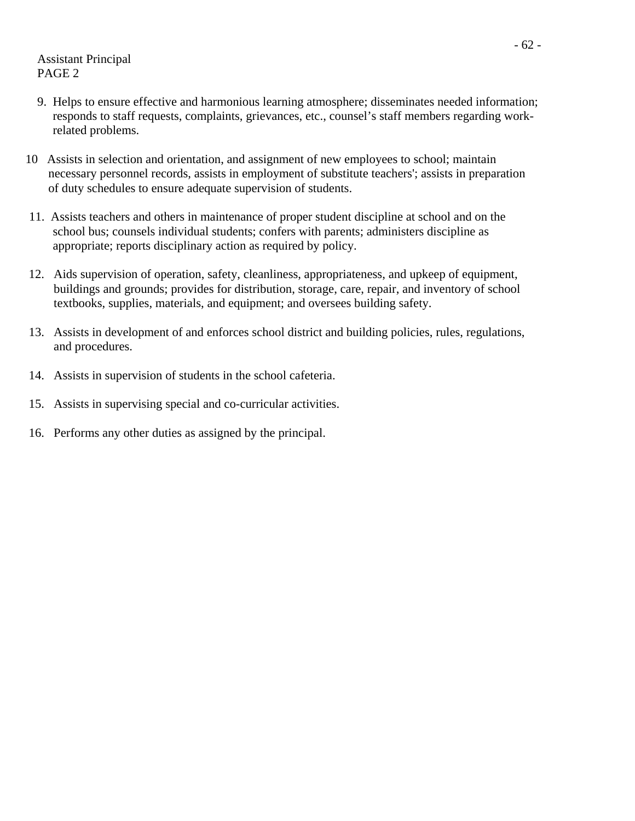Assistant Principal PAGE 2

- 9. Helps to ensure effective and harmonious learning atmosphere; disseminates needed information; responds to staff requests, complaints, grievances, etc., counsel's staff members regarding work related problems.
- 10 Assists in selection and orientation, and assignment of new employees to school; maintain necessary personnel records, assists in employment of substitute teachers'; assists in preparation of duty schedules to ensure adequate supervision of students.
- 11. Assists teachers and others in maintenance of proper student discipline at school and on the school bus; counsels individual students; confers with parents; administers discipline as appropriate; reports disciplinary action as required by policy.
- 12. Aids supervision of operation, safety, cleanliness, appropriateness, and upkeep of equipment, buildings and grounds; provides for distribution, storage, care, repair, and inventory of school textbooks, supplies, materials, and equipment; and oversees building safety.
- 13. Assists in development of and enforces school district and building policies, rules, regulations, and procedures.
- 14. Assists in supervision of students in the school cafeteria.
- 15. Assists in supervising special and co-curricular activities.
- 16. Performs any other duties as assigned by the principal.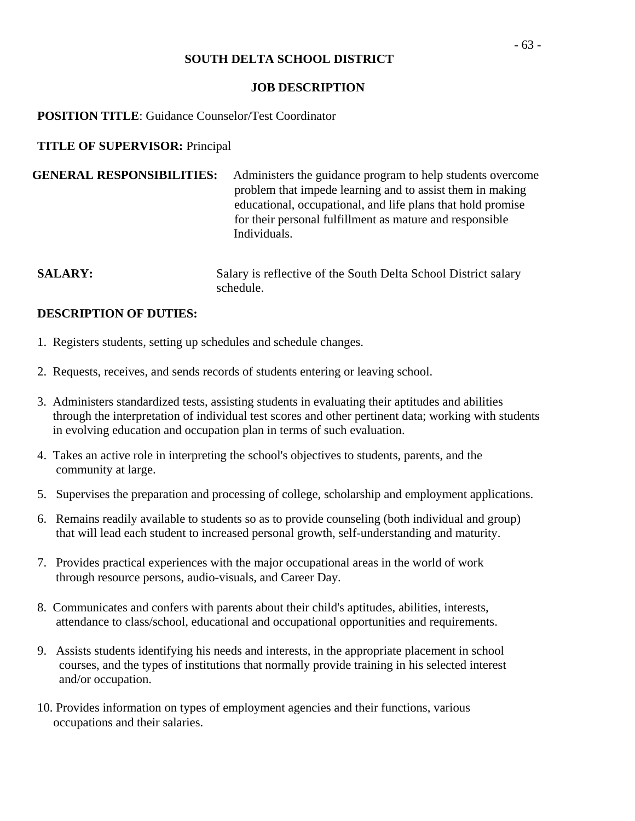#### **JOB DESCRIPTION**

### **POSITION TITLE**: Guidance Counselor/Test Coordinator

### **TITLE OF SUPERVISOR:** Principal

| <b>GENERAL RESPONSIBILITIES:</b> | Administers the guidance program to help students overcome  |
|----------------------------------|-------------------------------------------------------------|
|                                  | problem that impede learning and to assist them in making   |
|                                  | educational, occupational, and life plans that hold promise |
|                                  | for their personal fulfillment as mature and responsible    |
|                                  | Individuals.                                                |

**SALARY:** Salary is reflective of the South Delta School District salary schedule.

- 1. Registers students, setting up schedules and schedule changes.
- 2. Requests, receives, and sends records of students entering or leaving school.
- 3. Administers standardized tests, assisting students in evaluating their aptitudes and abilities through the interpretation of individual test scores and other pertinent data; working with students in evolving education and occupation plan in terms of such evaluation.
- 4. Takes an active role in interpreting the school's objectives to students, parents, and the community at large.
- 5. Supervises the preparation and processing of college, scholarship and employment applications.
- 6. Remains readily available to students so as to provide counseling (both individual and group) that will lead each student to increased personal growth, self-understanding and maturity.
- 7. Provides practical experiences with the major occupational areas in the world of work through resource persons, audio-visuals, and Career Day.
- 8. Communicates and confers with parents about their child's aptitudes, abilities, interests, attendance to class/school, educational and occupational opportunities and requirements.
- 9. Assists students identifying his needs and interests, in the appropriate placement in school courses, and the types of institutions that normally provide training in his selected interest and/or occupation.
- 10. Provides information on types of employment agencies and their functions, various occupations and their salaries.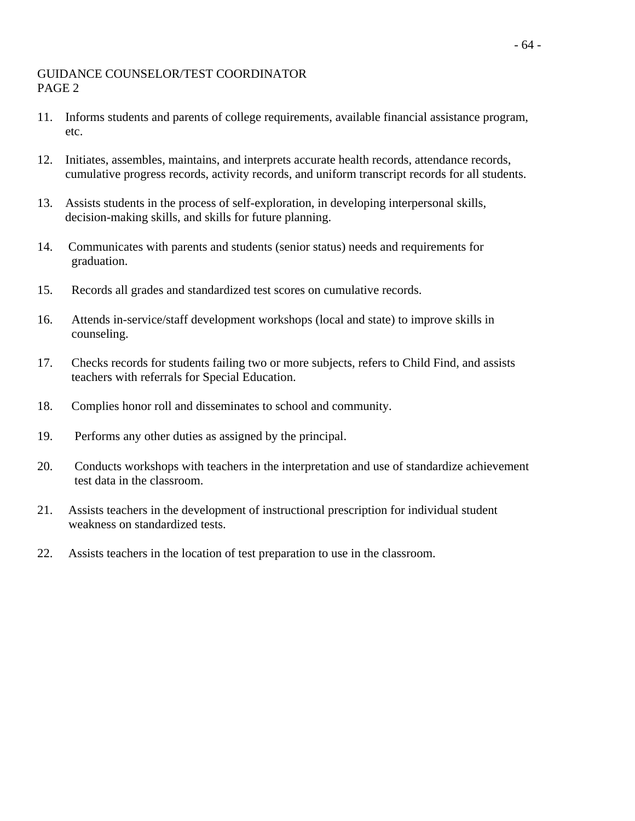### GUIDANCE COUNSELOR/TEST COORDINATOR PAGE 2

- 11. Informs students and parents of college requirements, available financial assistance program, etc.
- 12. Initiates, assembles, maintains, and interprets accurate health records, attendance records, cumulative progress records, activity records, and uniform transcript records for all students.
- 13. Assists students in the process of self-exploration, in developing interpersonal skills, decision-making skills, and skills for future planning.
- 14. Communicates with parents and students (senior status) needs and requirements for graduation.
- 15. Records all grades and standardized test scores on cumulative records.
- 16. Attends in-service/staff development workshops (local and state) to improve skills in counseling.
- 17. Checks records for students failing two or more subjects, refers to Child Find, and assists teachers with referrals for Special Education.
- 18. Complies honor roll and disseminates to school and community.
- 19. Performs any other duties as assigned by the principal.
- 20. Conducts workshops with teachers in the interpretation and use of standardize achievement test data in the classroom.
- 21. Assists teachers in the development of instructional prescription for individual student weakness on standardized tests.
- 22. Assists teachers in the location of test preparation to use in the classroom.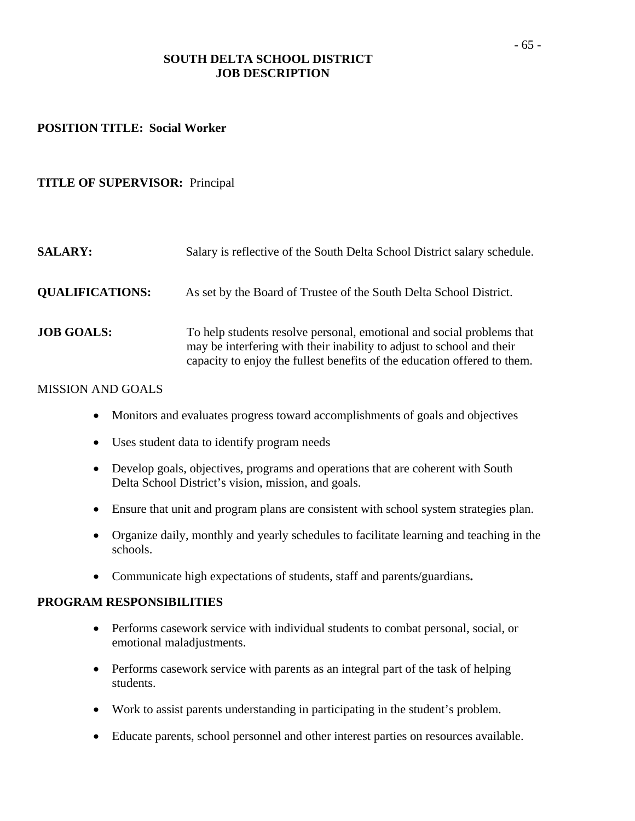### **SOUTH DELTA SCHOOL DISTRICT JOB DESCRIPTION**

#### **POSITION TITLE: Social Worker**

#### **TITLE OF SUPERVISOR:** Principal

| <b>SALARY:</b>         | Salary is reflective of the South Delta School District salary schedule.                                                                                                                                                   |
|------------------------|----------------------------------------------------------------------------------------------------------------------------------------------------------------------------------------------------------------------------|
| <b>QUALIFICATIONS:</b> | As set by the Board of Trustee of the South Delta School District.                                                                                                                                                         |
| <b>JOB GOALS:</b>      | To help students resolve personal, emotional and social problems that<br>may be interfering with their inability to adjust to school and their<br>capacity to enjoy the fullest benefits of the education offered to them. |

#### MISSION AND GOALS

- Monitors and evaluates progress toward accomplishments of goals and objectives
- Uses student data to identify program needs
- Develop goals, objectives, programs and operations that are coherent with South Delta School District's vision, mission, and goals.
- Ensure that unit and program plans are consistent with school system strategies plan.
- Organize daily, monthly and yearly schedules to facilitate learning and teaching in the schools.
- Communicate high expectations of students, staff and parents/guardians**.**

#### **PROGRAM RESPONSIBILITIES**

- Performs casework service with individual students to combat personal, social, or emotional maladjustments.
- Performs casework service with parents as an integral part of the task of helping students.
- Work to assist parents understanding in participating in the student's problem.
- Educate parents, school personnel and other interest parties on resources available.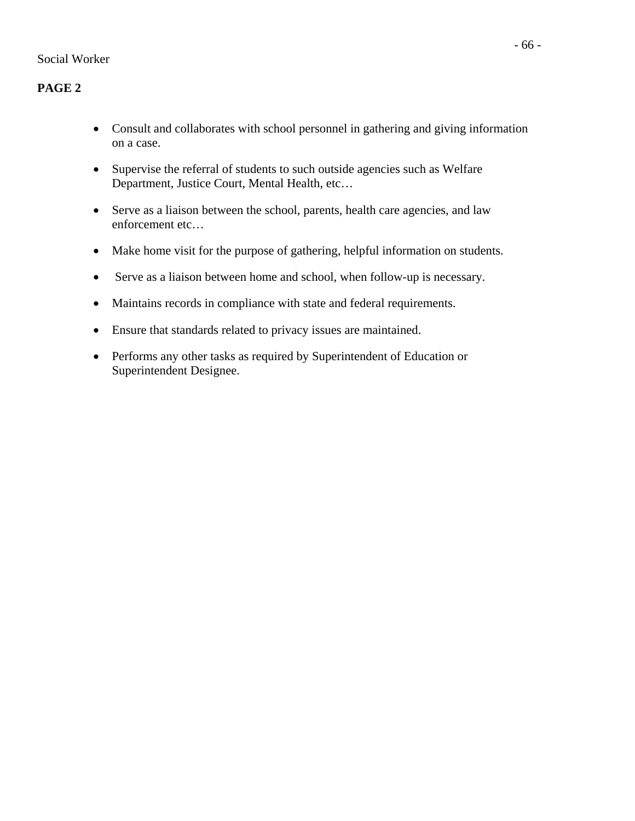# **PAGE 2**

- Consult and collaborates with school personnel in gathering and giving information on a case.
- Supervise the referral of students to such outside agencies such as Welfare Department, Justice Court, Mental Health, etc…
- Serve as a liaison between the school, parents, health care agencies, and law enforcement etc…
- Make home visit for the purpose of gathering, helpful information on students.
- Serve as a liaison between home and school, when follow-up is necessary.
- Maintains records in compliance with state and federal requirements.
- Ensure that standards related to privacy issues are maintained.
- Performs any other tasks as required by Superintendent of Education or Superintendent Designee.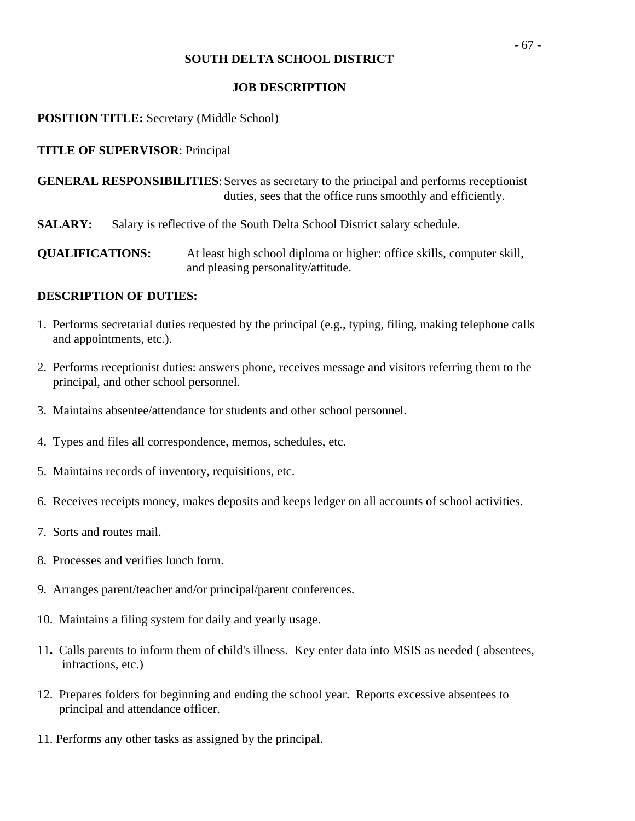### **JOB DESCRIPTION**

### **POSITION TITLE:** Secretary (Middle School)

### **TITLE OF SUPERVISOR**: Principal

**GENERAL RESPONSIBILITIES**: Serves as secretary to the principal and performs receptionist duties, sees that the office runs smoothly and efficiently.

**SALARY:** Salary is reflective of the South Delta School District salary schedule.

**QUALIFICATIONS:** At least high school diploma or higher: office skills, computer skill, and pleasing personality/attitude.

- 1. Performs secretarial duties requested by the principal (e.g., typing, filing, making telephone calls and appointments, etc.).
- 2. Performs receptionist duties: answers phone, receives message and visitors referring them to the principal, and other school personnel.
- 3. Maintains absentee/attendance for students and other school personnel.
- 4. Types and files all correspondence, memos, schedules, etc.
- 5. Maintains records of inventory, requisitions, etc.
- 6. Receives receipts money, makes deposits and keeps ledger on all accounts of school activities.
- 7. Sorts and routes mail.
- 8. Processes and verifies lunch form.
- 9. Arranges parent/teacher and/or principal/parent conferences.
- 10. Maintains a filing system for daily and yearly usage.
- 11**.** Calls parents to inform them of child's illness. Key enter data into MSIS as needed ( absentees, infractions, etc.)
- 12. Prepares folders for beginning and ending the school year. Reports excessive absentees to principal and attendance officer.
- 11. Performs any other tasks as assigned by the principal.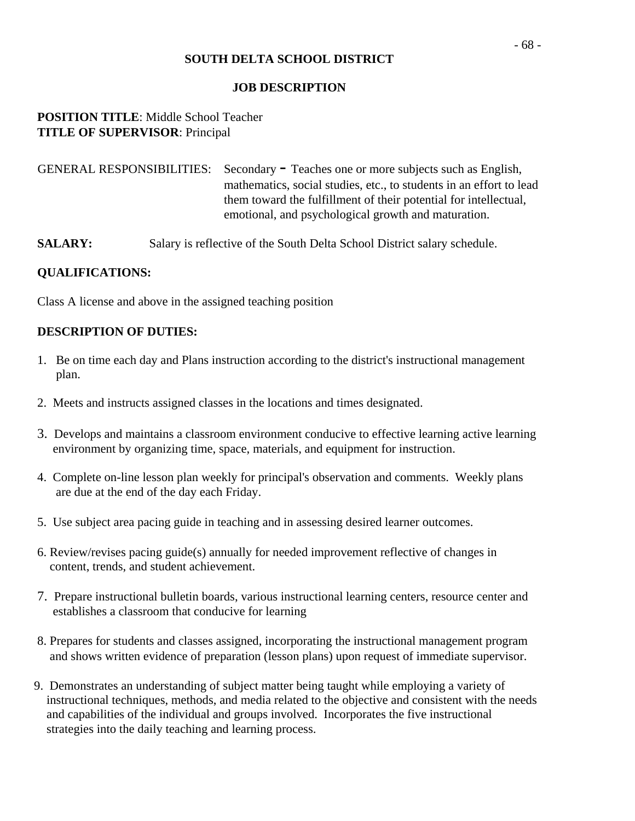#### **JOB DESCRIPTION**

### **POSITION TITLE**: Middle School Teacher **TITLE OF SUPERVISOR**: Principal

| GENERAL RESPONSIBILITIES: Secondary - Teaches one or more subjects such as English, |
|-------------------------------------------------------------------------------------|
| mathematics, social studies, etc., to students in an effort to lead                 |
| them toward the fulfillment of their potential for intellectual,                    |
| emotional, and psychological growth and maturation.                                 |

**SALARY:** Salary is reflective of the South Delta School District salary schedule.

### **QUALIFICATIONS:**

Class A license and above in the assigned teaching position

- 1. Be on time each day and Plans instruction according to the district's instructional management plan.
- 2. Meets and instructs assigned classes in the locations and times designated.
- 3. Develops and maintains a classroom environment conducive to effective learning active learning environment by organizing time, space, materials, and equipment for instruction.
- 4. Complete on-line lesson plan weekly for principal's observation and comments. Weekly plans are due at the end of the day each Friday.
- 5. Use subject area pacing guide in teaching and in assessing desired learner outcomes.
- 6. Review/revises pacing guide(s) annually for needed improvement reflective of changes in content, trends, and student achievement.
- 7. Prepare instructional bulletin boards, various instructional learning centers, resource center and establishes a classroom that conducive for learning
- 8. Prepares for students and classes assigned, incorporating the instructional management program and shows written evidence of preparation (lesson plans) upon request of immediate supervisor.
- 9. Demonstrates an understanding of subject matter being taught while employing a variety of instructional techniques, methods, and media related to the objective and consistent with the needs and capabilities of the individual and groups involved. Incorporates the five instructional strategies into the daily teaching and learning process.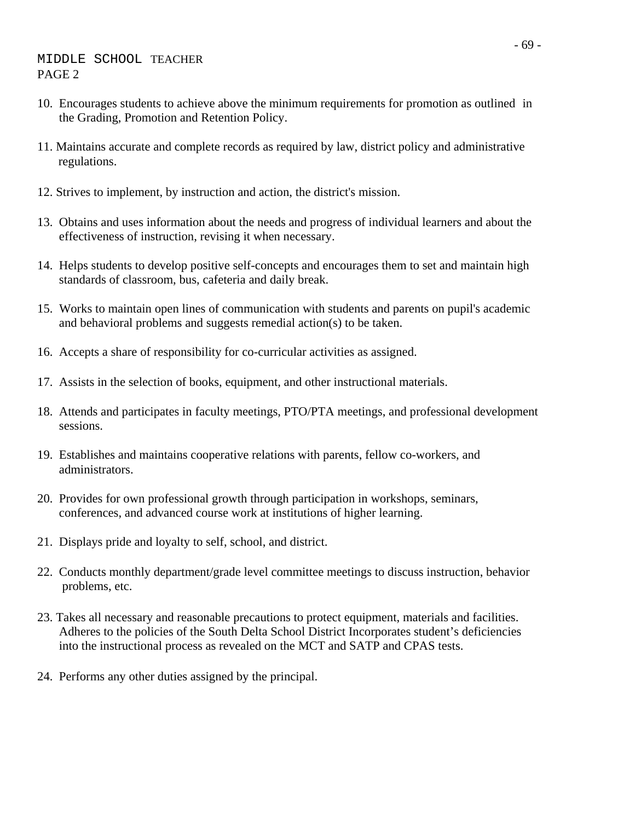- 10. Encourages students to achieve above the minimum requirements for promotion as outlined in the Grading, Promotion and Retention Policy.
- 11. Maintains accurate and complete records as required by law, district policy and administrative regulations.
- 12. Strives to implement, by instruction and action, the district's mission.
- 13. Obtains and uses information about the needs and progress of individual learners and about the effectiveness of instruction, revising it when necessary.
- 14. Helps students to develop positive self-concepts and encourages them to set and maintain high standards of classroom, bus, cafeteria and daily break.
- 15. Works to maintain open lines of communication with students and parents on pupil's academic and behavioral problems and suggests remedial action(s) to be taken.
- 16. Accepts a share of responsibility for co-curricular activities as assigned.
- 17. Assists in the selection of books, equipment, and other instructional materials.
- 18. Attends and participates in faculty meetings, PTO/PTA meetings, and professional development sessions.
- 19. Establishes and maintains cooperative relations with parents, fellow co-workers, and administrators.
- 20. Provides for own professional growth through participation in workshops, seminars, conferences, and advanced course work at institutions of higher learning.
- 21. Displays pride and loyalty to self, school, and district.
- 22. Conducts monthly department/grade level committee meetings to discuss instruction, behavior problems, etc.
- 23. Takes all necessary and reasonable precautions to protect equipment, materials and facilities. Adheres to the policies of the South Delta School District Incorporates student's deficiencies into the instructional process as revealed on the MCT and SATP and CPAS tests.
- 24. Performs any other duties assigned by the principal.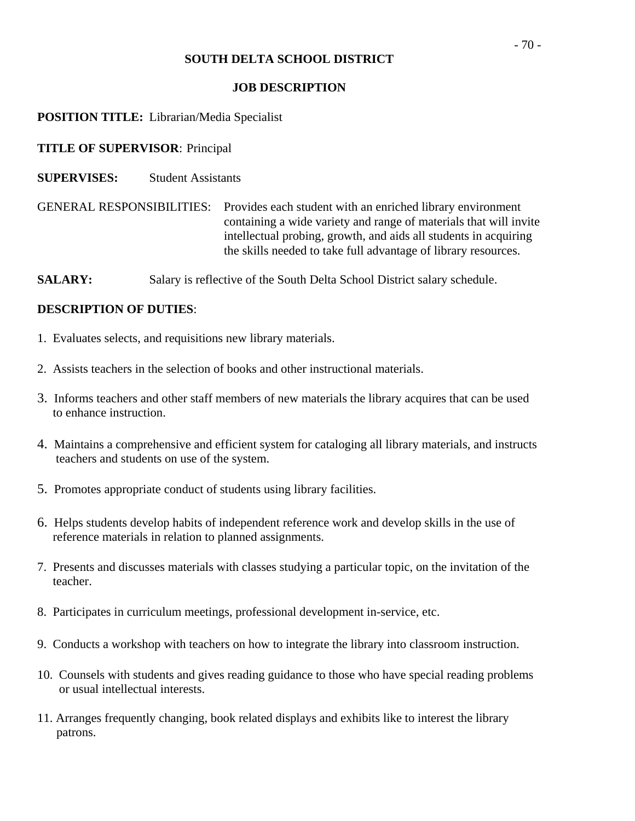### **JOB DESCRIPTION**

### **POSITION TITLE:** Librarian/Media Specialist

### **TITLE OF SUPERVISOR**: Principal

**SUPERVISES:** Student Assistants

GENERAL RESPONSIBILITIES: Provides each student with an enriched library environment containing a wide variety and range of materials that will invite intellectual probing, growth, and aids all students in acquiring the skills needed to take full advantage of library resources.

**SALARY:** Salary is reflective of the South Delta School District salary schedule.

- 1. Evaluates selects, and requisitions new library materials.
- 2. Assists teachers in the selection of books and other instructional materials.
- 3. Informs teachers and other staff members of new materials the library acquires that can be used to enhance instruction.
- 4. Maintains a comprehensive and efficient system for cataloging all library materials, and instructs teachers and students on use of the system.
- 5. Promotes appropriate conduct of students using library facilities.
- 6. Helps students develop habits of independent reference work and develop skills in the use of reference materials in relation to planned assignments.
- 7. Presents and discusses materials with classes studying a particular topic, on the invitation of the teacher.
- 8. Participates in curriculum meetings, professional development in-service, etc.
- 9. Conducts a workshop with teachers on how to integrate the library into classroom instruction.
- 10. Counsels with students and gives reading guidance to those who have special reading problems or usual intellectual interests.
- 11. Arranges frequently changing, book related displays and exhibits like to interest the library patrons.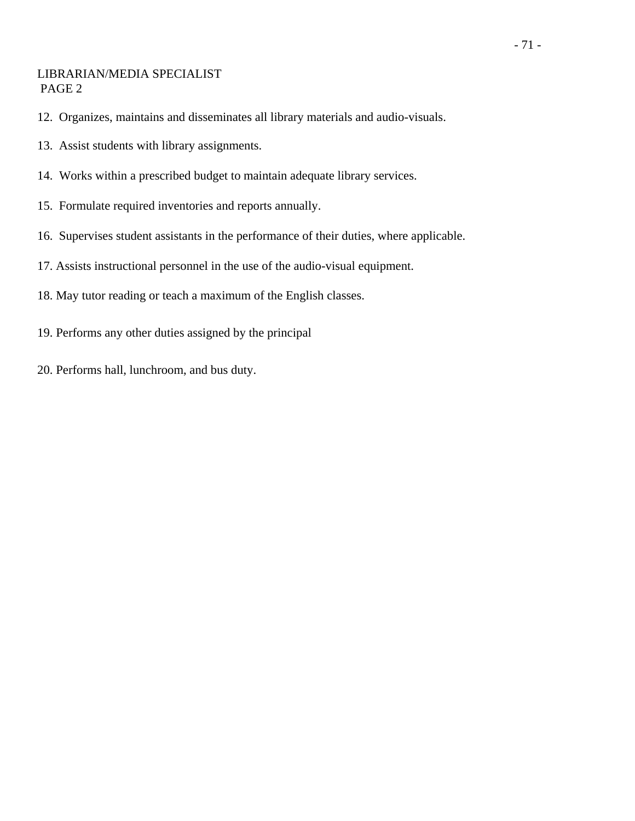### LIBRARIAN/MEDIA SPECIALIST PAGE 2

- 12. Organizes, maintains and disseminates all library materials and audio-visuals.
- 13. Assist students with library assignments.
- 14. Works within a prescribed budget to maintain adequate library services.
- 15. Formulate required inventories and reports annually.
- 16. Supervises student assistants in the performance of their duties, where applicable.
- 17. Assists instructional personnel in the use of the audio-visual equipment.
- 18. May tutor reading or teach a maximum of the English classes.
- 19. Performs any other duties assigned by the principal
- 20. Performs hall, lunchroom, and bus duty.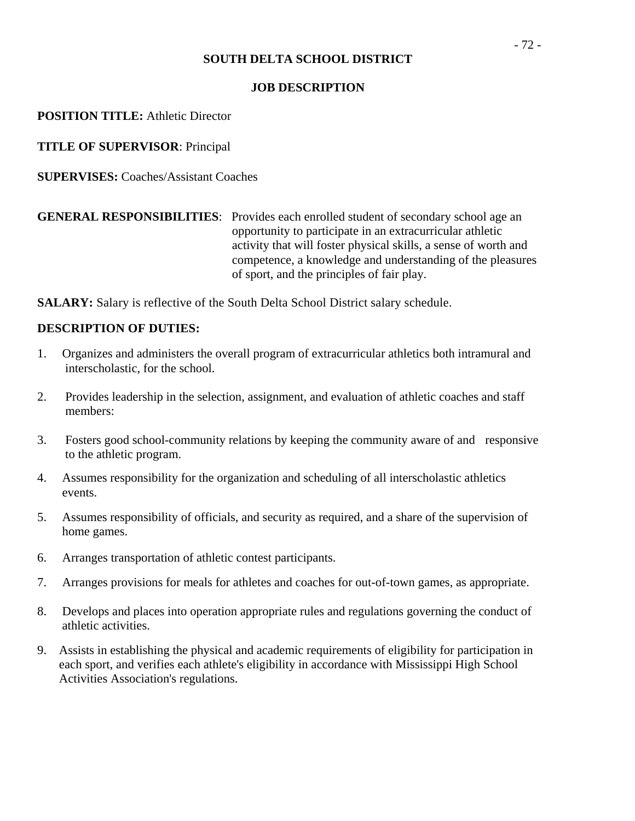### **JOB DESCRIPTION**

**POSITION TITLE:** Athletic Director

**TITLE OF SUPERVISOR**: Principal

**SUPERVISES:** Coaches/Assistant Coaches

**GENERAL RESPONSIBILITIES**: Provides each enrolled student of secondary school age an opportunity to participate in an extracurricular athletic activity that will foster physical skills, a sense of worth and competence, a knowledge and understanding of the pleasures of sport, and the principles of fair play.

**SALARY:** Salary is reflective of the South Delta School District salary schedule.

- 1. Organizes and administers the overall program of extracurricular athletics both intramural and interscholastic, for the school.
- 2. Provides leadership in the selection, assignment, and evaluation of athletic coaches and staff members:
- 3. Fosters good school-community relations by keeping the community aware of and responsive to the athletic program.
- 4. Assumes responsibility for the organization and scheduling of all interscholastic athletics events.
- 5. Assumes responsibility of officials, and security as required, and a share of the supervision of home games.
- 6. Arranges transportation of athletic contest participants.
- 7. Arranges provisions for meals for athletes and coaches for out-of-town games, as appropriate.
- 8. Develops and places into operation appropriate rules and regulations governing the conduct of athletic activities.
- 9. Assists in establishing the physical and academic requirements of eligibility for participation in each sport, and verifies each athlete's eligibility in accordance with Mississippi High School Activities Association's regulations.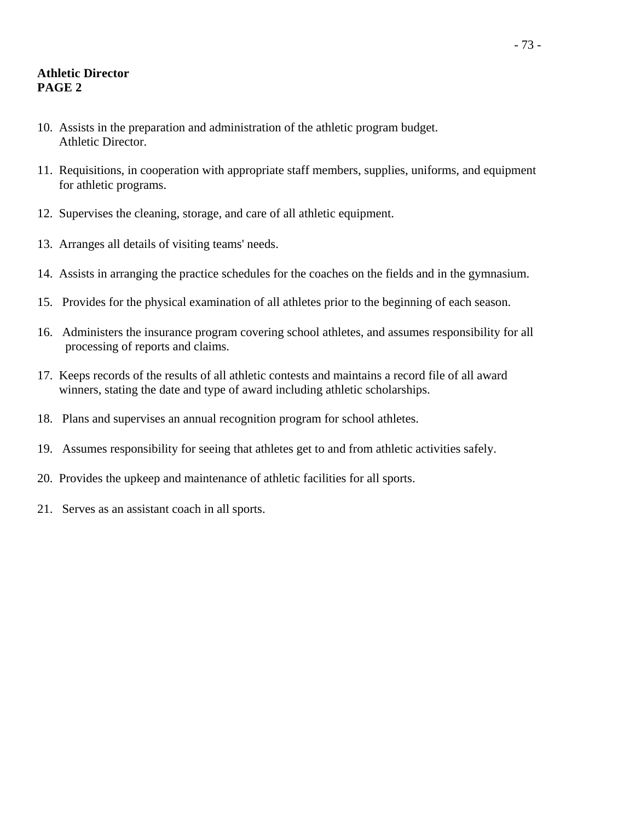# **Athletic Director PAGE 2**

- 10. Assists in the preparation and administration of the athletic program budget. Athletic Director.
- 11. Requisitions, in cooperation with appropriate staff members, supplies, uniforms, and equipment for athletic programs.
- 12. Supervises the cleaning, storage, and care of all athletic equipment.
- 13. Arranges all details of visiting teams' needs.
- 14. Assists in arranging the practice schedules for the coaches on the fields and in the gymnasium.
- 15. Provides for the physical examination of all athletes prior to the beginning of each season.
- 16. Administers the insurance program covering school athletes, and assumes responsibility for all processing of reports and claims.
- 17. Keeps records of the results of all athletic contests and maintains a record file of all award winners, stating the date and type of award including athletic scholarships.
- 18. Plans and supervises an annual recognition program for school athletes.
- 19. Assumes responsibility for seeing that athletes get to and from athletic activities safely.
- 20. Provides the upkeep and maintenance of athletic facilities for all sports.
- 21. Serves as an assistant coach in all sports.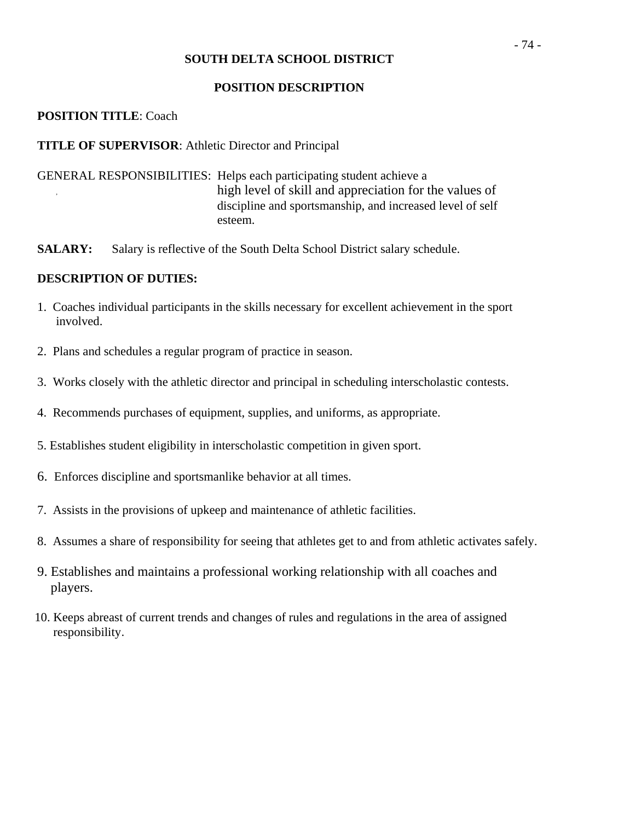#### **POSITION DESCRIPTION**

## **POSITION TITLE**: Coach

## **TITLE OF SUPERVISOR**: Athletic Director and Principal

- GENERAL RESPONSIBILITIES: Helps each participating student achieve a high level of skill and appreciation for the values of discipline and sportsmanship, and increased level of self esteem.
- **SALARY:** Salary is reflective of the South Delta School District salary schedule.

- 1. Coaches individual participants in the skills necessary for excellent achievement in the sport involved.
- 2. Plans and schedules a regular program of practice in season.
- 3. Works closely with the athletic director and principal in scheduling interscholastic contests.
- 4. Recommends purchases of equipment, supplies, and uniforms, as appropriate.
- 5. Establishes student eligibility in interscholastic competition in given sport.
- 6. Enforces discipline and sportsmanlike behavior at all times.
- 7. Assists in the provisions of upkeep and maintenance of athletic facilities.
- 8. Assumes a share of responsibility for seeing that athletes get to and from athletic activates safely.
- 9. Establishes and maintains a professional working relationship with all coaches and players.
- 10. Keeps abreast of current trends and changes of rules and regulations in the area of assigned responsibility.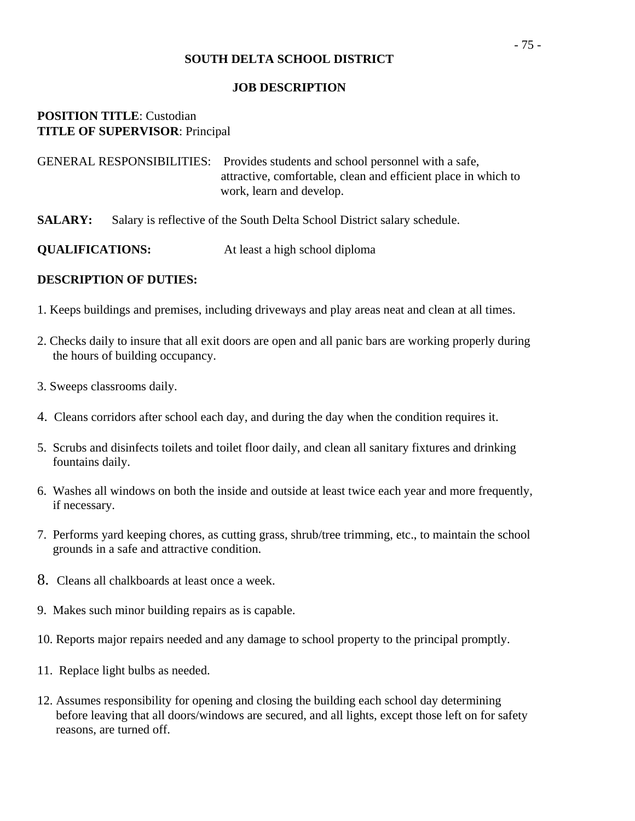#### **JOB DESCRIPTION**

# **POSITION TITLE**: Custodian **TITLE OF SUPERVISOR**: Principal

| GENERAL RESPONSIBILITIES: Provides students and school personnel with a safe, |
|-------------------------------------------------------------------------------|
| attractive, comfortable, clean and efficient place in which to                |
| work, learn and develop.                                                      |

**SALARY:** Salary is reflective of the South Delta School District salary schedule.

- 1. Keeps buildings and premises, including driveways and play areas neat and clean at all times.
- 2. Checks daily to insure that all exit doors are open and all panic bars are working properly during the hours of building occupancy.
- 3. Sweeps classrooms daily.
- 4. Cleans corridors after school each day, and during the day when the condition requires it.
- 5. Scrubs and disinfects toilets and toilet floor daily, and clean all sanitary fixtures and drinking fountains daily.
- 6. Washes all windows on both the inside and outside at least twice each year and more frequently, if necessary.
- 7. Performs yard keeping chores, as cutting grass, shrub/tree trimming, etc., to maintain the school grounds in a safe and attractive condition.
- 8. Cleans all chalkboards at least once a week.
- 9. Makes such minor building repairs as is capable.
- 10. Reports major repairs needed and any damage to school property to the principal promptly.
- 11. Replace light bulbs as needed.
- 12. Assumes responsibility for opening and closing the building each school day determining before leaving that all doors/windows are secured, and all lights, except those left on for safety reasons, are turned off.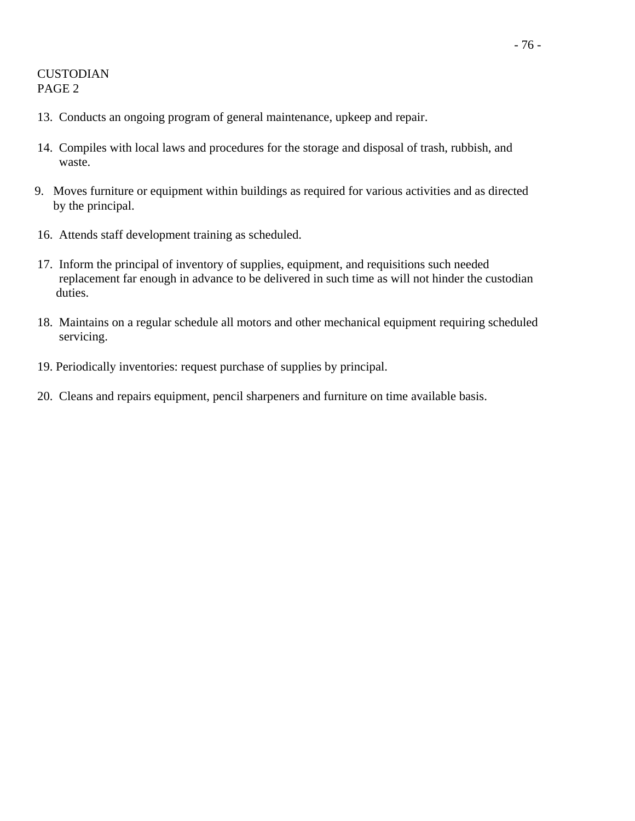# CUSTODIAN PAGE 2

- 13. Conducts an ongoing program of general maintenance, upkeep and repair.
- 14. Compiles with local laws and procedures for the storage and disposal of trash, rubbish, and waste.
- 9. Moves furniture or equipment within buildings as required for various activities and as directed by the principal.
- 16. Attends staff development training as scheduled.
- 17. Inform the principal of inventory of supplies, equipment, and requisitions such needed replacement far enough in advance to be delivered in such time as will not hinder the custodian duties.
- 18. Maintains on a regular schedule all motors and other mechanical equipment requiring scheduled servicing.
- 19. Periodically inventories: request purchase of supplies by principal.
- 20. Cleans and repairs equipment, pencil sharpeners and furniture on time available basis.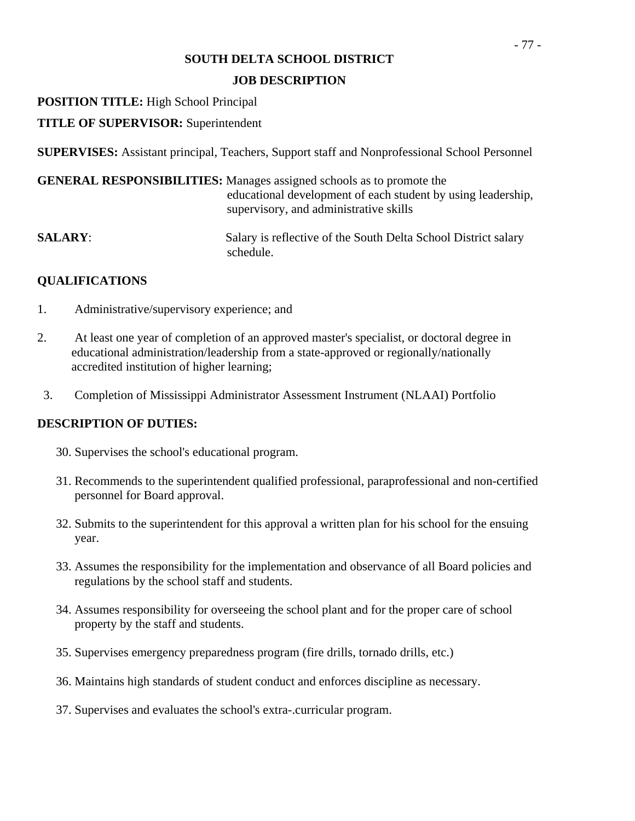# **JOB DESCRIPTION**

# **POSITION TITLE:** High School Principal

# **TITLE OF SUPERVISOR:** Superintendent

**SUPERVISES:** Assistant principal, Teachers, Support staff and Nonprofessional School Personnel

|                | <b>GENERAL RESPONSIBILITIES:</b> Manages assigned schools as to promote the<br>educational development of each student by using leadership,<br>supervisory, and administrative skills |
|----------------|---------------------------------------------------------------------------------------------------------------------------------------------------------------------------------------|
| <b>SALARY:</b> | Salary is reflective of the South Delta School District salary<br>schedule.                                                                                                           |

# **QUALIFICATIONS**

- 1. Administrative/supervisory experience; and
- 2. At least one year of completion of an approved master's specialist, or doctoral degree in educational administration/leadership from a state-approved or regionally/nationally accredited institution of higher learning;
- 3. Completion of Mississippi Administrator Assessment Instrument (NLAAI) Portfolio

- 30. Supervises the school's educational program.
- 31. Recommends to the superintendent qualified professional, paraprofessional and non-certified personnel for Board approval.
- 32. Submits to the superintendent for this approval a written plan for his school for the ensuing year.
- 33. Assumes the responsibility for the implementation and observance of all Board policies and regulations by the school staff and students.
- 34. Assumes responsibility for overseeing the school plant and for the proper care of school property by the staff and students.
- 35. Supervises emergency preparedness program (fire drills, tornado drills, etc.)
- 36. Maintains high standards of student conduct and enforces discipline as necessary.
- 37. Supervises and evaluates the school's extra-.curricular program.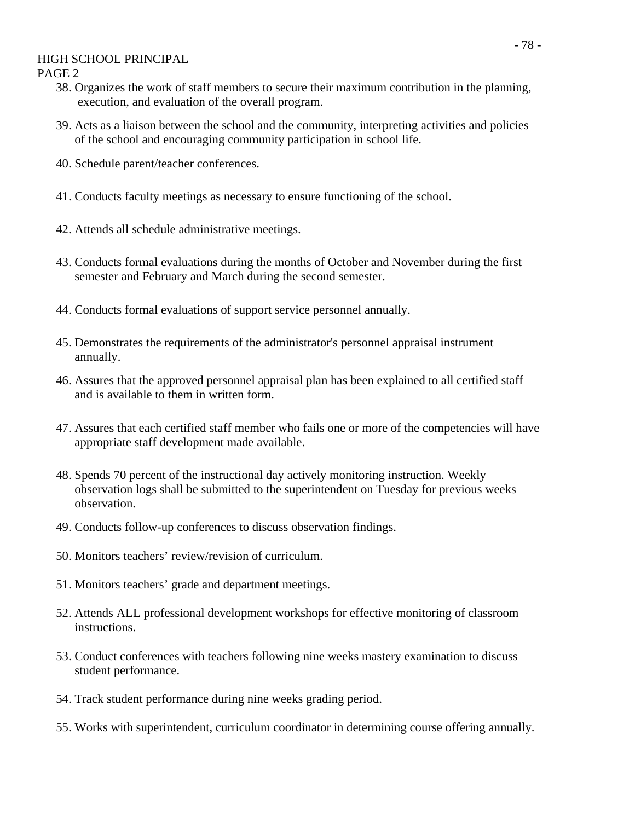## HIGH SCHOOL PRINCIPAL

PAGE 2

- 38. Organizes the work of staff members to secure their maximum contribution in the planning, execution, and evaluation of the overall program.
- 39. Acts as a liaison between the school and the community, interpreting activities and policies of the school and encouraging community participation in school life.
- 40. Schedule parent/teacher conferences.
- 41. Conducts faculty meetings as necessary to ensure functioning of the school.
- 42. Attends all schedule administrative meetings.
- 43. Conducts formal evaluations during the months of October and November during the first semester and February and March during the second semester.
- 44. Conducts formal evaluations of support service personnel annually.
- 45. Demonstrates the requirements of the administrator's personnel appraisal instrument annually.
- 46. Assures that the approved personnel appraisal plan has been explained to all certified staff and is available to them in written form.
- 47. Assures that each certified staff member who fails one or more of the competencies will have appropriate staff development made available.
- 48. Spends 70 percent of the instructional day actively monitoring instruction. Weekly observation logs shall be submitted to the superintendent on Tuesday for previous weeks observation.
- 49. Conducts follow-up conferences to discuss observation findings.
- 50. Monitors teachers' review/revision of curriculum.
- 51. Monitors teachers' grade and department meetings.
- 52. Attends ALL professional development workshops for effective monitoring of classroom instructions.
- 53. Conduct conferences with teachers following nine weeks mastery examination to discuss student performance.
- 54. Track student performance during nine weeks grading period.
- 55. Works with superintendent, curriculum coordinator in determining course offering annually.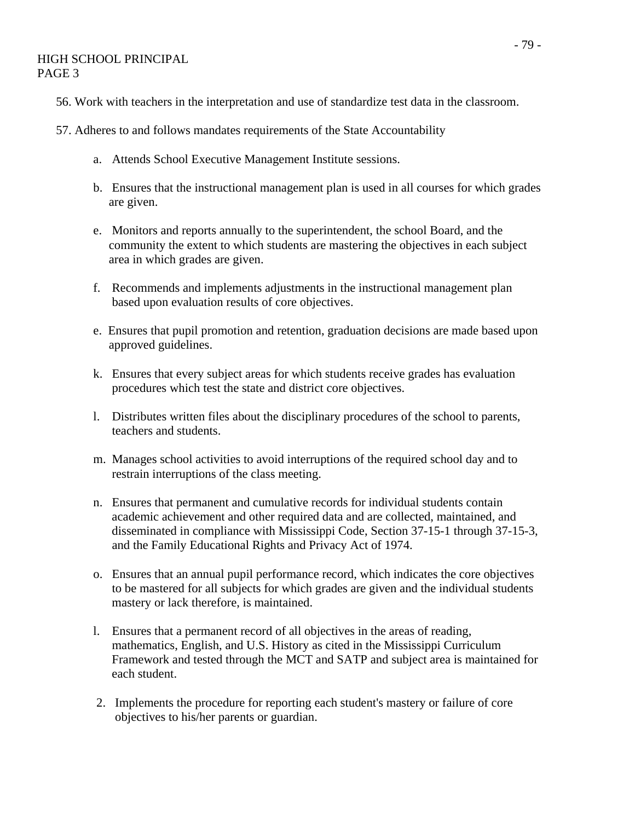## HIGH SCHOOL PRINCIPAL PAGE 3

- 56. Work with teachers in the interpretation and use of standardize test data in the classroom.
- 57. Adheres to and follows mandates requirements of the State Accountability
	- a. Attends School Executive Management Institute sessions.
	- b. Ensures that the instructional management plan is used in all courses for which grades are given.
	- e. Monitors and reports annually to the superintendent, the school Board, and the community the extent to which students are mastering the objectives in each subject area in which grades are given.
	- f. Recommends and implements adjustments in the instructional management plan based upon evaluation results of core objectives.
	- e. Ensures that pupil promotion and retention, graduation decisions are made based upon approved guidelines.
	- k. Ensures that every subject areas for which students receive grades has evaluation procedures which test the state and district core objectives.
	- l. Distributes written files about the disciplinary procedures of the school to parents, teachers and students.
	- m. Manages school activities to avoid interruptions of the required school day and to restrain interruptions of the class meeting.
	- n. Ensures that permanent and cumulative records for individual students contain academic achievement and other required data and are collected, maintained, and disseminated in compliance with Mississippi Code, Section 37-15-1 through 37-15-3, and the Family Educational Rights and Privacy Act of 1974.
	- o. Ensures that an annual pupil performance record, which indicates the core objectives to be mastered for all subjects for which grades are given and the individual students mastery or lack therefore, is maintained.
	- l. Ensures that a permanent record of all objectives in the areas of reading, mathematics, English, and U.S. History as cited in the Mississippi Curriculum Framework and tested through the MCT and SATP and subject area is maintained for each student.
	- 2. Implements the procedure for reporting each student's mastery or failure of core objectives to his/her parents or guardian.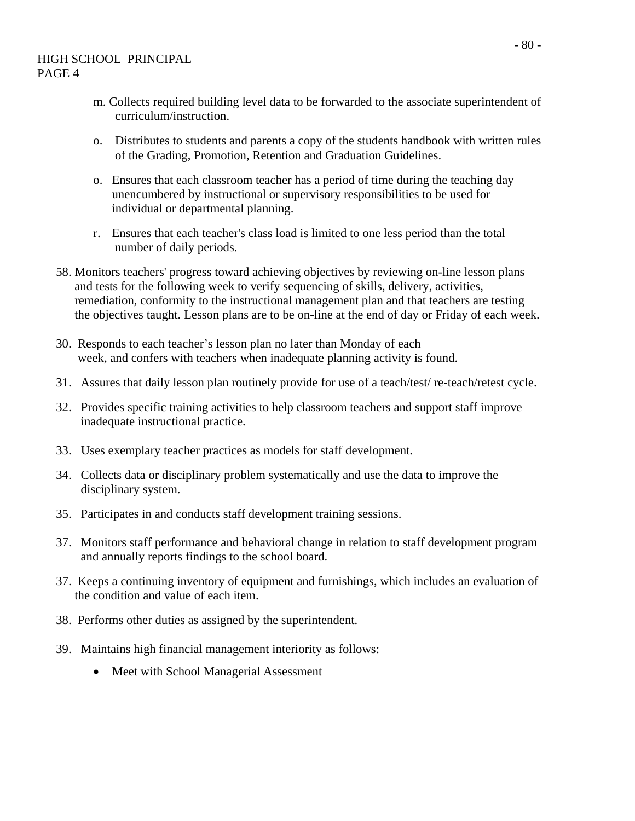- m. Collects required building level data to be forwarded to the associate superintendent of curriculum/instruction.
- o. Distributes to students and parents a copy of the students handbook with written rules of the Grading, Promotion, Retention and Graduation Guidelines.
- o. Ensures that each classroom teacher has a period of time during the teaching day unencumbered by instructional or supervisory responsibilities to be used for individual or departmental planning.
- r. Ensures that each teacher's class load is limited to one less period than the total number of daily periods.
- 58. Monitors teachers' progress toward achieving objectives by reviewing on-line lesson plans and tests for the following week to verify sequencing of skills, delivery, activities, remediation, conformity to the instructional management plan and that teachers are testing the objectives taught. Lesson plans are to be on-line at the end of day or Friday of each week.
- 30. Responds to each teacher's lesson plan no later than Monday of each week, and confers with teachers when inadequate planning activity is found.
- 31. Assures that daily lesson plan routinely provide for use of a teach/test/ re-teach/retest cycle.
- 32. Provides specific training activities to help classroom teachers and support staff improve inadequate instructional practice.
- 33. Uses exemplary teacher practices as models for staff development.
- 34. Collects data or disciplinary problem systematically and use the data to improve the disciplinary system.
- 35. Participates in and conducts staff development training sessions.
- 37. Monitors staff performance and behavioral change in relation to staff development program and annually reports findings to the school board.
- 37. Keeps a continuing inventory of equipment and furnishings, which includes an evaluation of the condition and value of each item.
- 38. Performs other duties as assigned by the superintendent.
- 39. Maintains high financial management interiority as follows:
	- Meet with School Managerial Assessment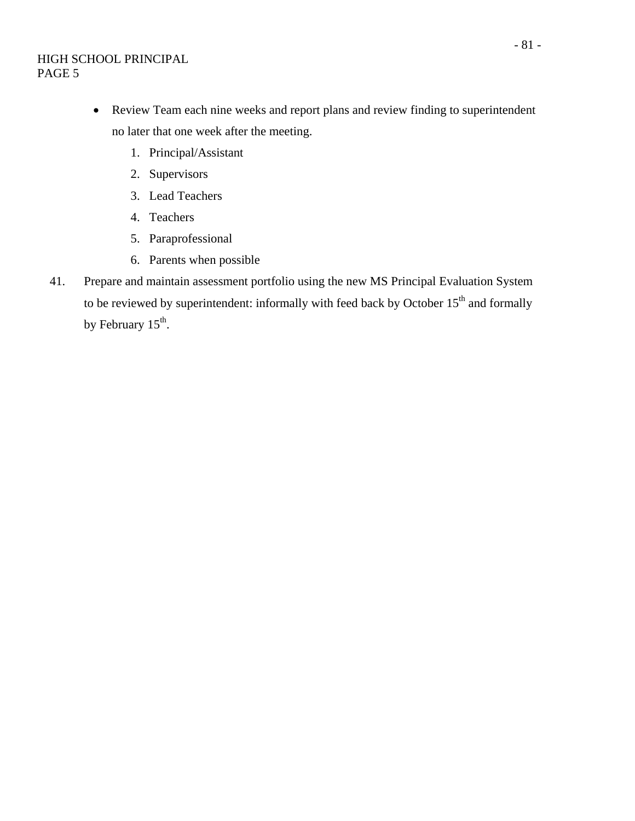- Review Team each nine weeks and report plans and review finding to superintendent no later that one week after the meeting.
	- 1. Principal/Assistant
	- 2. Supervisors
	- 3. Lead Teachers
	- 4. Teachers
	- 5. Paraprofessional
	- 6. Parents when possible
- 41. Prepare and maintain assessment portfolio using the new MS Principal Evaluation System to be reviewed by superintendent: informally with feed back by October  $15<sup>th</sup>$  and formally by February  $15<sup>th</sup>$ .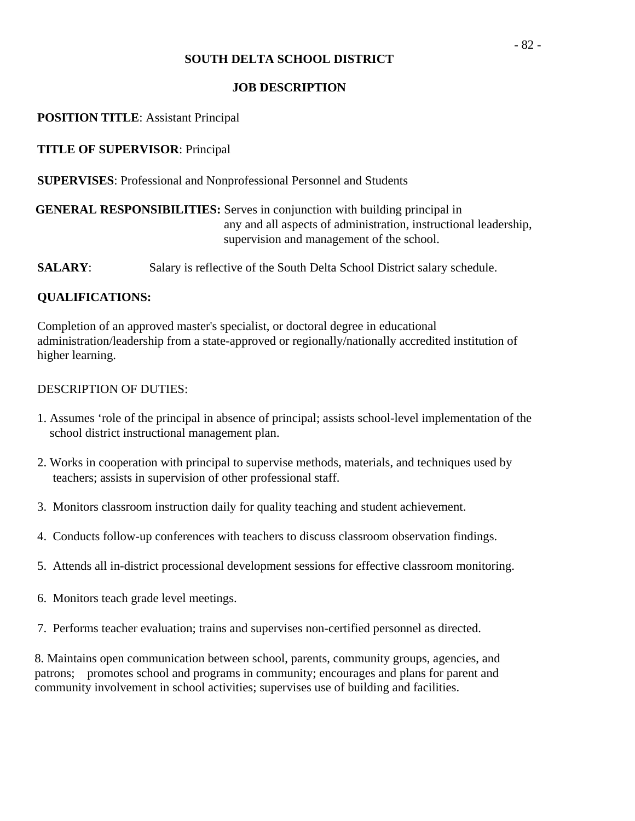# **JOB DESCRIPTION**

# **POSITION TITLE**: Assistant Principal

# **TITLE OF SUPERVISOR**: Principal

**SUPERVISES**: Professional and Nonprofessional Personnel and Students

# **GENERAL RESPONSIBILITIES:** Serves in conjunction with building principal in any and all aspects of administration, instructional leadership, supervision and management of the school.

**SALARY:** Salary is reflective of the South Delta School District salary schedule.

# **QUALIFICATIONS:**

Completion of an approved master's specialist, or doctoral degree in educational administration/leadership from a state-approved or regionally/nationally accredited institution of higher learning.

## DESCRIPTION OF DUTIES:

- 1. Assumes 'role of the principal in absence of principal; assists school-level implementation of the school district instructional management plan.
- 2. Works in cooperation with principal to supervise methods, materials, and techniques used by teachers; assists in supervision of other professional staff.
- 3. Monitors classroom instruction daily for quality teaching and student achievement.
- 4. Conducts follow-up conferences with teachers to discuss classroom observation findings.
- 5. Attends all in-district processional development sessions for effective classroom monitoring.
- 6. Monitors teach grade level meetings.
- 7. Performs teacher evaluation; trains and supervises non-certified personnel as directed.

8. Maintains open communication between school, parents, community groups, agencies, and patrons; promotes school and programs in community; encourages and plans for parent and community involvement in school activities; supervises use of building and facilities.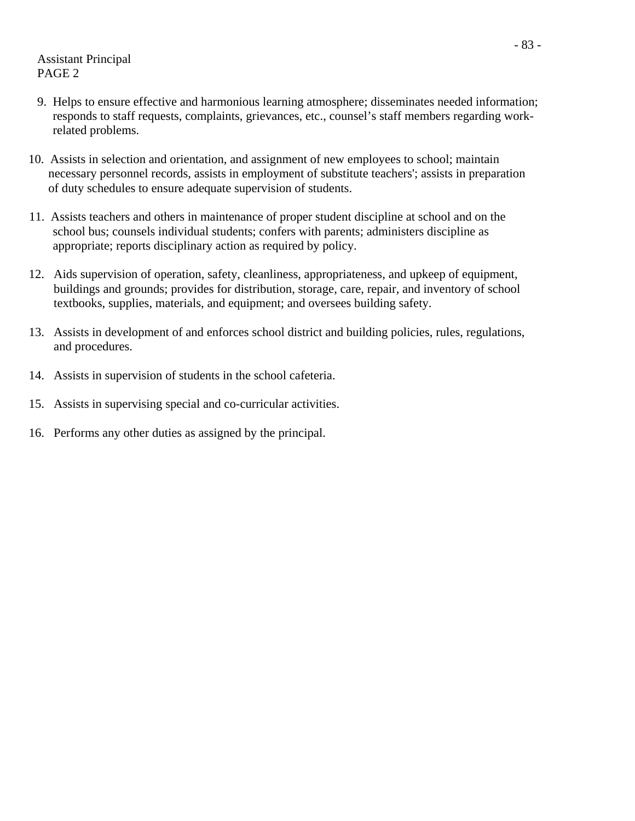Assistant Principal PAGE 2

- 9. Helps to ensure effective and harmonious learning atmosphere; disseminates needed information; responds to staff requests, complaints, grievances, etc., counsel's staff members regarding work related problems.
- 10. Assists in selection and orientation, and assignment of new employees to school; maintain necessary personnel records, assists in employment of substitute teachers'; assists in preparation of duty schedules to ensure adequate supervision of students.
- 11. Assists teachers and others in maintenance of proper student discipline at school and on the school bus; counsels individual students; confers with parents; administers discipline as appropriate; reports disciplinary action as required by policy.
- 12. Aids supervision of operation, safety, cleanliness, appropriateness, and upkeep of equipment, buildings and grounds; provides for distribution, storage, care, repair, and inventory of school textbooks, supplies, materials, and equipment; and oversees building safety.
- 13. Assists in development of and enforces school district and building policies, rules, regulations, and procedures.
- 14. Assists in supervision of students in the school cafeteria.
- 15. Assists in supervising special and co-curricular activities.
- 16. Performs any other duties as assigned by the principal.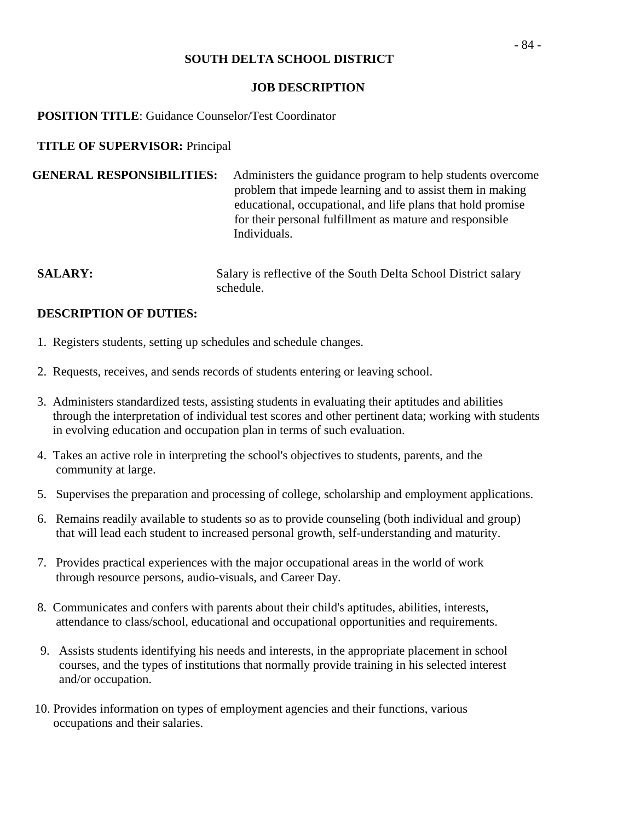## **JOB DESCRIPTION**

# **POSITION TITLE**: Guidance Counselor/Test Coordinator

# **TITLE OF SUPERVISOR:** Principal

| <b>GENERAL RESPONSIBILITIES:</b> | Administers the guidance program to help students overcome  |
|----------------------------------|-------------------------------------------------------------|
|                                  | problem that impede learning and to assist them in making   |
|                                  | educational, occupational, and life plans that hold promise |
|                                  | for their personal fulfillment as mature and responsible    |
|                                  | Individuals.                                                |

**SALARY:** Salary is reflective of the South Delta School District salary schedule.

- 1. Registers students, setting up schedules and schedule changes.
- 2. Requests, receives, and sends records of students entering or leaving school.
- 3. Administers standardized tests, assisting students in evaluating their aptitudes and abilities through the interpretation of individual test scores and other pertinent data; working with students in evolving education and occupation plan in terms of such evaluation.
- 4. Takes an active role in interpreting the school's objectives to students, parents, and the community at large.
- 5. Supervises the preparation and processing of college, scholarship and employment applications.
- 6. Remains readily available to students so as to provide counseling (both individual and group) that will lead each student to increased personal growth, self-understanding and maturity.
- 7. Provides practical experiences with the major occupational areas in the world of work through resource persons, audio-visuals, and Career Day.
- 8. Communicates and confers with parents about their child's aptitudes, abilities, interests, attendance to class/school, educational and occupational opportunities and requirements.
- 9. Assists students identifying his needs and interests, in the appropriate placement in school courses, and the types of institutions that normally provide training in his selected interest and/or occupation.
- 10. Provides information on types of employment agencies and their functions, various occupations and their salaries.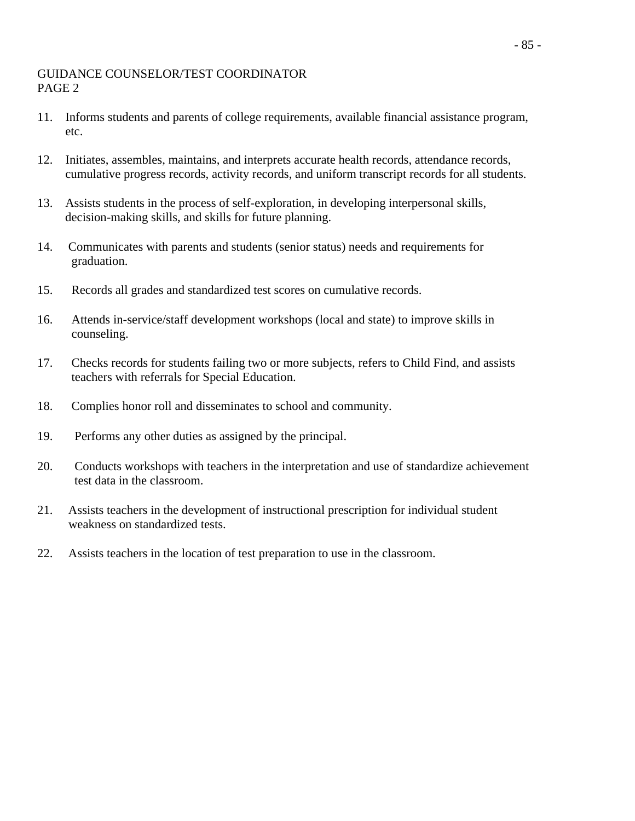# GUIDANCE COUNSELOR/TEST COORDINATOR PAGE 2

- 11. Informs students and parents of college requirements, available financial assistance program, etc.
- 12. Initiates, assembles, maintains, and interprets accurate health records, attendance records, cumulative progress records, activity records, and uniform transcript records for all students.
- 13. Assists students in the process of self-exploration, in developing interpersonal skills, decision-making skills, and skills for future planning.
- 14. Communicates with parents and students (senior status) needs and requirements for graduation.
- 15. Records all grades and standardized test scores on cumulative records.
- 16. Attends in-service/staff development workshops (local and state) to improve skills in counseling.
- 17. Checks records for students failing two or more subjects, refers to Child Find, and assists teachers with referrals for Special Education.
- 18. Complies honor roll and disseminates to school and community.
- 19. Performs any other duties as assigned by the principal.
- 20. Conducts workshops with teachers in the interpretation and use of standardize achievement test data in the classroom.
- 21. Assists teachers in the development of instructional prescription for individual student weakness on standardized tests.
- 22. Assists teachers in the location of test preparation to use in the classroom.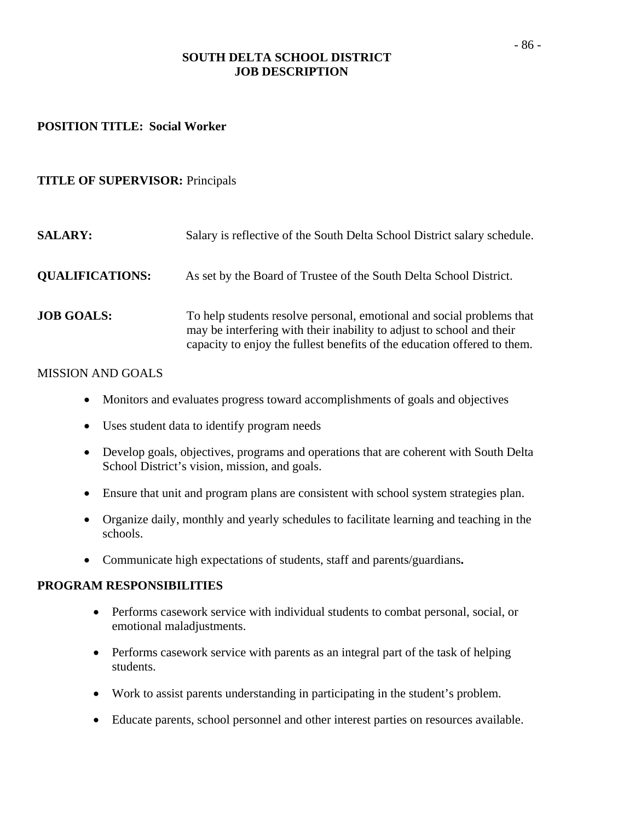# **SOUTH DELTA SCHOOL DISTRICT JOB DESCRIPTION**

#### **POSITION TITLE: Social Worker**

# **TITLE OF SUPERVISOR:** Principals

| <b>SALARY:</b>         | Salary is reflective of the South Delta School District salary schedule.                                                                                                                                                   |
|------------------------|----------------------------------------------------------------------------------------------------------------------------------------------------------------------------------------------------------------------------|
| <b>QUALIFICATIONS:</b> | As set by the Board of Trustee of the South Delta School District.                                                                                                                                                         |
| <b>JOB GOALS:</b>      | To help students resolve personal, emotional and social problems that<br>may be interfering with their inability to adjust to school and their<br>capacity to enjoy the fullest benefits of the education offered to them. |

# MISSION AND GOALS

- Monitors and evaluates progress toward accomplishments of goals and objectives
- Uses student data to identify program needs
- Develop goals, objectives, programs and operations that are coherent with South Delta School District's vision, mission, and goals.
- Ensure that unit and program plans are consistent with school system strategies plan.
- Organize daily, monthly and yearly schedules to facilitate learning and teaching in the schools.
- Communicate high expectations of students, staff and parents/guardians**.**

#### **PROGRAM RESPONSIBILITIES**

- Performs casework service with individual students to combat personal, social, or emotional maladjustments.
- Performs casework service with parents as an integral part of the task of helping students.
- Work to assist parents understanding in participating in the student's problem.
- Educate parents, school personnel and other interest parties on resources available.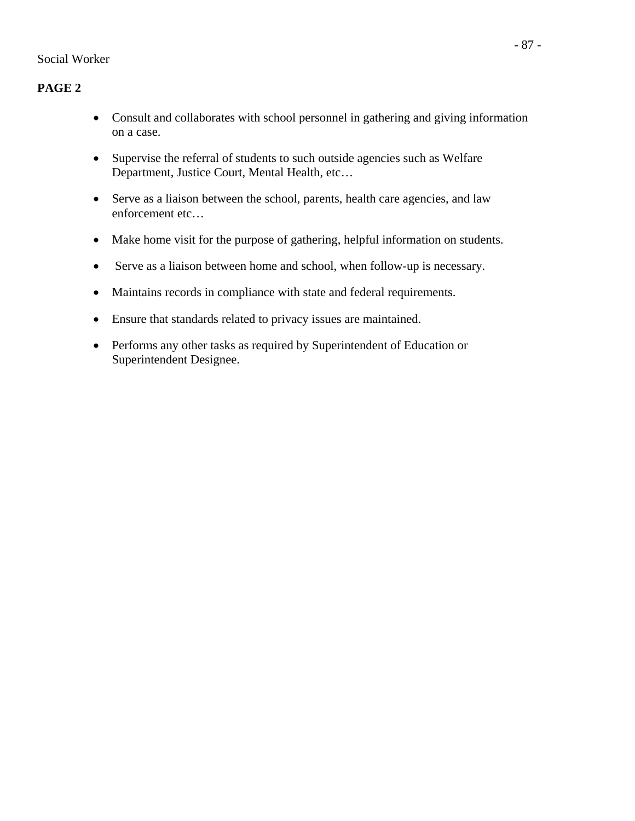# **PAGE 2**

- Consult and collaborates with school personnel in gathering and giving information on a case.
- Supervise the referral of students to such outside agencies such as Welfare Department, Justice Court, Mental Health, etc…
- Serve as a liaison between the school, parents, health care agencies, and law enforcement etc…
- Make home visit for the purpose of gathering, helpful information on students.
- Serve as a liaison between home and school, when follow-up is necessary.
- Maintains records in compliance with state and federal requirements.
- Ensure that standards related to privacy issues are maintained.
- Performs any other tasks as required by Superintendent of Education or Superintendent Designee.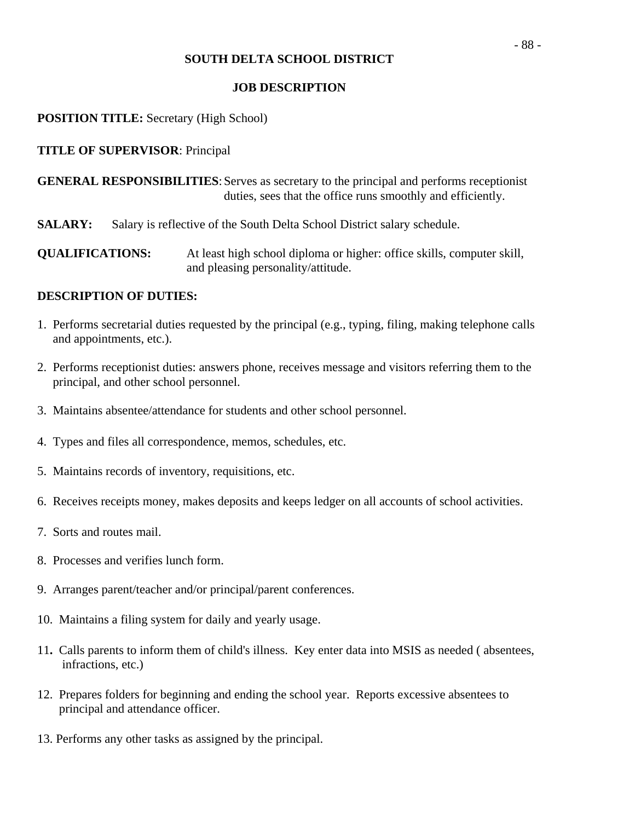## **JOB DESCRIPTION**

# **POSITION TITLE:** Secretary (High School)

# **TITLE OF SUPERVISOR**: Principal

**GENERAL RESPONSIBILITIES**: Serves as secretary to the principal and performs receptionist duties, sees that the office runs smoothly and efficiently.

**SALARY:** Salary is reflective of the South Delta School District salary schedule.

**QUALIFICATIONS:** At least high school diploma or higher: office skills, computer skill, and pleasing personality/attitude.

- 1. Performs secretarial duties requested by the principal (e.g., typing, filing, making telephone calls and appointments, etc.).
- 2. Performs receptionist duties: answers phone, receives message and visitors referring them to the principal, and other school personnel.
- 3. Maintains absentee/attendance for students and other school personnel.
- 4. Types and files all correspondence, memos, schedules, etc.
- 5. Maintains records of inventory, requisitions, etc.
- 6. Receives receipts money, makes deposits and keeps ledger on all accounts of school activities.
- 7. Sorts and routes mail.
- 8. Processes and verifies lunch form.
- 9. Arranges parent/teacher and/or principal/parent conferences.
- 10. Maintains a filing system for daily and yearly usage.
- 11**.** Calls parents to inform them of child's illness. Key enter data into MSIS as needed ( absentees, infractions, etc.)
- 12. Prepares folders for beginning and ending the school year. Reports excessive absentees to principal and attendance officer.
- 13. Performs any other tasks as assigned by the principal.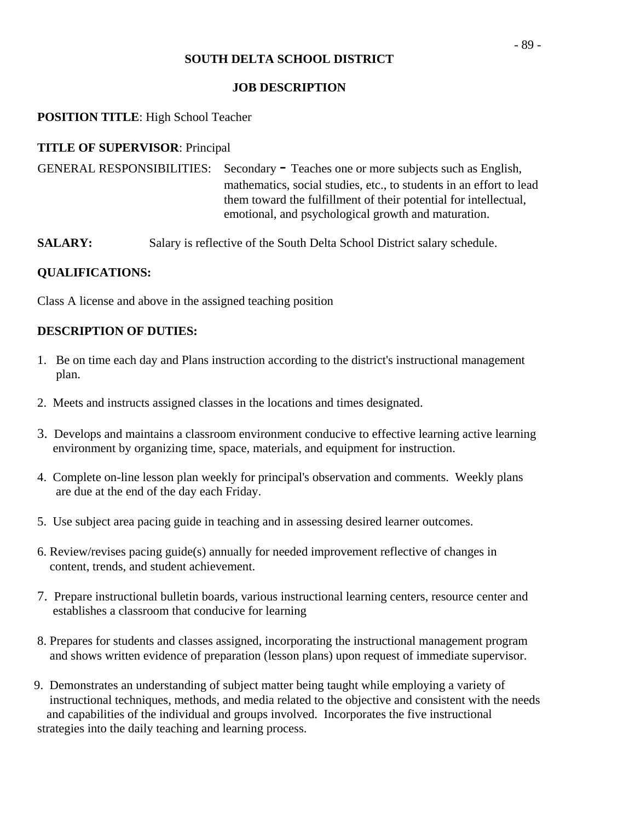## **JOB DESCRIPTION**

# **POSITION TITLE**: High School Teacher

# **TITLE OF SUPERVISOR**: Principal

GENERAL RESPONSIBILITIES: Secondary - Teaches one or more subjects such as English, mathematics, social studies, etc., to students in an effort to lead them toward the fulfillment of their potential for intellectual, emotional, and psychological growth and maturation.

**SALARY:** Salary is reflective of the South Delta School District salary schedule.

# **QUALIFICATIONS:**

Class A license and above in the assigned teaching position

- 1. Be on time each day and Plans instruction according to the district's instructional management plan.
- 2. Meets and instructs assigned classes in the locations and times designated.
- 3. Develops and maintains a classroom environment conducive to effective learning active learning environment by organizing time, space, materials, and equipment for instruction.
- 4. Complete on-line lesson plan weekly for principal's observation and comments. Weekly plans are due at the end of the day each Friday.
- 5. Use subject area pacing guide in teaching and in assessing desired learner outcomes.
- 6. Review/revises pacing guide(s) annually for needed improvement reflective of changes in content, trends, and student achievement.
- 7. Prepare instructional bulletin boards, various instructional learning centers, resource center and establishes a classroom that conducive for learning
- 8. Prepares for students and classes assigned, incorporating the instructional management program and shows written evidence of preparation (lesson plans) upon request of immediate supervisor.
- 9. Demonstrates an understanding of subject matter being taught while employing a variety of instructional techniques, methods, and media related to the objective and consistent with the needs and capabilities of the individual and groups involved. Incorporates the five instructional strategies into the daily teaching and learning process.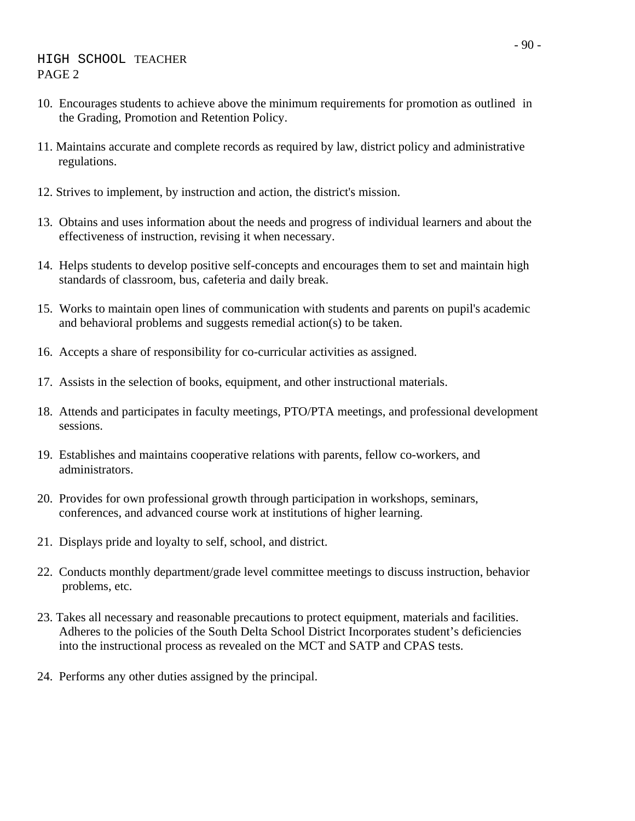- 10. Encourages students to achieve above the minimum requirements for promotion as outlined in the Grading, Promotion and Retention Policy.
- 11. Maintains accurate and complete records as required by law, district policy and administrative regulations.
- 12. Strives to implement, by instruction and action, the district's mission.
- 13. Obtains and uses information about the needs and progress of individual learners and about the effectiveness of instruction, revising it when necessary.
- 14. Helps students to develop positive self-concepts and encourages them to set and maintain high standards of classroom, bus, cafeteria and daily break.
- 15. Works to maintain open lines of communication with students and parents on pupil's academic and behavioral problems and suggests remedial action(s) to be taken.
- 16. Accepts a share of responsibility for co-curricular activities as assigned.
- 17. Assists in the selection of books, equipment, and other instructional materials.
- 18. Attends and participates in faculty meetings, PTO/PTA meetings, and professional development sessions.
- 19. Establishes and maintains cooperative relations with parents, fellow co-workers, and administrators.
- 20. Provides for own professional growth through participation in workshops, seminars, conferences, and advanced course work at institutions of higher learning.
- 21. Displays pride and loyalty to self, school, and district.
- 22. Conducts monthly department/grade level committee meetings to discuss instruction, behavior problems, etc.
- 23. Takes all necessary and reasonable precautions to protect equipment, materials and facilities. Adheres to the policies of the South Delta School District Incorporates student's deficiencies into the instructional process as revealed on the MCT and SATP and CPAS tests.
- 24. Performs any other duties assigned by the principal.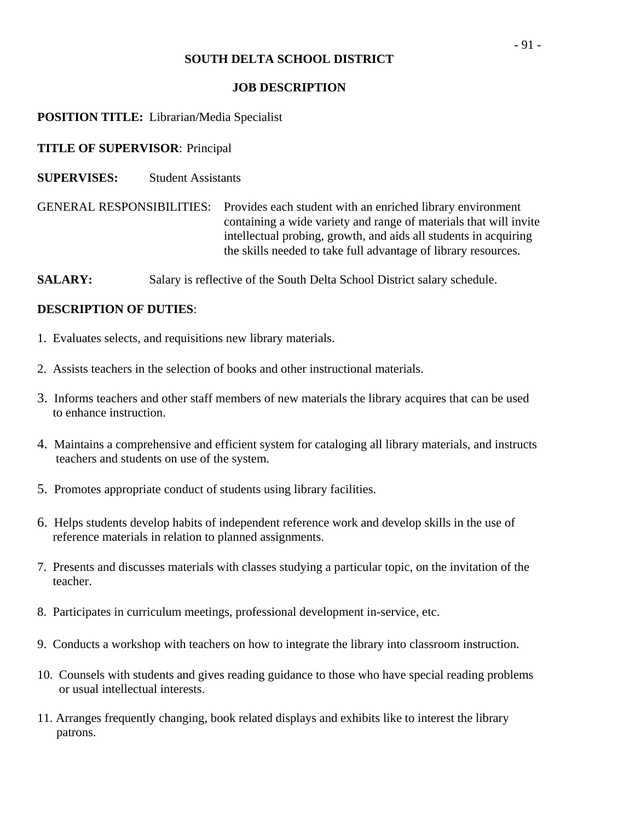## **JOB DESCRIPTION**

# **POSITION TITLE:** Librarian/Media Specialist

# **TITLE OF SUPERVISOR**: Principal

**SUPERVISES:** Student Assistants

GENERAL RESPONSIBILITIES: Provides each student with an enriched library environment containing a wide variety and range of materials that will invite intellectual probing, growth, and aids all students in acquiring the skills needed to take full advantage of library resources.

**SALARY:** Salary is reflective of the South Delta School District salary schedule.

- 1. Evaluates selects, and requisitions new library materials.
- 2. Assists teachers in the selection of books and other instructional materials.
- 3. Informs teachers and other staff members of new materials the library acquires that can be used to enhance instruction.
- 4. Maintains a comprehensive and efficient system for cataloging all library materials, and instructs teachers and students on use of the system.
- 5. Promotes appropriate conduct of students using library facilities.
- 6. Helps students develop habits of independent reference work and develop skills in the use of reference materials in relation to planned assignments.
- 7. Presents and discusses materials with classes studying a particular topic, on the invitation of the teacher.
- 8. Participates in curriculum meetings, professional development in-service, etc.
- 9. Conducts a workshop with teachers on how to integrate the library into classroom instruction.
- 10. Counsels with students and gives reading guidance to those who have special reading problems or usual intellectual interests.
- 11. Arranges frequently changing, book related displays and exhibits like to interest the library patrons.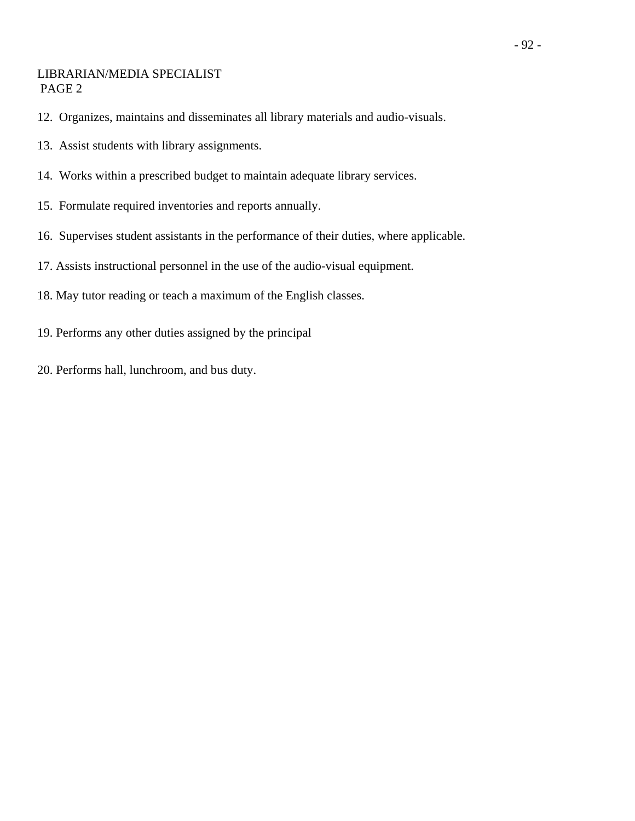# LIBRARIAN/MEDIA SPECIALIST PAGE 2

- 12. Organizes, maintains and disseminates all library materials and audio-visuals.
- 13. Assist students with library assignments.
- 14. Works within a prescribed budget to maintain adequate library services.
- 15. Formulate required inventories and reports annually.
- 16. Supervises student assistants in the performance of their duties, where applicable.
- 17. Assists instructional personnel in the use of the audio-visual equipment.
- 18. May tutor reading or teach a maximum of the English classes.
- 19. Performs any other duties assigned by the principal
- 20. Performs hall, lunchroom, and bus duty.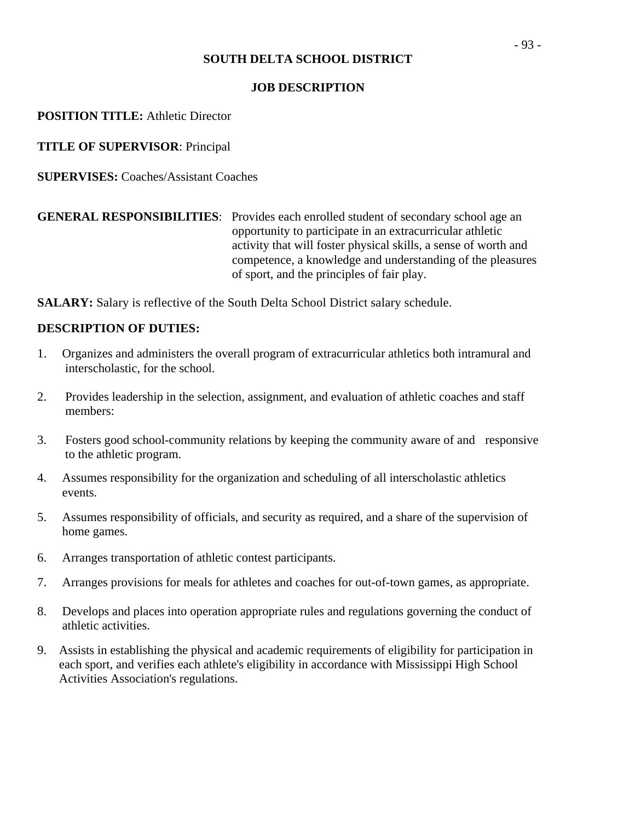# **JOB DESCRIPTION**

**POSITION TITLE:** Athletic Director

**TITLE OF SUPERVISOR**: Principal

**SUPERVISES:** Coaches/Assistant Coaches

# **GENERAL RESPONSIBILITIES**: Provides each enrolled student of secondary school age an opportunity to participate in an extracurricular athletic activity that will foster physical skills, a sense of worth and competence, a knowledge and understanding of the pleasures of sport, and the principles of fair play.

**SALARY:** Salary is reflective of the South Delta School District salary schedule.

- 1. Organizes and administers the overall program of extracurricular athletics both intramural and interscholastic, for the school.
- 2. Provides leadership in the selection, assignment, and evaluation of athletic coaches and staff members:
- 3. Fosters good school-community relations by keeping the community aware of and responsive to the athletic program.
- 4. Assumes responsibility for the organization and scheduling of all interscholastic athletics events.
- 5. Assumes responsibility of officials, and security as required, and a share of the supervision of home games.
- 6. Arranges transportation of athletic contest participants.
- 7. Arranges provisions for meals for athletes and coaches for out-of-town games, as appropriate.
- 8. Develops and places into operation appropriate rules and regulations governing the conduct of athletic activities.
- 9. Assists in establishing the physical and academic requirements of eligibility for participation in each sport, and verifies each athlete's eligibility in accordance with Mississippi High School Activities Association's regulations.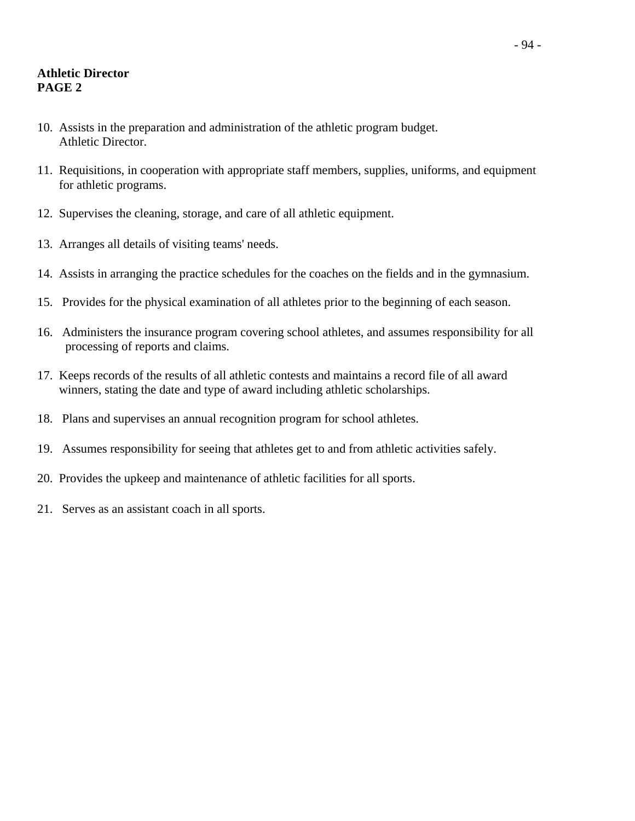# **Athletic Director PAGE 2**

- 10. Assists in the preparation and administration of the athletic program budget. Athletic Director.
- 11. Requisitions, in cooperation with appropriate staff members, supplies, uniforms, and equipment for athletic programs.
- 12. Supervises the cleaning, storage, and care of all athletic equipment.
- 13. Arranges all details of visiting teams' needs.
- 14. Assists in arranging the practice schedules for the coaches on the fields and in the gymnasium.
- 15. Provides for the physical examination of all athletes prior to the beginning of each season.
- 16. Administers the insurance program covering school athletes, and assumes responsibility for all processing of reports and claims.
- 17. Keeps records of the results of all athletic contests and maintains a record file of all award winners, stating the date and type of award including athletic scholarships.
- 18. Plans and supervises an annual recognition program for school athletes.
- 19. Assumes responsibility for seeing that athletes get to and from athletic activities safely.
- 20. Provides the upkeep and maintenance of athletic facilities for all sports.
- 21. Serves as an assistant coach in all sports.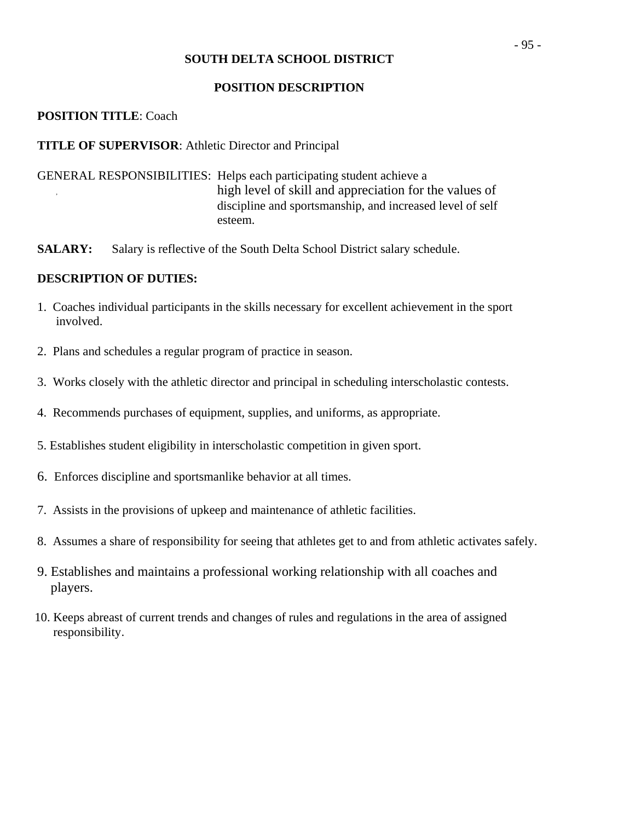#### **POSITION DESCRIPTION**

## **POSITION TITLE**: Coach

## **TITLE OF SUPERVISOR**: Athletic Director and Principal

- GENERAL RESPONSIBILITIES: Helps each participating student achieve a high level of skill and appreciation for the values of discipline and sportsmanship, and increased level of self esteem.
- **SALARY:** Salary is reflective of the South Delta School District salary schedule.

- 1. Coaches individual participants in the skills necessary for excellent achievement in the sport involved.
- 2. Plans and schedules a regular program of practice in season.
- 3. Works closely with the athletic director and principal in scheduling interscholastic contests.
- 4. Recommends purchases of equipment, supplies, and uniforms, as appropriate.
- 5. Establishes student eligibility in interscholastic competition in given sport.
- 6. Enforces discipline and sportsmanlike behavior at all times.
- 7. Assists in the provisions of upkeep and maintenance of athletic facilities.
- 8. Assumes a share of responsibility for seeing that athletes get to and from athletic activates safely.
- 9. Establishes and maintains a professional working relationship with all coaches and players.
- 10. Keeps abreast of current trends and changes of rules and regulations in the area of assigned responsibility.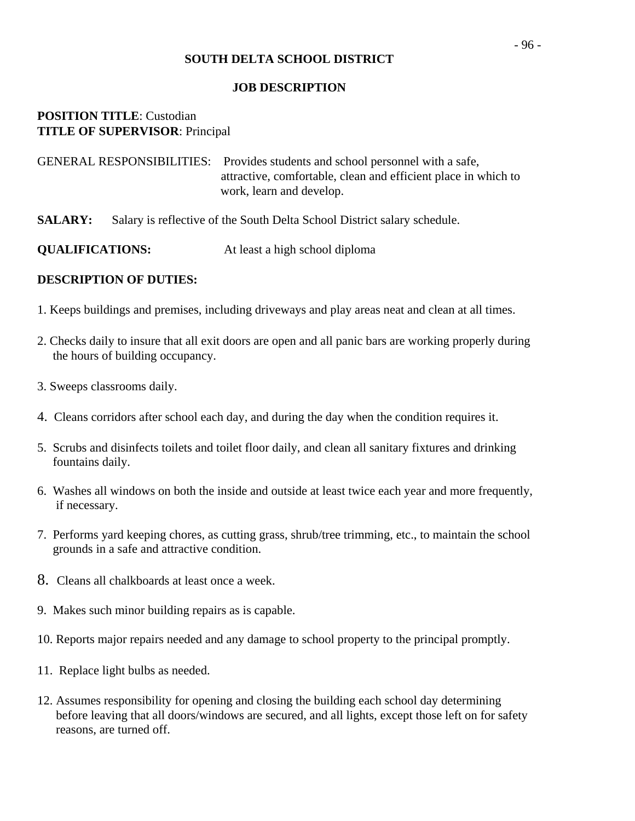#### **JOB DESCRIPTION**

# **POSITION TITLE**: Custodian **TITLE OF SUPERVISOR**: Principal

| GENERAL RESPONSIBILITIES: Provides students and school personnel with a safe, |
|-------------------------------------------------------------------------------|
| attractive, comfortable, clean and efficient place in which to                |
| work, learn and develop.                                                      |

**SALARY:** Salary is reflective of the South Delta School District salary schedule.

- 1. Keeps buildings and premises, including driveways and play areas neat and clean at all times.
- 2. Checks daily to insure that all exit doors are open and all panic bars are working properly during the hours of building occupancy.
- 3. Sweeps classrooms daily.
- 4. Cleans corridors after school each day, and during the day when the condition requires it.
- 5. Scrubs and disinfects toilets and toilet floor daily, and clean all sanitary fixtures and drinking fountains daily.
- 6. Washes all windows on both the inside and outside at least twice each year and more frequently, if necessary.
- 7. Performs yard keeping chores, as cutting grass, shrub/tree trimming, etc., to maintain the school grounds in a safe and attractive condition.
- 8. Cleans all chalkboards at least once a week.
- 9. Makes such minor building repairs as is capable.
- 10. Reports major repairs needed and any damage to school property to the principal promptly.
- 11. Replace light bulbs as needed.
- 12. Assumes responsibility for opening and closing the building each school day determining before leaving that all doors/windows are secured, and all lights, except those left on for safety reasons, are turned off.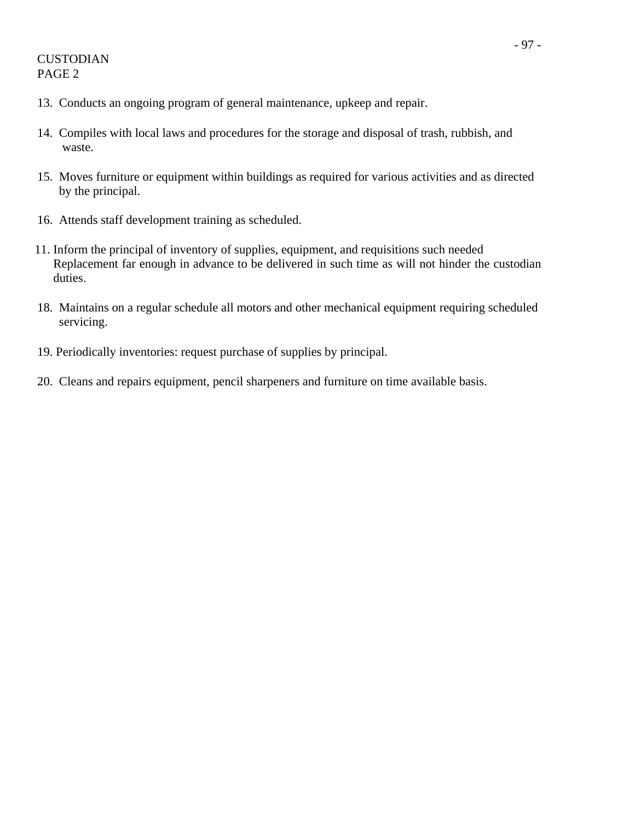- 13. Conducts an ongoing program of general maintenance, upkeep and repair.
- 14. Compiles with local laws and procedures for the storage and disposal of trash, rubbish, and waste.
- 15. Moves furniture or equipment within buildings as required for various activities and as directed by the principal.
- 16. Attends staff development training as scheduled.
- 11. Inform the principal of inventory of supplies, equipment, and requisitions such needed Replacement far enough in advance to be delivered in such time as will not hinder the custodian duties.
- 18. Maintains on a regular schedule all motors and other mechanical equipment requiring scheduled servicing.
- 19. Periodically inventories: request purchase of supplies by principal.
- 20. Cleans and repairs equipment, pencil sharpeners and furniture on time available basis.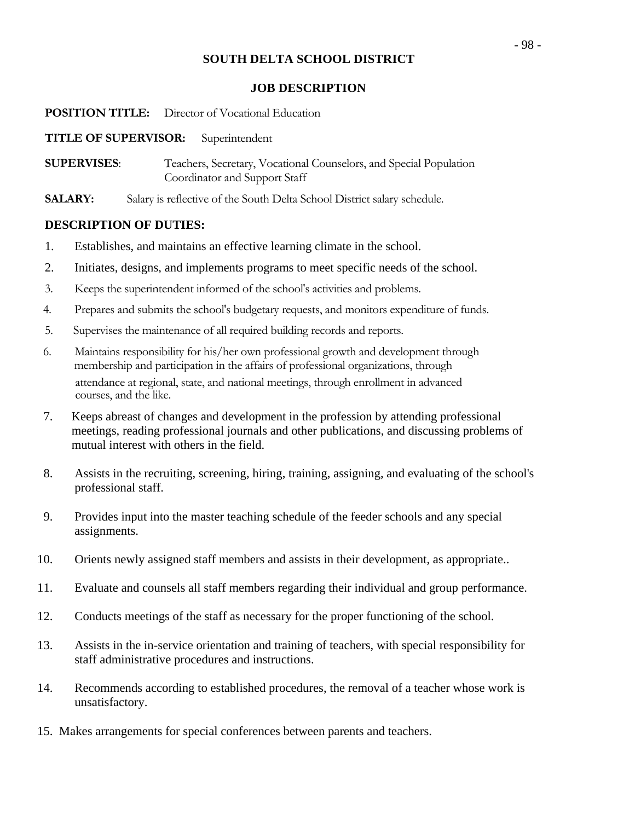## **JOB DESCRIPTION**

#### **POSITION TITLE:** Director of Vocational Education

#### **TITLE OF SUPERVISOR:** Superintendent

**SUPERVISES**: Teachers, Secretary, Vocational Counselors, and Special Population Coordinator and Support Staff

**SALARY:** Salary is reflective of the South Delta School District salary schedule.

- 1. Establishes, and maintains an effective learning climate in the school.
- 2. Initiates, designs, and implements programs to meet specific needs of the school.
- 3. Keeps the superintendent informed of the school's activities and problems.
- 4. Prepares and submits the school's budgetary requests, and monitors expenditure of funds.
- 5. Supervises the maintenance of all required building records and reports.
- 6. Maintains responsibility for his/her own professional growth and development through membership and participation in the affairs of professional organizations, through attendance at regional, state, and national meetings, through enrollment in advanced courses, and the like.
- 7. Keeps abreast of changes and development in the profession by attending professional meetings, reading professional journals and other publications, and discussing problems of mutual interest with others in the field.
- 8. Assists in the recruiting, screening, hiring, training, assigning, and evaluating of the school's professional staff.
- 9. Provides input into the master teaching schedule of the feeder schools and any special assignments.
- 10. Orients newly assigned staff members and assists in their development, as appropriate..
- 11. Evaluate and counsels all staff members regarding their individual and group performance.
- 12. Conducts meetings of the staff as necessary for the proper functioning of the school.
- 13. Assists in the in-service orientation and training of teachers, with special responsibility for staff administrative procedures and instructions.
- 14. Recommends according to established procedures, the removal of a teacher whose work is unsatisfactory.
- 15. Makes arrangements for special conferences between parents and teachers.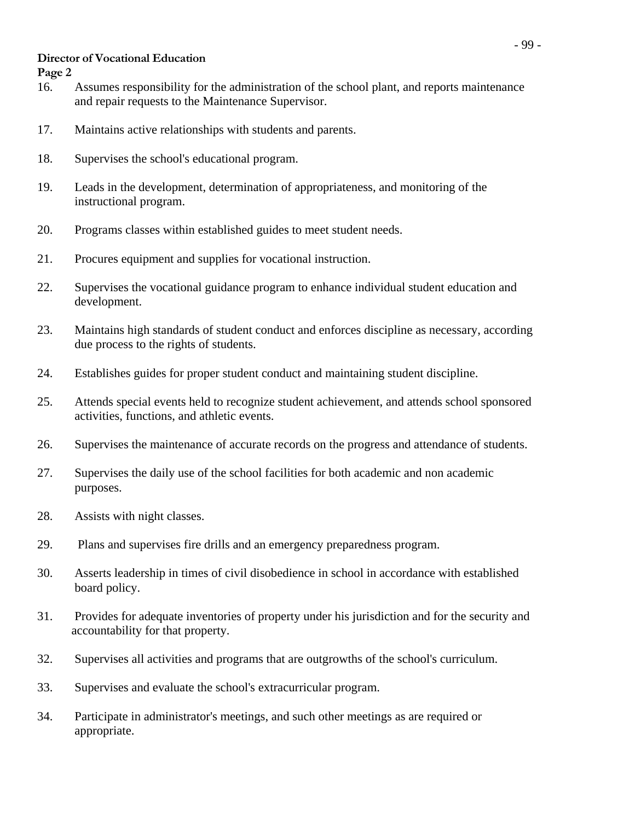# **Director of Vocational Education**

**Page 2** 

- 16. Assumes responsibility for the administration of the school plant, and reports maintenance and repair requests to the Maintenance Supervisor.
- 17. Maintains active relationships with students and parents.
- 18. Supervises the school's educational program.
- 19. Leads in the development, determination of appropriateness, and monitoring of the instructional program.
- 20. Programs classes within established guides to meet student needs.
- 21. Procures equipment and supplies for vocational instruction.
- 22. Supervises the vocational guidance program to enhance individual student education and development.
- 23. Maintains high standards of student conduct and enforces discipline as necessary, according due process to the rights of students.
- 24. Establishes guides for proper student conduct and maintaining student discipline.
- 25. Attends special events held to recognize student achievement, and attends school sponsored activities, functions, and athletic events.
- 26. Supervises the maintenance of accurate records on the progress and attendance of students.
- 27. Supervises the daily use of the school facilities for both academic and non academic purposes.
- 28. Assists with night classes.
- 29. Plans and supervises fire drills and an emergency preparedness program.
- 30. Asserts leadership in times of civil disobedience in school in accordance with established board policy.
- 31. Provides for adequate inventories of property under his jurisdiction and for the security and accountability for that property.
- 32. Supervises all activities and programs that are outgrowths of the school's curriculum.
- 33. Supervises and evaluate the school's extracurricular program.
- 34. Participate in administrator's meetings, and such other meetings as are required or appropriate.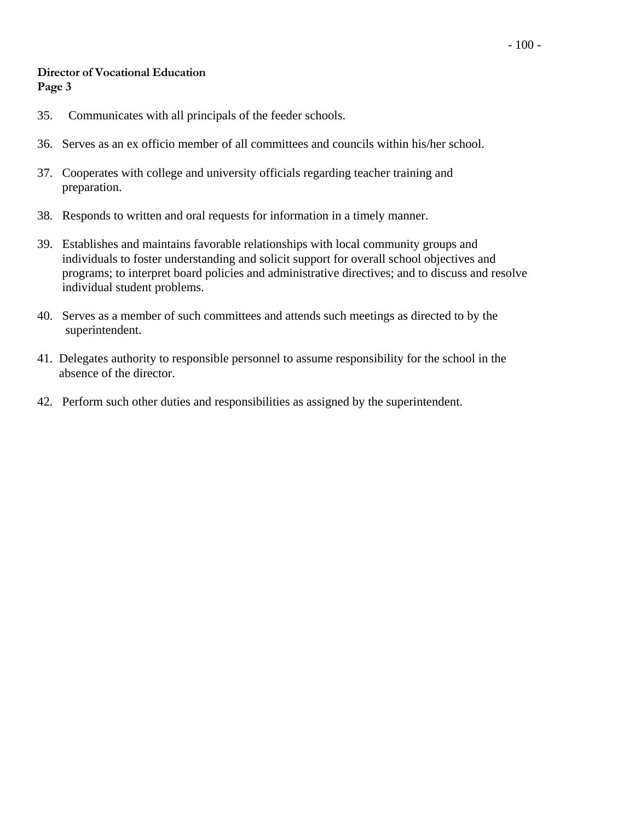#### **Director of Vocational Education Page 3**

- 35. Communicates with all principals of the feeder schools.
- 36. Serves as an ex officio member of all committees and councils within his/her school.
- 37. Cooperates with college and university officials regarding teacher training and preparation.
- 38. Responds to written and oral requests for information in a timely manner.
- 39. Establishes and maintains favorable relationships with local community groups and individuals to foster understanding and solicit support for overall school objectives and programs; to interpret board policies and administrative directives; and to discuss and resolve individual student problems.
- 40. Serves as a member of such committees and attends such meetings as directed to by the superintendent.
- 41. Delegates authority to responsible personnel to assume responsibility for the school in the absence of the director.
- 42. Perform such other duties and responsibilities as assigned by the superintendent.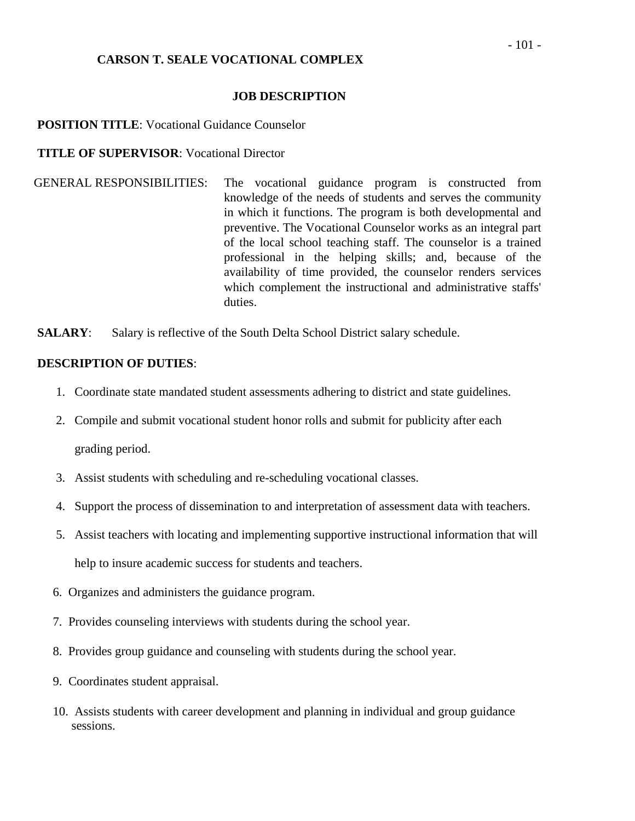## **CARSON T. SEALE VOCATIONAL COMPLEX**

#### **JOB DESCRIPTION**

#### **POSITION TITLE:** Vocational Guidance Counselor

#### **TITLE OF SUPERVISOR**: Vocational Director

GENERAL RESPONSIBILITIES: The vocational guidance program is constructed from knowledge of the needs of students and serves the community in which it functions. The program is both developmental and preventive. The Vocational Counselor works as an integral part of the local school teaching staff. The counselor is a trained professional in the helping skills; and, because of the availability of time provided, the counselor renders services which complement the instructional and administrative staffs' duties.

**SALARY:** Salary is reflective of the South Delta School District salary schedule.

- 1. Coordinate state mandated student assessments adhering to district and state guidelines.
- 2. Compile and submit vocational student honor rolls and submit for publicity after each grading period.
- 3. Assist students with scheduling and re-scheduling vocational classes.
- 4. Support the process of dissemination to and interpretation of assessment data with teachers.
- 5. Assist teachers with locating and implementing supportive instructional information that will help to insure academic success for students and teachers.
- 6. Organizes and administers the guidance program.
- 7. Provides counseling interviews with students during the school year.
- 8. Provides group guidance and counseling with students during the school year.
- 9. Coordinates student appraisal.
- 10. Assists students with career development and planning in individual and group guidance sessions.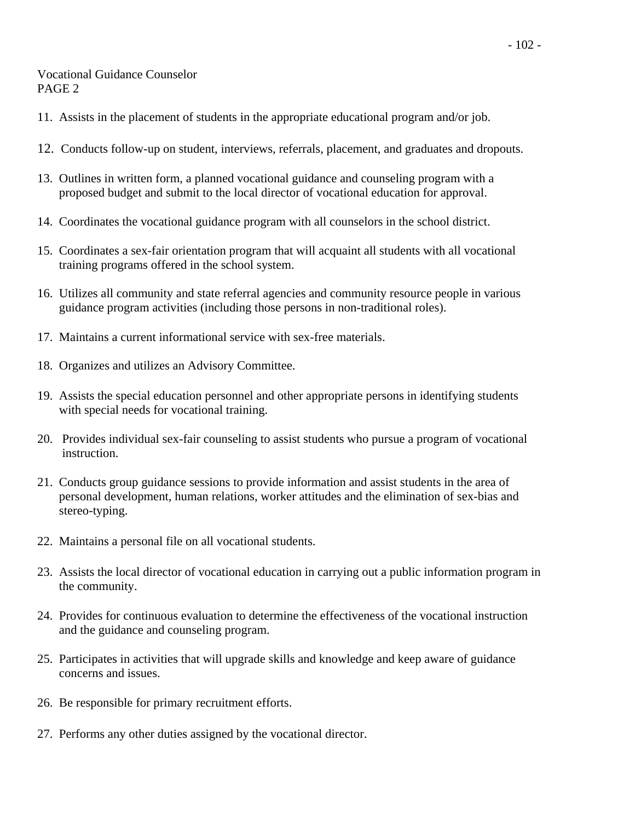## Vocational Guidance Counselor PAGE 2

- 11. Assists in the placement of students in the appropriate educational program and/or job.
- 12. Conducts follow-up on student, interviews, referrals, placement, and graduates and dropouts.
- 13. Outlines in written form, a planned vocational guidance and counseling program with a proposed budget and submit to the local director of vocational education for approval.
- 14. Coordinates the vocational guidance program with all counselors in the school district.
- 15. Coordinates a sex-fair orientation program that will acquaint all students with all vocational training programs offered in the school system.
- 16. Utilizes all community and state referral agencies and community resource people in various guidance program activities (including those persons in non-traditional roles).
- 17. Maintains a current informational service with sex-free materials.
- 18. Organizes and utilizes an Advisory Committee.
- 19. Assists the special education personnel and other appropriate persons in identifying students with special needs for vocational training.
- 20. Provides individual sex-fair counseling to assist students who pursue a program of vocational instruction.
- 21. Conducts group guidance sessions to provide information and assist students in the area of personal development, human relations, worker attitudes and the elimination of sex-bias and stereo-typing.
- 22. Maintains a personal file on all vocational students.
- 23. Assists the local director of vocational education in carrying out a public information program in the community.
- 24. Provides for continuous evaluation to determine the effectiveness of the vocational instruction and the guidance and counseling program.
- 25. Participates in activities that will upgrade skills and knowledge and keep aware of guidance concerns and issues.
- 26. Be responsible for primary recruitment efforts.
- 27. Performs any other duties assigned by the vocational director.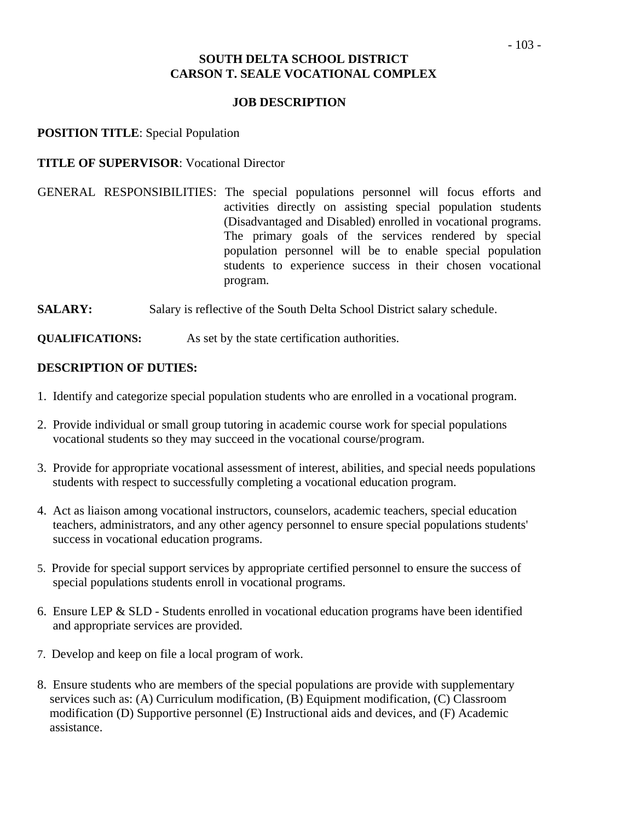# **JOB DESCRIPTION**

**POSITION TITLE**: Special Population

# **TITLE OF SUPERVISOR**: Vocational Director

- GENERAL RESPONSIBILITIES: The special populations personnel will focus efforts and activities directly on assisting special population students (Disadvantaged and Disabled) enrolled in vocational programs. The primary goals of the services rendered by special population personnel will be to enable special population students to experience success in their chosen vocational program.
- **SALARY:** Salary is reflective of the South Delta School District salary schedule.

**QUALIFICATIONS:** As set by the state certification authorities.

- 1. Identify and categorize special population students who are enrolled in a vocational program.
- 2. Provide individual or small group tutoring in academic course work for special populations vocational students so they may succeed in the vocational course/program.
- 3. Provide for appropriate vocational assessment of interest, abilities, and special needs populations students with respect to successfully completing a vocational education program.
- 4. Act as liaison among vocational instructors, counselors, academic teachers, special education teachers, administrators, and any other agency personnel to ensure special populations students' success in vocational education programs.
- 5. Provide for special support services by appropriate certified personnel to ensure the success of special populations students enroll in vocational programs.
- 6. Ensure LEP & SLD Students enrolled in vocational education programs have been identified and appropriate services are provided.
- 7. Develop and keep on file a local program of work.
- 8. Ensure students who are members of the special populations are provide with supplementary services such as: (A) Curriculum modification, (B) Equipment modification, (C) Classroom modification (D) Supportive personnel (E) Instructional aids and devices, and (F) Academic assistance.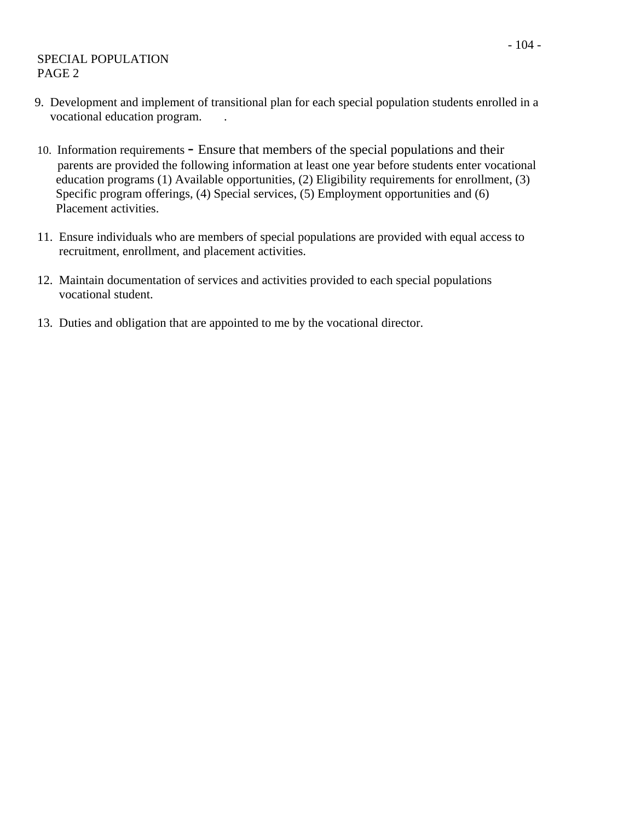# SPECIAL POPULATION PAGE 2

- 9. Development and implement of transitional plan for each special population students enrolled in a vocational education program. .
- 10. Information requirements Ensure that members of the special populations and their parents are provided the following information at least one year before students enter vocational education programs (1) Available opportunities, (2) Eligibility requirements for enrollment, (3) Specific program offerings, (4) Special services, (5) Employment opportunities and (6) Placement activities.
- 11. Ensure individuals who are members of special populations are provided with equal access to recruitment, enrollment, and placement activities.
- 12. Maintain documentation of services and activities provided to each special populations vocational student.
- 13. Duties and obligation that are appointed to me by the vocational director.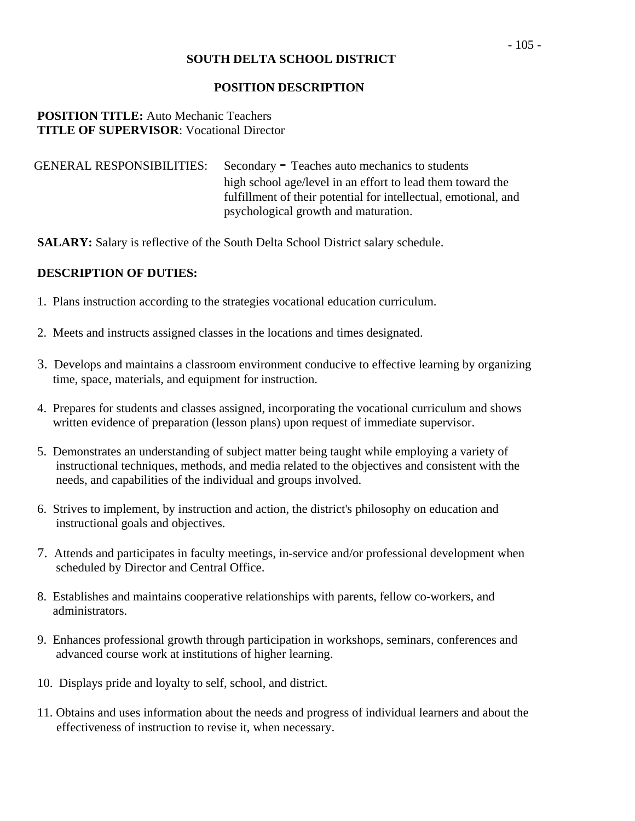# **POSITION DESCRIPTION**

## **POSITION TITLE:** Auto Mechanic Teachers **TITLE OF SUPERVISOR**: Vocational Director

GENERAL RESPONSIBILITIES: Secondary - Teaches auto mechanics to students high school age/level in an effort to lead them toward the fulfillment of their potential for intellectual, emotional, and psychological growth and maturation.

**SALARY:** Salary is reflective of the South Delta School District salary schedule.

- 1. Plans instruction according to the strategies vocational education curriculum.
- 2. Meets and instructs assigned classes in the locations and times designated.
- 3. Develops and maintains a classroom environment conducive to effective learning by organizing time, space, materials, and equipment for instruction.
- 4. Prepares for students and classes assigned, incorporating the vocational curriculum and shows written evidence of preparation (lesson plans) upon request of immediate supervisor.
- 5. Demonstrates an understanding of subject matter being taught while employing a variety of instructional techniques, methods, and media related to the objectives and consistent with the needs, and capabilities of the individual and groups involved.
- 6. Strives to implement, by instruction and action, the district's philosophy on education and instructional goals and objectives.
- 7. Attends and participates in faculty meetings, in-service and/or professional development when scheduled by Director and Central Office.
- 8. Establishes and maintains cooperative relationships with parents, fellow co-workers, and administrators.
- 9. Enhances professional growth through participation in workshops, seminars, conferences and advanced course work at institutions of higher learning.
- 10. Displays pride and loyalty to self, school, and district.
- 11. Obtains and uses information about the needs and progress of individual learners and about the effectiveness of instruction to revise it, when necessary.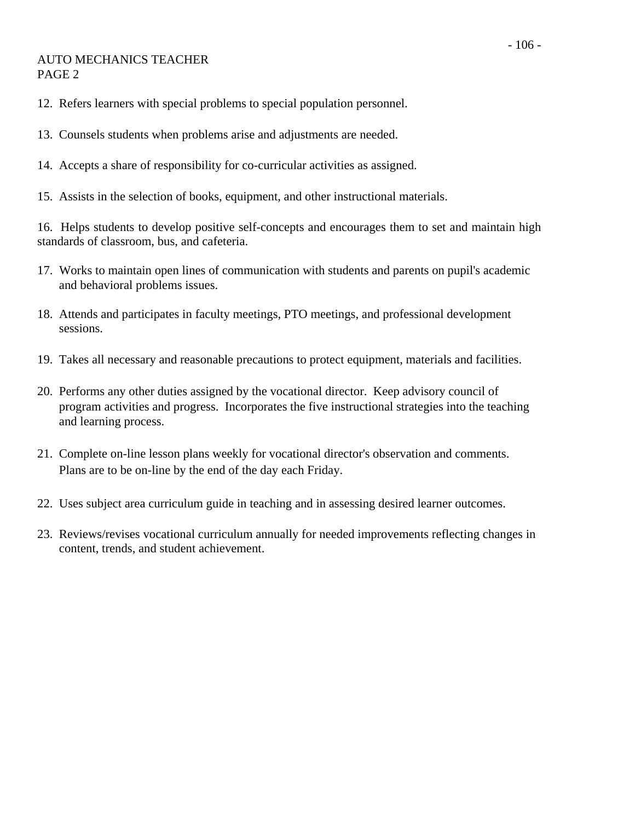# AUTO MECHANICS TEACHER PAGE 2

- 12. Refers learners with special problems to special population personnel.
- 13. Counsels students when problems arise and adjustments are needed.
- 14. Accepts a share of responsibility for co-curricular activities as assigned.
- 15. Assists in the selection of books, equipment, and other instructional materials.

16. Helps students to develop positive self-concepts and encourages them to set and maintain high standards of classroom, bus, and cafeteria.

- 17. Works to maintain open lines of communication with students and parents on pupil's academic and behavioral problems issues.
- 18. Attends and participates in faculty meetings, PTO meetings, and professional development sessions.
- 19. Takes all necessary and reasonable precautions to protect equipment, materials and facilities.
- 20. Performs any other duties assigned by the vocational director. Keep advisory council of program activities and progress. Incorporates the five instructional strategies into the teaching and learning process.
- 21. Complete on-line lesson plans weekly for vocational director's observation and comments. Plans are to be on-line by the end of the day each Friday.
- 22. Uses subject area curriculum guide in teaching and in assessing desired learner outcomes.
- 23. Reviews/revises vocational curriculum annually for needed improvements reflecting changes in content, trends, and student achievement.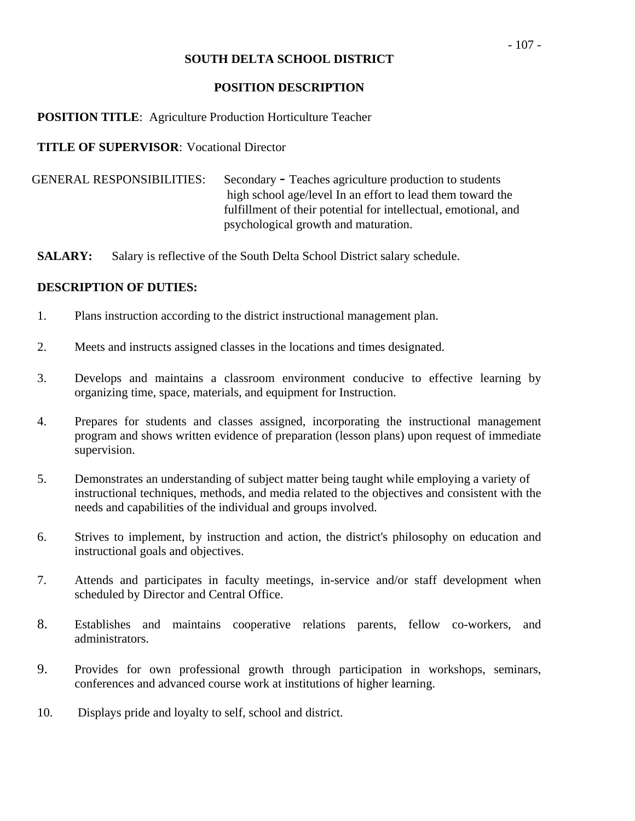#### **POSITION DESCRIPTION**

# **POSITION TITLE:** Agriculture Production Horticulture Teacher

## **TITLE OF SUPERVISOR**: Vocational Director

| <b>GENERAL RESPONSIBILITIES:</b> | Secondary - Teaches agriculture production to students          |
|----------------------------------|-----------------------------------------------------------------|
|                                  | high school age/level In an effort to lead them toward the      |
|                                  | fulfillment of their potential for intellectual, emotional, and |
|                                  | psychological growth and maturation.                            |

**SALARY:** Salary is reflective of the South Delta School District salary schedule.

- 1. Plans instruction according to the district instructional management plan.
- 2. Meets and instructs assigned classes in the locations and times designated.
- 3. Develops and maintains a classroom environment conducive to effective learning by organizing time, space, materials, and equipment for Instruction.
- 4. Prepares for students and classes assigned, incorporating the instructional management program and shows written evidence of preparation (lesson plans) upon request of immediate supervision.
- 5. Demonstrates an understanding of subject matter being taught while employing a variety of instructional techniques, methods, and media related to the objectives and consistent with the needs and capabilities of the individual and groups involved.
- 6. Strives to implement, by instruction and action, the district's philosophy on education and instructional goals and objectives.
- 7. Attends and participates in faculty meetings, in-service and/or staff development when scheduled by Director and Central Office.
- 8. Establishes and maintains cooperative relations parents, fellow co-workers, and administrators.
- 9. Provides for own professional growth through participation in workshops, seminars, conferences and advanced course work at institutions of higher learning.
- 10. Displays pride and loyalty to self, school and district.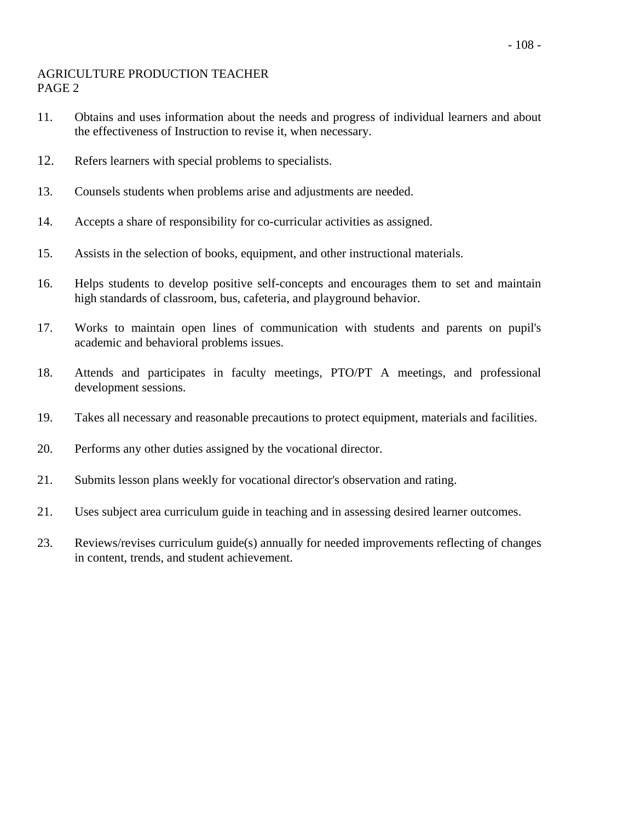# AGRICULTURE PRODUCTION TEACHER PAGE 2

- 11. Obtains and uses information about the needs and progress of individual learners and about the effectiveness of Instruction to revise it, when necessary.
- 12. Refers learners with special problems to specialists.
- 13. Counsels students when problems arise and adjustments are needed.
- 14. Accepts a share of responsibility for co-curricular activities as assigned.
- 15. Assists in the selection of books, equipment, and other instructional materials.
- 16. Helps students to develop positive self-concepts and encourages them to set and maintain high standards of classroom, bus, cafeteria, and playground behavior.
- 17. Works to maintain open lines of communication with students and parents on pupil's academic and behavioral problems issues.
- 18. Attends and participates in faculty meetings, PTO/PT A meetings, and professional development sessions.
- 19. Takes all necessary and reasonable precautions to protect equipment, materials and facilities.
- 20. Performs any other duties assigned by the vocational director.
- 21. Submits lesson plans weekly for vocational director's observation and rating.
- 21. Uses subject area curriculum guide in teaching and in assessing desired learner outcomes.
- 23. Reviews/revises curriculum guide(s) annually for needed improvements reflecting of changes in content, trends, and student achievement.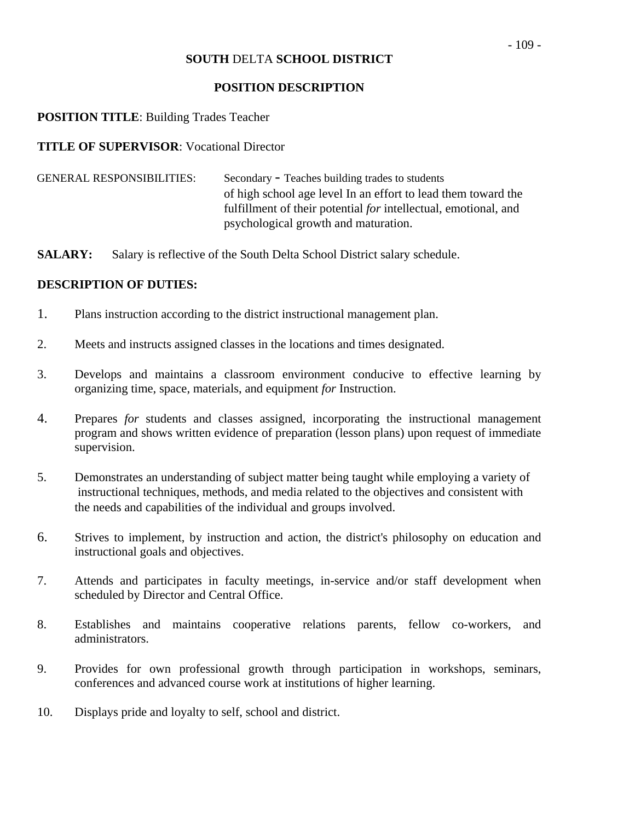#### **POSITION DESCRIPTION**

## **POSITION TITLE**: Building Trades Teacher

#### **TITLE OF SUPERVISOR**: Vocational Director

| <b>GENERAL RESPONSIBILITIES:</b> | Secondary - Teaches building trades to students                        |
|----------------------------------|------------------------------------------------------------------------|
|                                  | of high school age level In an effort to lead them toward the          |
|                                  | fulfillment of their potential <i>for</i> intellectual, emotional, and |
|                                  | psychological growth and maturation.                                   |

**SALARY:** Salary is reflective of the South Delta School District salary schedule.

- 1. Plans instruction according to the district instructional management plan.
- 2. Meets and instructs assigned classes in the locations and times designated.
- 3. Develops and maintains a classroom environment conducive to effective learning by organizing time, space, materials, and equipment *for* Instruction.
- 4. Prepares *for* students and classes assigned, incorporating the instructional management program and shows written evidence of preparation (lesson plans) upon request of immediate supervision.
- 5. Demonstrates an understanding of subject matter being taught while employing a variety of instructional techniques, methods, and media related to the objectives and consistent with the needs and capabilities of the individual and groups involved.
- 6. Strives to implement, by instruction and action, the district's philosophy on education and instructional goals and objectives.
- 7. Attends and participates in faculty meetings, in-service and/or staff development when scheduled by Director and Central Office.
- 8. Establishes and maintains cooperative relations parents, fellow co-workers, and administrators.
- 9. Provides for own professional growth through participation in workshops, seminars, conferences and advanced course work at institutions of higher learning.
- 10. Displays pride and loyalty to self, school and district.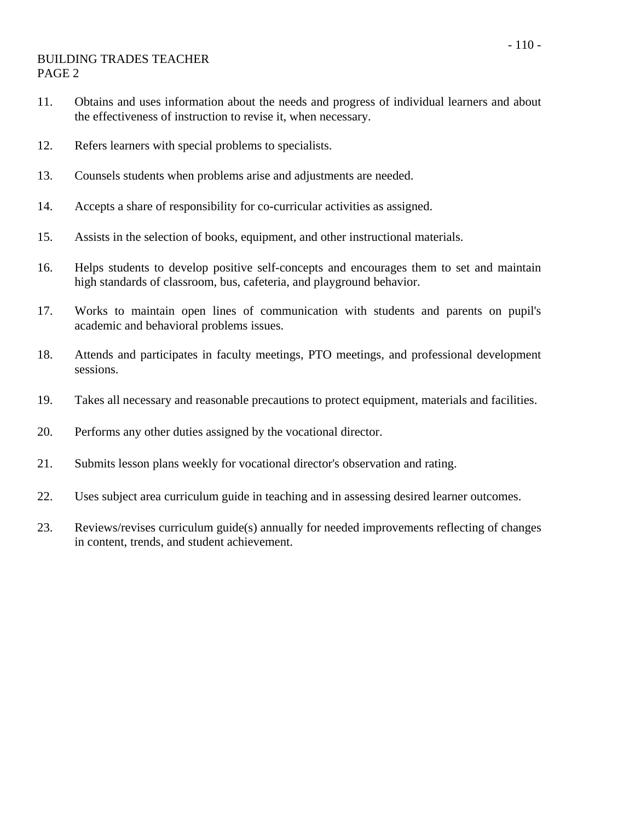## BUILDING TRADES TEACHER PAGE 2

- 11. Obtains and uses information about the needs and progress of individual learners and about the effectiveness of instruction to revise it, when necessary.
- 12. Refers learners with special problems to specialists.
- 13. Counsels students when problems arise and adjustments are needed.
- 14. Accepts a share of responsibility for co-curricular activities as assigned.
- 15. Assists in the selection of books, equipment, and other instructional materials.
- 16. Helps students to develop positive self-concepts and encourages them to set and maintain high standards of classroom, bus, cafeteria, and playground behavior.
- 17. Works to maintain open lines of communication with students and parents on pupil's academic and behavioral problems issues.
- 18. Attends and participates in faculty meetings, PTO meetings, and professional development sessions.
- 19. Takes all necessary and reasonable precautions to protect equipment, materials and facilities.
- 20. Performs any other duties assigned by the vocational director.
- 21. Submits lesson plans weekly for vocational director's observation and rating.
- 22. Uses subject area curriculum guide in teaching and in assessing desired learner outcomes.
- 23. Reviews/revises curriculum guide(s) annually for needed improvements reflecting of changes in content, trends, and student achievement.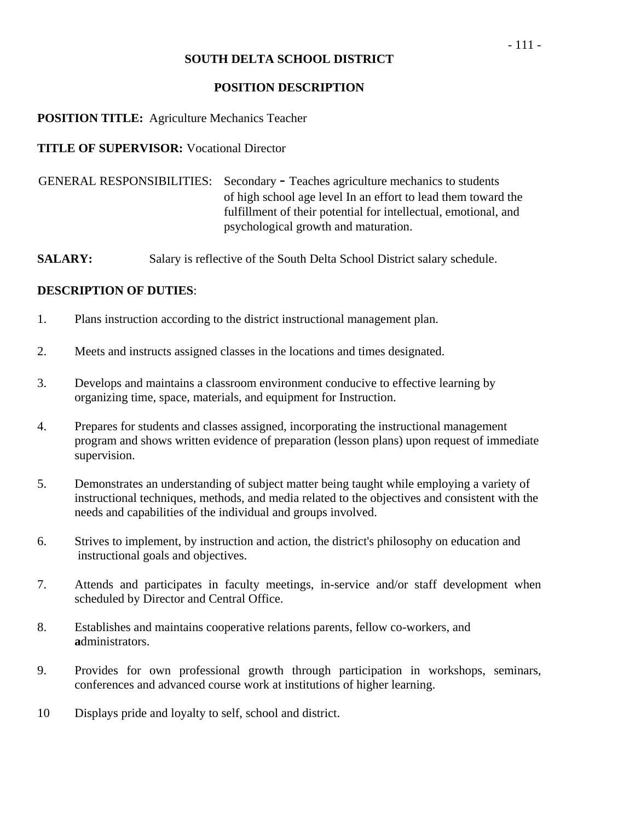## **POSITION DESCRIPTION**

## **POSITION TITLE:** Agriculture Mechanics Teacher

## **TITLE OF SUPERVISOR:** Vocational Director

 GENERAL RESPONSIBILITIES: Secondary - Teaches agriculture mechanics to students of high school age level In an effort to lead them toward the fulfillment of their potential for intellectual, emotional, and psychological growth and maturation.

**SALARY:** Salary is reflective of the South Delta School District salary schedule.

- 1. Plans instruction according to the district instructional management plan.
- 2. Meets and instructs assigned classes in the locations and times designated.
- 3. Develops and maintains a classroom environment conducive to effective learning by organizing time, space, materials, and equipment for Instruction.
- 4. Prepares for students and classes assigned, incorporating the instructional management program and shows written evidence of preparation (lesson plans) upon request of immediate supervision.
- 5. Demonstrates an understanding of subject matter being taught while employing a variety of instructional techniques, methods, and media related to the objectives and consistent with the needs and capabilities of the individual and groups involved.
- 6. Strives to implement, by instruction and action, the district's philosophy on education and instructional goals and objectives.
- 7. Attends and participates in faculty meetings, in-service and/or staff development when scheduled by Director and Central Office.
- 8. Establishes and maintains cooperative relations parents, fellow co-workers, and **a**dministrators.
- 9. Provides for own professional growth through participation in workshops, seminars, conferences and advanced course work at institutions of higher learning.
- 10 Displays pride and loyalty to self, school and district.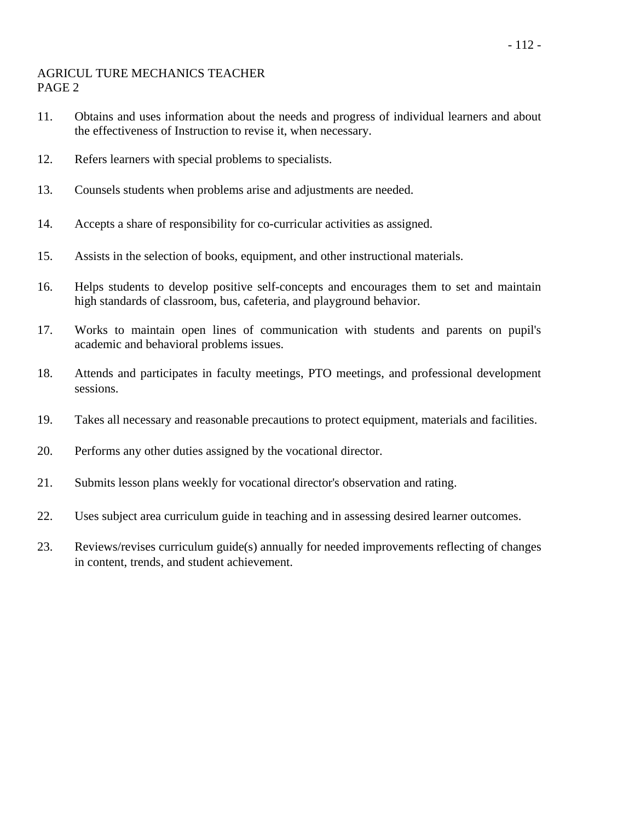#### AGRICUL TURE MECHANICS TEACHER PAGE 2

- 11. Obtains and uses information about the needs and progress of individual learners and about the effectiveness of Instruction to revise it, when necessary.
- 12. Refers learners with special problems to specialists.
- 13. Counsels students when problems arise and adjustments are needed.
- 14. Accepts a share of responsibility for co-curricular activities as assigned.
- 15. Assists in the selection of books, equipment, and other instructional materials.
- 16. Helps students to develop positive self-concepts and encourages them to set and maintain high standards of classroom, bus, cafeteria, and playground behavior.
- 17. Works to maintain open lines of communication with students and parents on pupil's academic and behavioral problems issues.
- 18. Attends and participates in faculty meetings, PTO meetings, and professional development sessions.
- 19. Takes all necessary and reasonable precautions to protect equipment, materials and facilities.
- 20. Performs any other duties assigned by the vocational director.
- 21. Submits lesson plans weekly for vocational director's observation and rating.
- 22. Uses subject area curriculum guide in teaching and in assessing desired learner outcomes.
- 23. Reviews/revises curriculum guide(s) annually for needed improvements reflecting of changes in content, trends, and student achievement.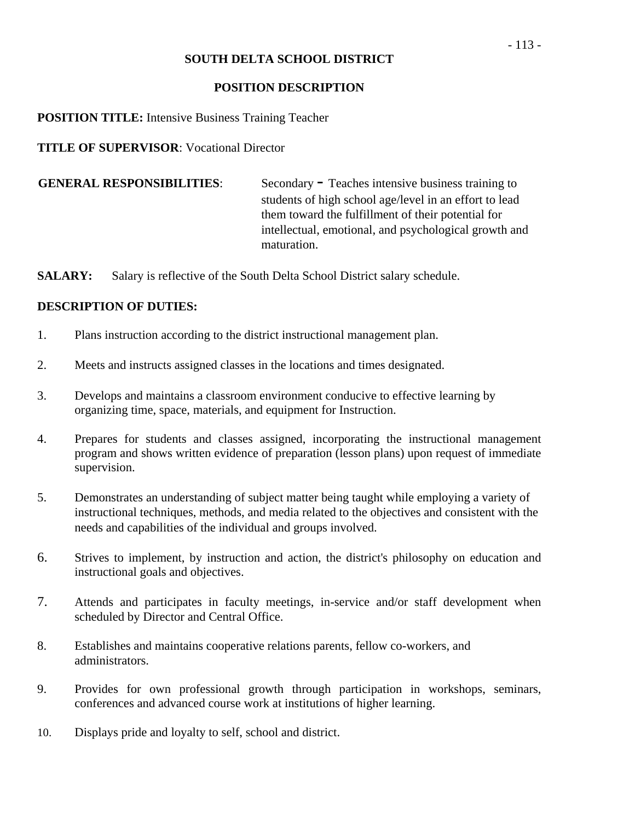#### **POSITION DESCRIPTION**

## **POSITION TITLE:** Intensive Business Training Teacher

## **TITLE OF SUPERVISOR**: Vocational Director

**GENERAL RESPONSIBILITIES:** Secondary - Teaches intensive business training to students of high school age/level in an effort to lead them toward the fulfillment of their potential for intellectual, emotional, and psychological growth and maturation.

**SALARY:** Salary is reflective of the South Delta School District salary schedule.

- 1. Plans instruction according to the district instructional management plan.
- 2. Meets and instructs assigned classes in the locations and times designated.
- 3. Develops and maintains a classroom environment conducive to effective learning by organizing time, space, materials, and equipment for Instruction.
- 4. Prepares for students and classes assigned, incorporating the instructional management program and shows written evidence of preparation (lesson plans) upon request of immediate supervision.
- 5. Demonstrates an understanding of subject matter being taught while employing a variety of instructional techniques, methods, and media related to the objectives and consistent with the needs and capabilities of the individual and groups involved.
- 6. Strives to implement, by instruction and action, the district's philosophy on education and instructional goals and objectives.
- 7. Attends and participates in faculty meetings, in-service and/or staff development when scheduled by Director and Central Office.
- 8. Establishes and maintains cooperative relations parents, fellow co-workers, and administrators.
- 9. Provides for own professional growth through participation in workshops, seminars, conferences and advanced course work at institutions of higher learning.
- 10. Displays pride and loyalty to self, school and district.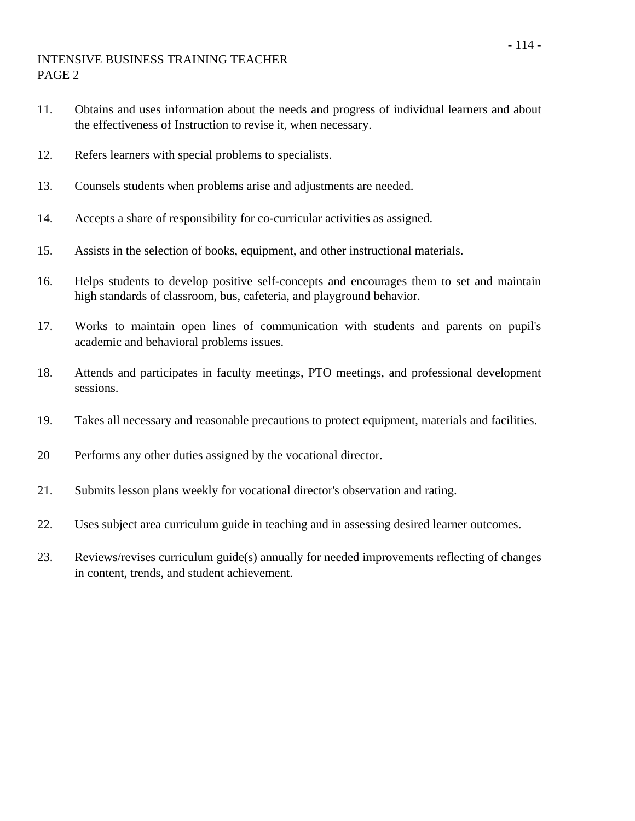## INTENSIVE BUSINESS TRAINING TEACHER PAGE 2

- 11. Obtains and uses information about the needs and progress of individual learners and about the effectiveness of Instruction to revise it, when necessary.
- 12. Refers learners with special problems to specialists.
- 13. Counsels students when problems arise and adjustments are needed.
- 14. Accepts a share of responsibility for co-curricular activities as assigned.
- 15. Assists in the selection of books, equipment, and other instructional materials.
- 16. Helps students to develop positive self-concepts and encourages them to set and maintain high standards of classroom, bus, cafeteria, and playground behavior.
- 17. Works to maintain open lines of communication with students and parents on pupil's academic and behavioral problems issues.
- 18. Attends and participates in faculty meetings, PTO meetings, and professional development sessions.
- 19. Takes all necessary and reasonable precautions to protect equipment, materials and facilities.
- 20 Performs any other duties assigned by the vocational director.
- 21. Submits lesson plans weekly for vocational director's observation and rating.
- 22. Uses subject area curriculum guide in teaching and in assessing desired learner outcomes.
- 23. Reviews/revises curriculum guide(s) annually for needed improvements reflecting of changes in content, trends, and student achievement.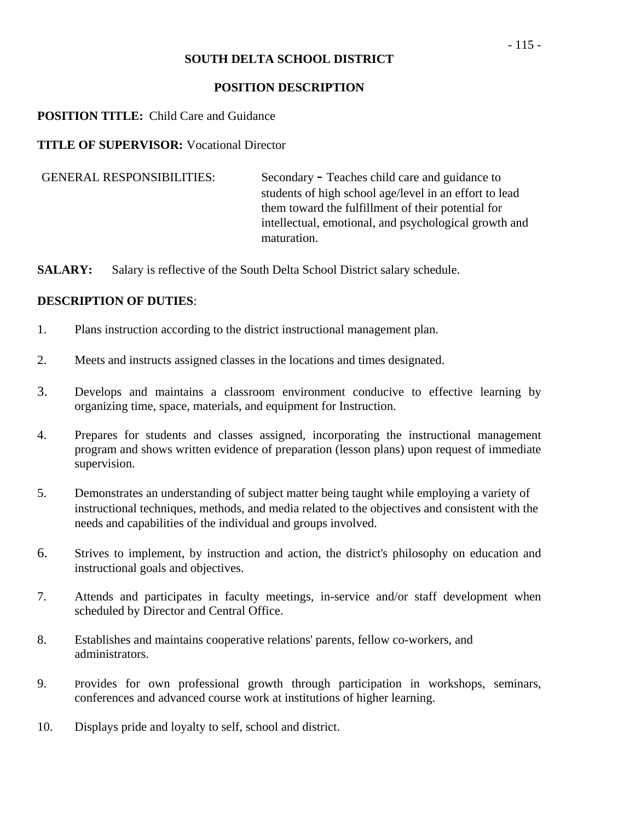## **POSITION DESCRIPTION**

## **POSITION TITLE:** Child Care and Guidance

## **TITLE OF SUPERVISOR:** Vocational Director

GENERAL RESPONSIBILITIES: Secondary - Teaches child care and guidance to students of high school age/level in an effort to lead them toward the fulfillment of their potential for intellectual, emotional, and psychological growth and maturation.

**SALARY:** Salary is reflective of the South Delta School District salary schedule.

- 1. Plans instruction according to the district instructional management plan.
- 2. Meets and instructs assigned classes in the locations and times designated.
- 3. Develops and maintains a classroom environment conducive to effective learning by organizing time, space, materials, and equipment for Instruction.
- 4. Prepares for students and classes assigned, incorporating the instructional management program and shows written evidence of preparation (lesson plans) upon request of immediate supervision.
- 5. Demonstrates an understanding of subject matter being taught while employing a variety of instructional techniques, methods, and media related to the objectives and consistent with the needs and capabilities of the individual and groups involved.
- 6. Strives to implement, by instruction and action, the district's philosophy on education and instructional goals and objectives.
- 7. Attends and participates in faculty meetings, in-service and/or staff development when scheduled by Director and Central Office.
- 8. Establishes and maintains cooperative relations' parents, fellow co-workers, and administrators.
- 9. Provides for own professional growth through participation in workshops, seminars, conferences and advanced course work at institutions of higher learning.
- 10. Displays pride and loyalty to self, school and district.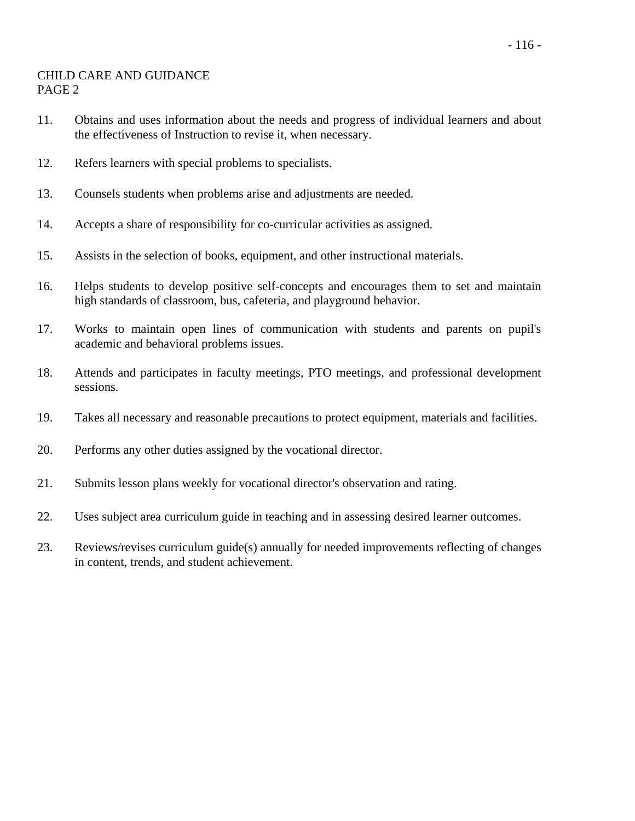#### CHILD CARE AND GUIDANCE PAGE 2

- 11. Obtains and uses information about the needs and progress of individual learners and about the effectiveness of Instruction to revise it, when necessary.
- 12. Refers learners with special problems to specialists.
- 13. Counsels students when problems arise and adjustments are needed.
- 14. Accepts a share of responsibility for co-curricular activities as assigned.
- 15. Assists in the selection of books, equipment, and other instructional materials.
- 16. Helps students to develop positive self-concepts and encourages them to set and maintain high standards of classroom, bus, cafeteria, and playground behavior.
- 17. Works to maintain open lines of communication with students and parents on pupil's academic and behavioral problems issues.
- 18. Attends and participates in faculty meetings, PTO meetings, and professional development sessions.
- 19. Takes all necessary and reasonable precautions to protect equipment, materials and facilities.
- 20. Performs any other duties assigned by the vocational director.
- 21. Submits lesson plans weekly for vocational director's observation and rating.
- 22. Uses subject area curriculum guide in teaching and in assessing desired learner outcomes.
- 23. Reviews/revises curriculum guide(s) annually for needed improvements reflecting of changes in content, trends, and student achievement.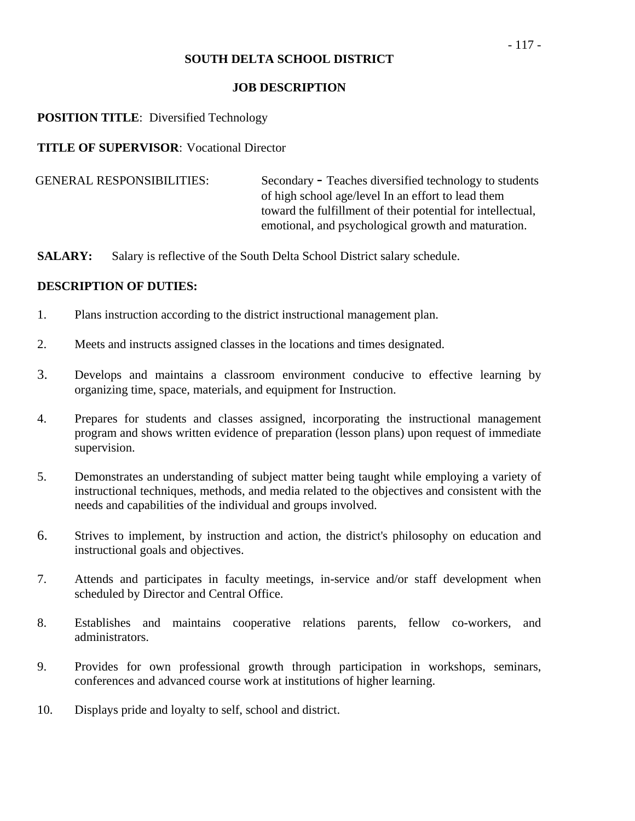#### **JOB DESCRIPTION**

#### **POSITION TITLE:** Diversified Technology

**TITLE OF SUPERVISOR**: Vocational Director

 GENERAL RESPONSIBILITIES: Secondary - Teaches diversified technology to students of high school age/level In an effort to lead them toward the fulfillment of their potential for intellectual, emotional, and psychological growth and maturation.

**SALARY:** Salary is reflective of the South Delta School District salary schedule.

- 1. Plans instruction according to the district instructional management plan.
- 2. Meets and instructs assigned classes in the locations and times designated.
- 3. Develops and maintains a classroom environment conducive to effective learning by organizing time, space, materials, and equipment for Instruction.
- 4. Prepares for students and classes assigned, incorporating the instructional management program and shows written evidence of preparation (lesson plans) upon request of immediate supervision.
- 5. Demonstrates an understanding of subject matter being taught while employing a variety of instructional techniques, methods, and media related to the objectives and consistent with the needs and capabilities of the individual and groups involved.
- 6. Strives to implement, by instruction and action, the district's philosophy on education and instructional goals and objectives.
- 7. Attends and participates in faculty meetings, in-service and/or staff development when scheduled by Director and Central Office.
- 8. Establishes and maintains cooperative relations parents, fellow co-workers, and administrators.
- 9. Provides for own professional growth through participation in workshops, seminars, conferences and advanced course work at institutions of higher learning.
- 10. Displays pride and loyalty to self, school and district.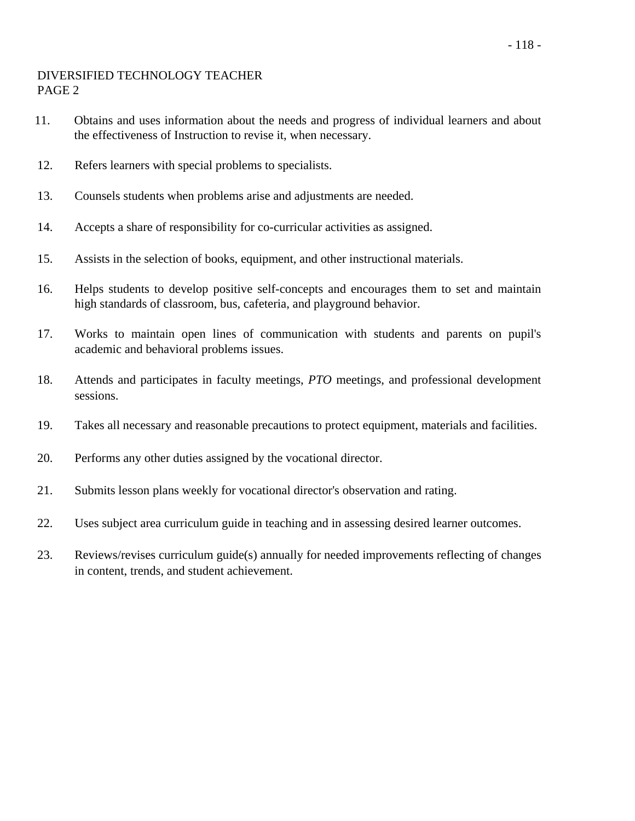## DIVERSIFIED TECHNOLOGY TEACHER PAGE 2

- 11. Obtains and uses information about the needs and progress of individual learners and about the effectiveness of Instruction to revise it, when necessary.
- 12. Refers learners with special problems to specialists.
- 13. Counsels students when problems arise and adjustments are needed.
- 14. Accepts a share of responsibility for co-curricular activities as assigned.
- 15. Assists in the selection of books, equipment, and other instructional materials.
- 16. Helps students to develop positive self-concepts and encourages them to set and maintain high standards of classroom, bus, cafeteria, and playground behavior.
- 17. Works to maintain open lines of communication with students and parents on pupil's academic and behavioral problems issues.
- 18. Attends and participates in faculty meetings, *PTO* meetings, and professional development sessions.
- 19. Takes all necessary and reasonable precautions to protect equipment, materials and facilities.
- 20. Performs any other duties assigned by the vocational director.
- 21. Submits lesson plans weekly for vocational director's observation and rating.
- 22. Uses subject area curriculum guide in teaching and in assessing desired learner outcomes.
- 23. Reviews/revises curriculum guide(s) annually for needed improvements reflecting of changes in content, trends, and student achievement.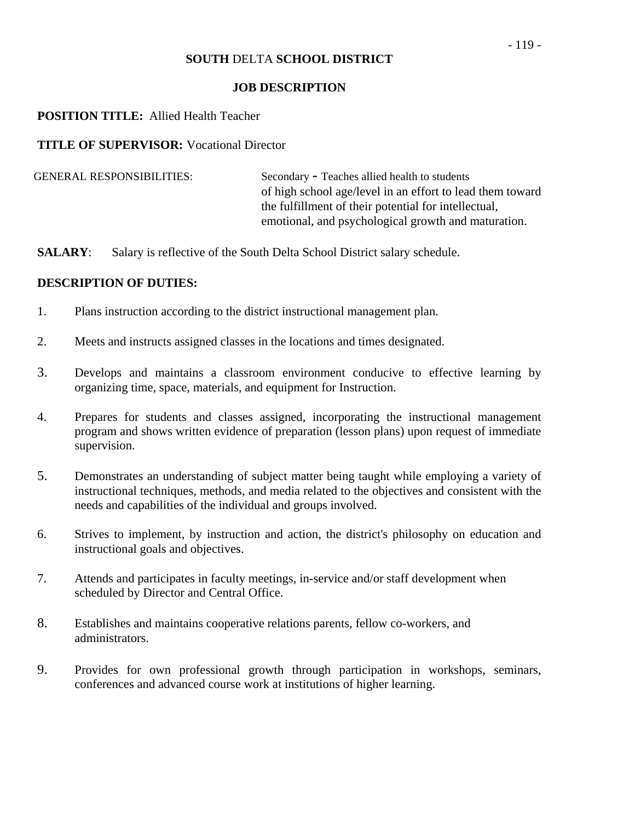#### **JOB DESCRIPTION**

#### **POSITION TITLE:** Allied Health Teacher

#### **TITLE OF SUPERVISOR:** Vocational Director

| <b>GENERAL RESPONSIBILITIES:</b> | Secondary - Teaches allied health to students             |
|----------------------------------|-----------------------------------------------------------|
|                                  | of high school age/level in an effort to lead them toward |
|                                  | the fulfillment of their potential for intellectual,      |
|                                  | emotional, and psychological growth and maturation.       |

**SALARY:** Salary is reflective of the South Delta School District salary schedule.

- 1. Plans instruction according to the district instructional management plan.
- 2. Meets and instructs assigned classes in the locations and times designated.
- 3. Develops and maintains a classroom environment conducive to effective learning by organizing time, space, materials, and equipment for Instruction.
- 4. Prepares for students and classes assigned, incorporating the instructional management program and shows written evidence of preparation (lesson plans) upon request of immediate supervision.
- 5. Demonstrates an understanding of subject matter being taught while employing a variety of instructional techniques, methods, and media related to the objectives and consistent with the needs and capabilities of the individual and groups involved.
- 6. Strives to implement, by instruction and action, the district's philosophy on education and instructional goals and objectives.
- 7. Attends and participates in faculty meetings, in-service and/or staff development when scheduled by Director and Central Office.
- 8. Establishes and maintains cooperative relations parents, fellow co-workers, and administrators.
- 9. Provides for own professional growth through participation in workshops, seminars, conferences and advanced course work at institutions of higher learning.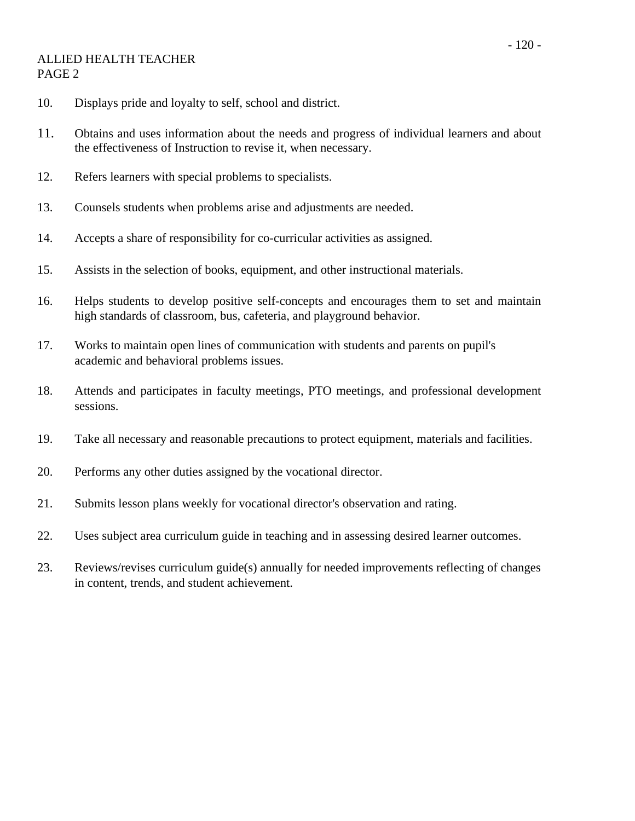#### ALLIED HEALTH TEACHER PAGE 2

- 10. Displays pride and loyalty to self, school and district.
- 11. Obtains and uses information about the needs and progress of individual learners and about the effectiveness of Instruction to revise it, when necessary.
- 12. Refers learners with special problems to specialists.
- 13. Counsels students when problems arise and adjustments are needed.
- 14. Accepts a share of responsibility for co-curricular activities as assigned.
- 15. Assists in the selection of books, equipment, and other instructional materials.
- 16. Helps students to develop positive self-concepts and encourages them to set and maintain high standards of classroom, bus, cafeteria, and playground behavior.
- 17. Works to maintain open lines of communication with students and parents on pupil's academic and behavioral problems issues.
- 18. Attends and participates in faculty meetings, PTO meetings, and professional development sessions.
- 19. Take all necessary and reasonable precautions to protect equipment, materials and facilities.
- 20. Performs any other duties assigned by the vocational director.
- 21. Submits lesson plans weekly for vocational director's observation and rating.
- 22. Uses subject area curriculum guide in teaching and in assessing desired learner outcomes.
- 23. Reviews/revises curriculum guide(s) annually for needed improvements reflecting of changes in content, trends, and student achievement.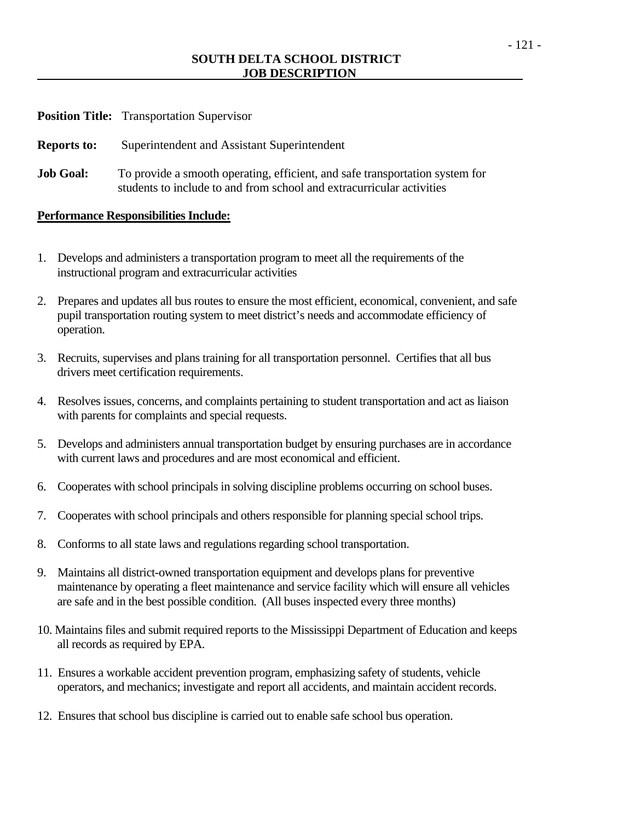#### **SOUTH DELTA SCHOOL DISTRICT JOB DESCRIPTION**

| <b>Position Title:</b> | <b>Transportation Supervisor</b> |
|------------------------|----------------------------------|
|------------------------|----------------------------------|

**Reports to:** Superintendent and Assistant Superintendent

**Job Goal:** To provide a smooth operating, efficient, and safe transportation system for students to include to and from school and extracurricular activities

#### **Performance Responsibilities Include:**

- 1. Develops and administers a transportation program to meet all the requirements of the instructional program and extracurricular activities
- 2. Prepares and updates all bus routes to ensure the most efficient, economical, convenient, and safe pupil transportation routing system to meet district's needs and accommodate efficiency of operation.
- 3. Recruits, supervises and plans training for all transportation personnel. Certifies that all bus drivers meet certification requirements.
- 4. Resolves issues, concerns, and complaints pertaining to student transportation and act as liaison with parents for complaints and special requests.
- 5. Develops and administers annual transportation budget by ensuring purchases are in accordance with current laws and procedures and are most economical and efficient.
- 6. Cooperates with school principals in solving discipline problems occurring on school buses.
- 7. Cooperates with school principals and others responsible for planning special school trips.
- 8. Conforms to all state laws and regulations regarding school transportation.
- 9. Maintains all district-owned transportation equipment and develops plans for preventive maintenance by operating a fleet maintenance and service facility which will ensure all vehicles are safe and in the best possible condition. (All buses inspected every three months)
- 10. Maintains files and submit required reports to the Mississippi Department of Education and keeps all records as required by EPA.
- 11. Ensures a workable accident prevention program, emphasizing safety of students, vehicle operators, and mechanics; investigate and report all accidents, and maintain accident records.
- 12. Ensures that school bus discipline is carried out to enable safe school bus operation.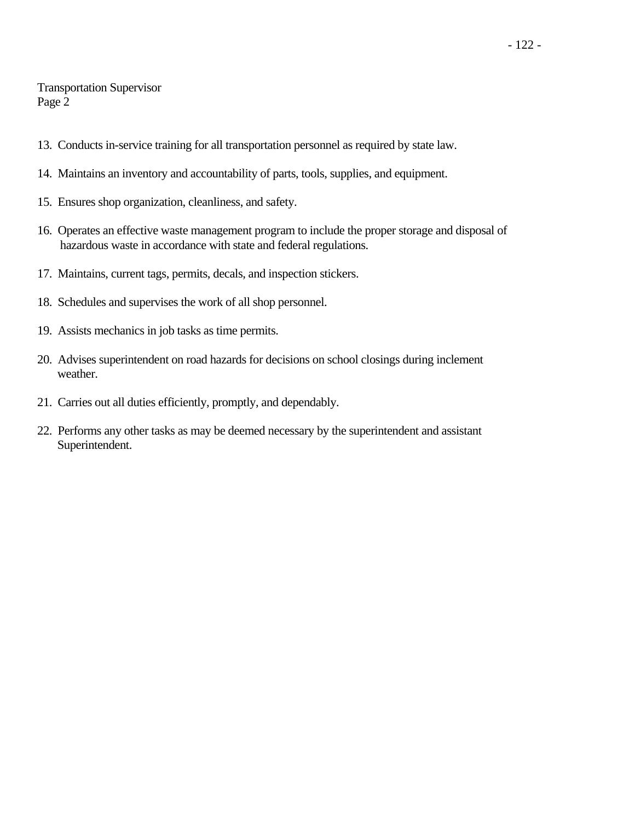#### Transportation Supervisor Page 2

- 13. Conducts in-service training for all transportation personnel as required by state law.
- 14. Maintains an inventory and accountability of parts, tools, supplies, and equipment.
- 15. Ensures shop organization, cleanliness, and safety.
- 16. Operates an effective waste management program to include the proper storage and disposal of hazardous waste in accordance with state and federal regulations.
- 17. Maintains, current tags, permits, decals, and inspection stickers.
- 18. Schedules and supervises the work of all shop personnel.
- 19. Assists mechanics in job tasks as time permits.
- 20. Advises superintendent on road hazards for decisions on school closings during inclement weather.
- 21. Carries out all duties efficiently, promptly, and dependably.
- 22. Performs any other tasks as may be deemed necessary by the superintendent and assistant Superintendent.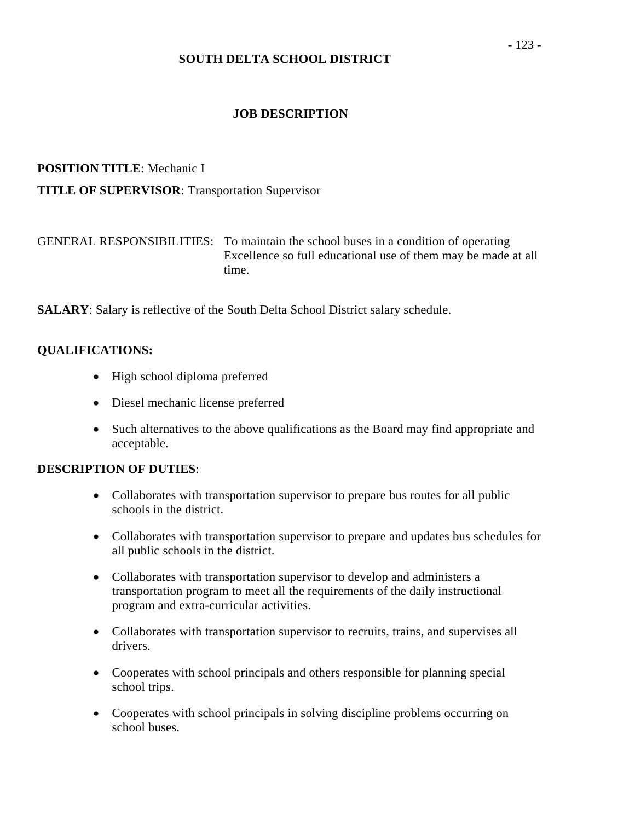#### **JOB DESCRIPTION**

# **POSITION TITLE**: Mechanic I

#### **TITLE OF SUPERVISOR**: Transportation Supervisor

| GENERAL RESPONSIBILITIES: To maintain the school buses in a condition of operating |
|------------------------------------------------------------------------------------|
| Excellence so full educational use of them may be made at all                      |
| time.                                                                              |

**SALARY**: Salary is reflective of the South Delta School District salary schedule.

#### **QUALIFICATIONS:**

- High school diploma preferred
- Diesel mechanic license preferred
- Such alternatives to the above qualifications as the Board may find appropriate and acceptable.

- Collaborates with transportation supervisor to prepare bus routes for all public schools in the district.
- Collaborates with transportation supervisor to prepare and updates bus schedules for all public schools in the district.
- Collaborates with transportation supervisor to develop and administers a transportation program to meet all the requirements of the daily instructional program and extra-curricular activities.
- Collaborates with transportation supervisor to recruits, trains, and supervises all drivers.
- Cooperates with school principals and others responsible for planning special school trips.
- Cooperates with school principals in solving discipline problems occurring on school buses.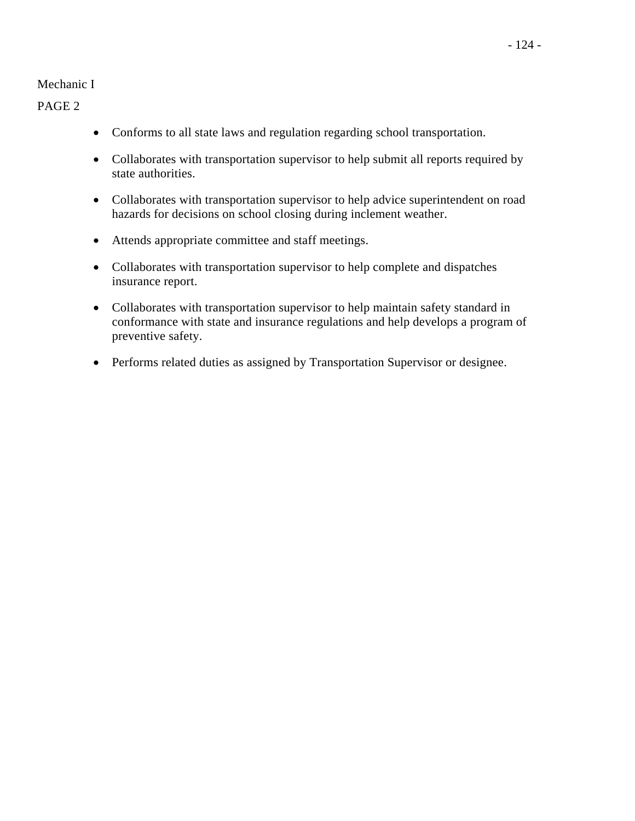#### Mechanic I

PAGE 2

- Conforms to all state laws and regulation regarding school transportation.
- Collaborates with transportation supervisor to help submit all reports required by state authorities.
- Collaborates with transportation supervisor to help advice superintendent on road hazards for decisions on school closing during inclement weather.
- Attends appropriate committee and staff meetings.
- Collaborates with transportation supervisor to help complete and dispatches insurance report.
- Collaborates with transportation supervisor to help maintain safety standard in conformance with state and insurance regulations and help develops a program of preventive safety.
- Performs related duties as assigned by Transportation Supervisor or designee.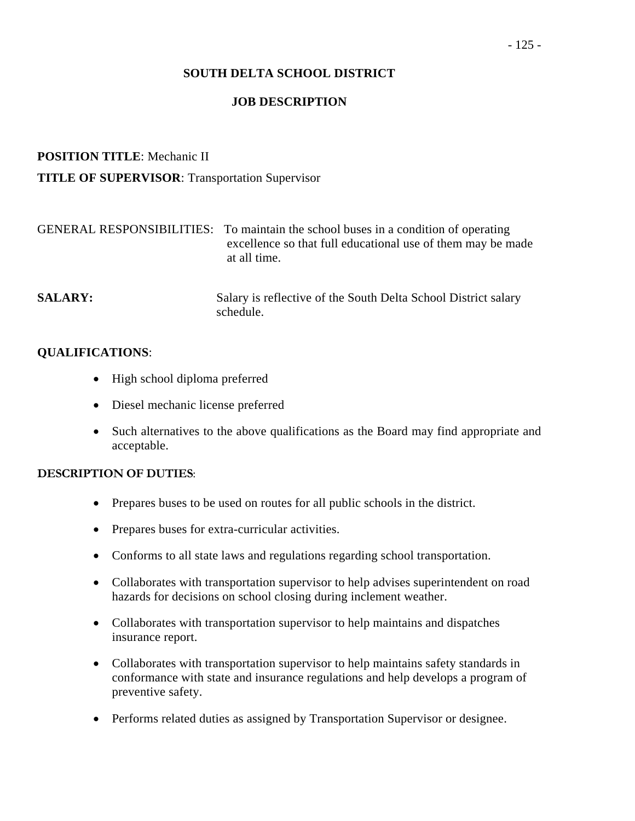## **JOB DESCRIPTION**

## **POSITION TITLE**: Mechanic II

## **TITLE OF SUPERVISOR**: Transportation Supervisor

|                | GENERAL RESPONSIBILITIES: To maintain the school buses in a condition of operating<br>excellence so that full educational use of them may be made<br>at all time. |
|----------------|-------------------------------------------------------------------------------------------------------------------------------------------------------------------|
| <b>SALARY:</b> | Salary is reflective of the South Delta School District salary<br>schedule                                                                                        |

#### **QUALIFICATIONS**:

- High school diploma preferred
- Diesel mechanic license preferred
- Such alternatives to the above qualifications as the Board may find appropriate and acceptable.

- Prepares buses to be used on routes for all public schools in the district.
- Prepares buses for extra-curricular activities.
- Conforms to all state laws and regulations regarding school transportation.
- Collaborates with transportation supervisor to help advises superintendent on road hazards for decisions on school closing during inclement weather.
- Collaborates with transportation supervisor to help maintains and dispatches insurance report.
- Collaborates with transportation supervisor to help maintains safety standards in conformance with state and insurance regulations and help develops a program of preventive safety.
- Performs related duties as assigned by Transportation Supervisor or designee.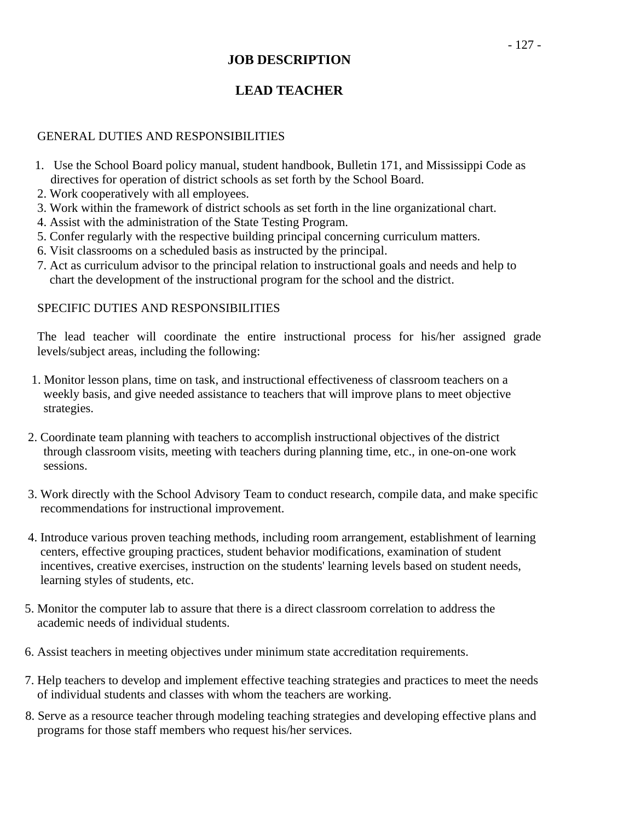## **JOB DESCRIPTION**

# **LEAD TEACHER**

## GENERAL DUTIES AND RESPONSIBILITIES

- 1. Use the School Board policy manual, student handbook, Bulletin 171, and Mississippi Code as directives for operation of district schools as set forth by the School Board.
- 2. Work cooperatively with all employees.
- 3. Work within the framework of district schools as set forth in the line organizational chart.
- 4. Assist with the administration of the State Testing Program.
- 5. Confer regularly with the respective building principal concerning curriculum matters.
- 6. Visit classrooms on a scheduled basis as instructed by the principal.
- 7. Act as curriculum advisor to the principal relation to instructional goals and needs and help to chart the development of the instructional program for the school and the district.

## SPECIFIC DUTIES AND RESPONSIBILITIES

The lead teacher will coordinate the entire instructional process for his/her assigned grade levels/subject areas, including the following:

- 1. Monitor lesson plans, time on task, and instructional effectiveness of classroom teachers on a weekly basis, and give needed assistance to teachers that will improve plans to meet objective strategies.
- 2. Coordinate team planning with teachers to accomplish instructional objectives of the district through classroom visits, meeting with teachers during planning time, etc., in one-on-one work sessions.
- 3. Work directly with the School Advisory Team to conduct research, compile data, and make specific recommendations for instructional improvement.
- 4. Introduce various proven teaching methods, including room arrangement, establishment of learning centers, effective grouping practices, student behavior modifications, examination of student incentives, creative exercises, instruction on the students' learning levels based on student needs, learning styles of students, etc.
- 5. Monitor the computer lab to assure that there is a direct classroom correlation to address the academic needs of individual students.
- 6. Assist teachers in meeting objectives under minimum state accreditation requirements.
- 7. Help teachers to develop and implement effective teaching strategies and practices to meet the needs of individual students and classes with whom the teachers are working.
- 8. Serve as a resource teacher through modeling teaching strategies and developing effective plans and programs for those staff members who request his/her services.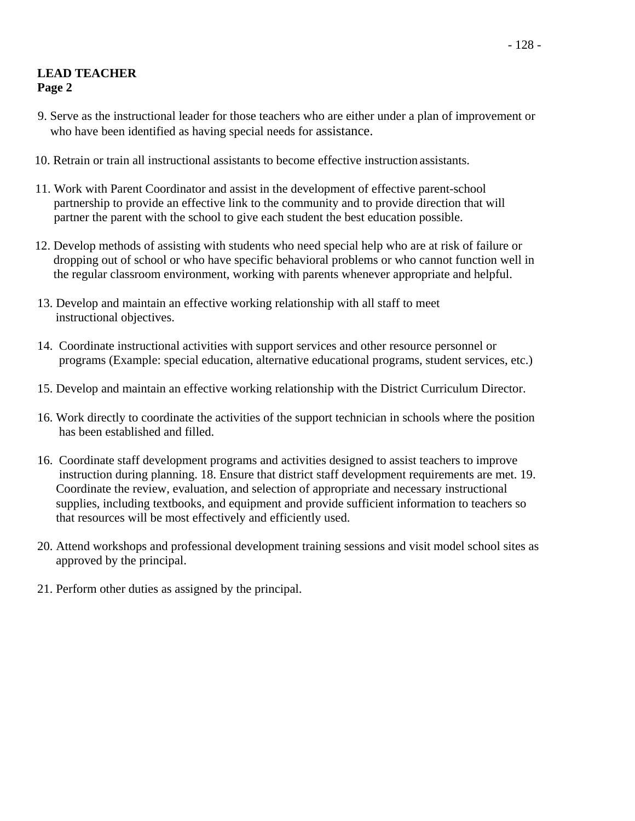## **LEAD TEACHER Page 2**

- 9. Serve as the instructional leader for those teachers who are either under a plan of improvement or who have been identified as having special needs for assistance.
- 10. Retrain or train all instructional assistants to become effective instruction assistants.
- 11. Work with Parent Coordinator and assist in the development of effective parent-school partnership to provide an effective link to the community and to provide direction that will partner the parent with the school to give each student the best education possible.
- 12. Develop methods of assisting with students who need special help who are at risk of failure or dropping out of school or who have specific behavioral problems or who cannot function well in the regular classroom environment, working with parents whenever appropriate and helpful.
- 13. Develop and maintain an effective working relationship with all staff to meet instructional objectives.
- 14. Coordinate instructional activities with support services and other resource personnel or programs (Example: special education, alternative educational programs, student services, etc.)
- 15. Develop and maintain an effective working relationship with the District Curriculum Director.
- 16. Work directly to coordinate the activities of the support technician in schools where the position has been established and filled.
- 16. Coordinate staff development programs and activities designed to assist teachers to improve instruction during planning. 18. Ensure that district staff development requirements are met. 19. Coordinate the review, evaluation, and selection of appropriate and necessary instructional supplies, including textbooks, and equipment and provide sufficient information to teachers so that resources will be most effectively and efficiently used.
- 20. Attend workshops and professional development training sessions and visit model school sites as approved by the principal.
- 21. Perform other duties as assigned by the principal.